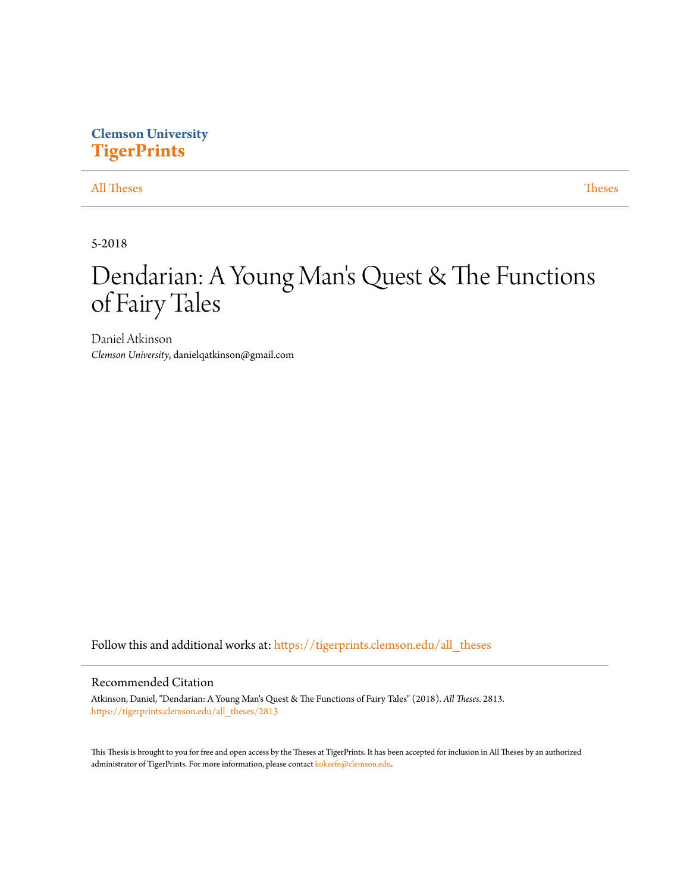## **Clemson University [TigerPrints](https://tigerprints.clemson.edu?utm_source=tigerprints.clemson.edu%2Fall_theses%2F2813&utm_medium=PDF&utm_campaign=PDFCoverPages)**

[All Theses](https://tigerprints.clemson.edu/all_theses?utm_source=tigerprints.clemson.edu%2Fall_theses%2F2813&utm_medium=PDF&utm_campaign=PDFCoverPages) **[Theses](https://tigerprints.clemson.edu/theses?utm_source=tigerprints.clemson.edu%2Fall_theses%2F2813&utm_medium=PDF&utm_campaign=PDFCoverPages)** 

5-2018

# Dendarian: A Young Man 's Quest & The Functions of Fairy Tales

Daniel Atkinson *Clemson University*, danielqatkinson@gmail.com

Follow this and additional works at: [https://tigerprints.clemson.edu/all\\_theses](https://tigerprints.clemson.edu/all_theses?utm_source=tigerprints.clemson.edu%2Fall_theses%2F2813&utm_medium=PDF&utm_campaign=PDFCoverPages)

#### Recommended Citation

Atkinson, Daniel, "Dendarian: A Young Man's Quest & The Functions of Fairy Tales" (2018). *All Theses*. 2813. [https://tigerprints.clemson.edu/all\\_theses/2813](https://tigerprints.clemson.edu/all_theses/2813?utm_source=tigerprints.clemson.edu%2Fall_theses%2F2813&utm_medium=PDF&utm_campaign=PDFCoverPages)

This Thesis is brought to you for free and open access by the Theses at TigerPrints. It has been accepted for inclusion in All Theses by an authorized administrator of TigerPrints. For more information, please contact [kokeefe@clemson.edu](mailto:kokeefe@clemson.edu).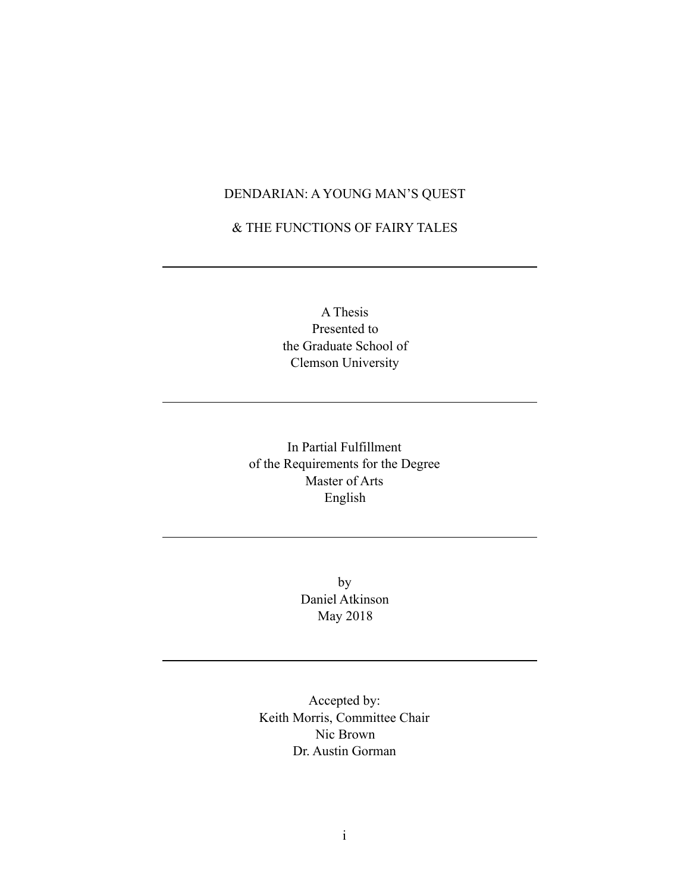### DENDARIAN: A YOUNG MAN'S QUEST

& THE FUNCTIONS OF FAIRY TALES

A Thesis Presented to the Graduate School of Clemson University

In Partial Fulfillment of the Requirements for the Degree Master of Arts English

> by Daniel Atkinson May 2018

Accepted by: Keith Morris, Committee Chair Nic Brown Dr. Austin Gorman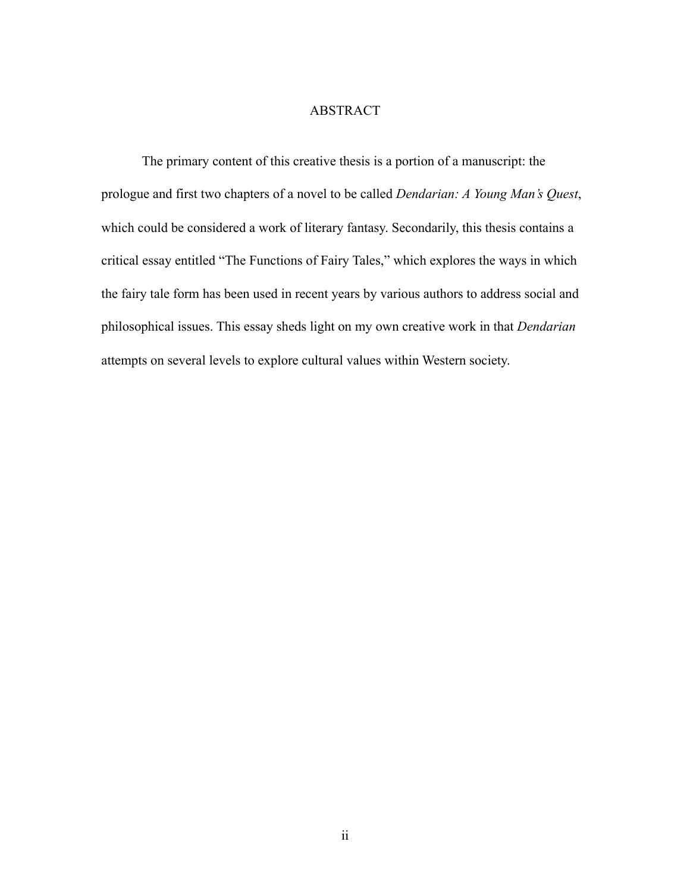#### ABSTRACT

The primary content of this creative thesis is a portion of a manuscript: the prologue and first two chapters of a novel to be called *Dendarian: A Young Man's Quest*, which could be considered a work of literary fantasy. Secondarily, this thesis contains a critical essay entitled "The Functions of Fairy Tales," which explores the ways in which the fairy tale form has been used in recent years by various authors to address social and philosophical issues. This essay sheds light on my own creative work in that *Dendarian* attempts on several levels to explore cultural values within Western society.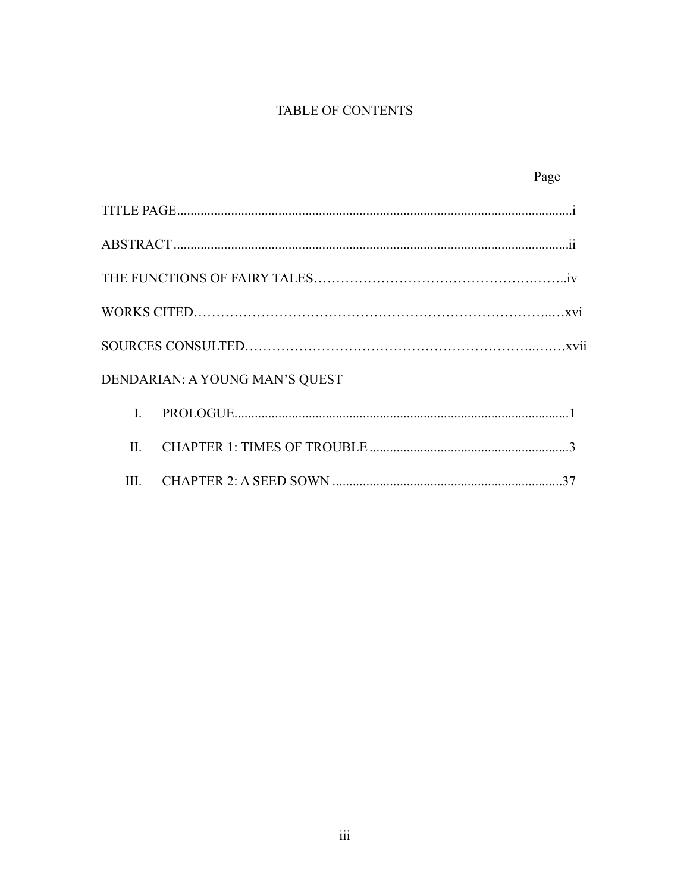## TABLE OF CONTENTS

|                                | Page |
|--------------------------------|------|
|                                |      |
|                                |      |
|                                |      |
|                                |      |
|                                |      |
| DENDARIAN: A YOUNG MAN'S QUEST |      |
| $\mathbf{I}$                   |      |
| $\Pi$ .                        |      |
| III.                           |      |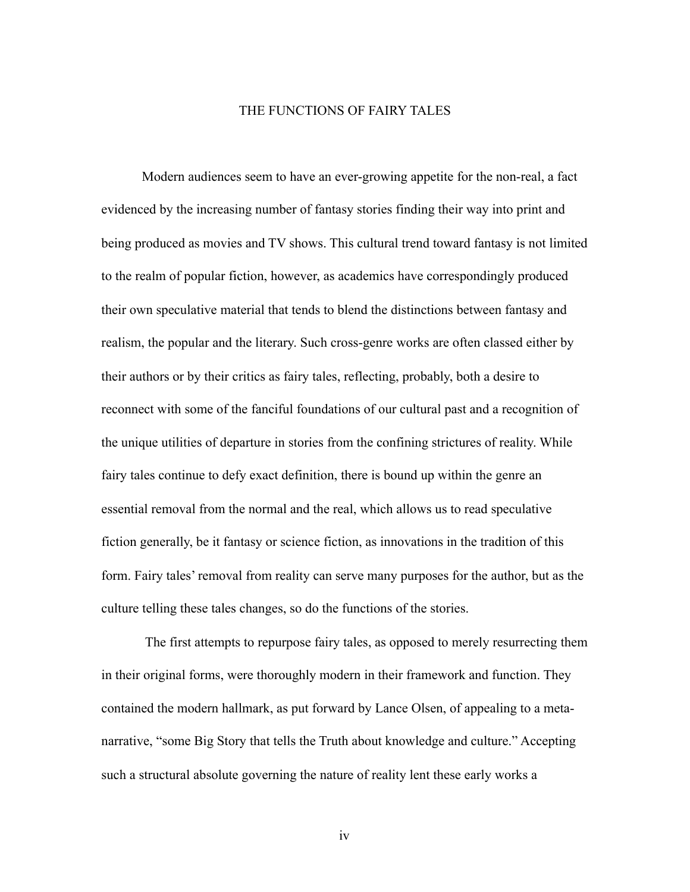#### THE FUNCTIONS OF FAIRY TALES

 Modern audiences seem to have an ever-growing appetite for the non-real, a fact evidenced by the increasing number of fantasy stories finding their way into print and being produced as movies and TV shows. This cultural trend toward fantasy is not limited to the realm of popular fiction, however, as academics have correspondingly produced their own speculative material that tends to blend the distinctions between fantasy and realism, the popular and the literary. Such cross-genre works are often classed either by their authors or by their critics as fairy tales, reflecting, probably, both a desire to reconnect with some of the fanciful foundations of our cultural past and a recognition of the unique utilities of departure in stories from the confining strictures of reality. While fairy tales continue to defy exact definition, there is bound up within the genre an essential removal from the normal and the real, which allows us to read speculative fiction generally, be it fantasy or science fiction, as innovations in the tradition of this form. Fairy tales' removal from reality can serve many purposes for the author, but as the culture telling these tales changes, so do the functions of the stories.

 The first attempts to repurpose fairy tales, as opposed to merely resurrecting them in their original forms, were thoroughly modern in their framework and function. They contained the modern hallmark, as put forward by Lance Olsen, of appealing to a metanarrative, "some Big Story that tells the Truth about knowledge and culture." Accepting such a structural absolute governing the nature of reality lent these early works a

iv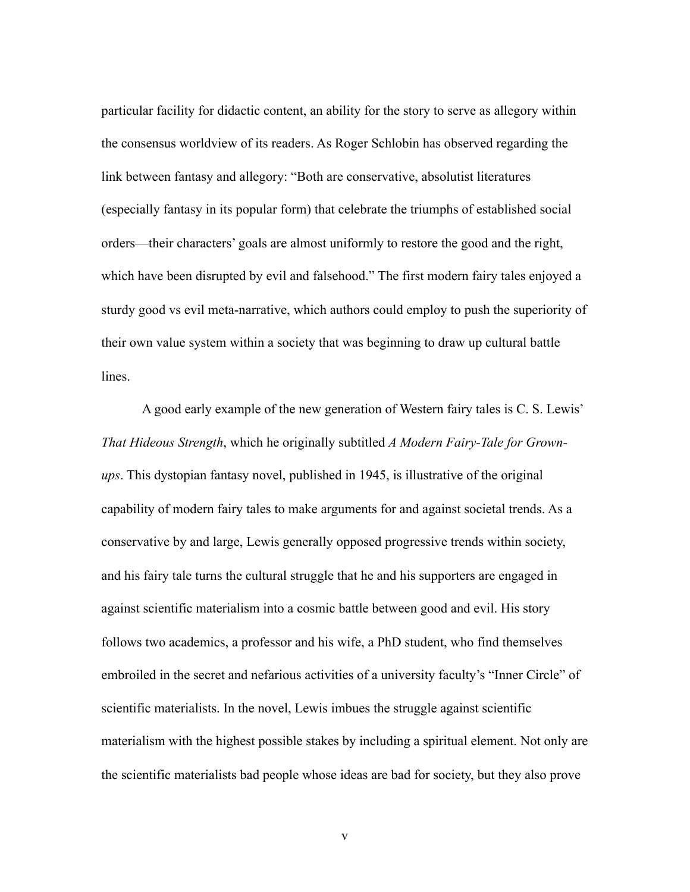particular facility for didactic content, an ability for the story to serve as allegory within the consensus worldview of its readers. As Roger Schlobin has observed regarding the link between fantasy and allegory: "Both are conservative, absolutist literatures (especially fantasy in its popular form) that celebrate the triumphs of established social orders—their characters' goals are almost uniformly to restore the good and the right, which have been disrupted by evil and falsehood." The first modern fairy tales enjoyed a sturdy good vs evil meta-narrative, which authors could employ to push the superiority of their own value system within a society that was beginning to draw up cultural battle lines.

 A good early example of the new generation of Western fairy tales is C. S. Lewis' *That Hideous Strength*, which he originally subtitled *A Modern Fairy-Tale for Grownups*. This dystopian fantasy novel, published in 1945, is illustrative of the original capability of modern fairy tales to make arguments for and against societal trends. As a conservative by and large, Lewis generally opposed progressive trends within society, and his fairy tale turns the cultural struggle that he and his supporters are engaged in against scientific materialism into a cosmic battle between good and evil. His story follows two academics, a professor and his wife, a PhD student, who find themselves embroiled in the secret and nefarious activities of a university faculty's "Inner Circle" of scientific materialists. In the novel, Lewis imbues the struggle against scientific materialism with the highest possible stakes by including a spiritual element. Not only are the scientific materialists bad people whose ideas are bad for society, but they also prove

v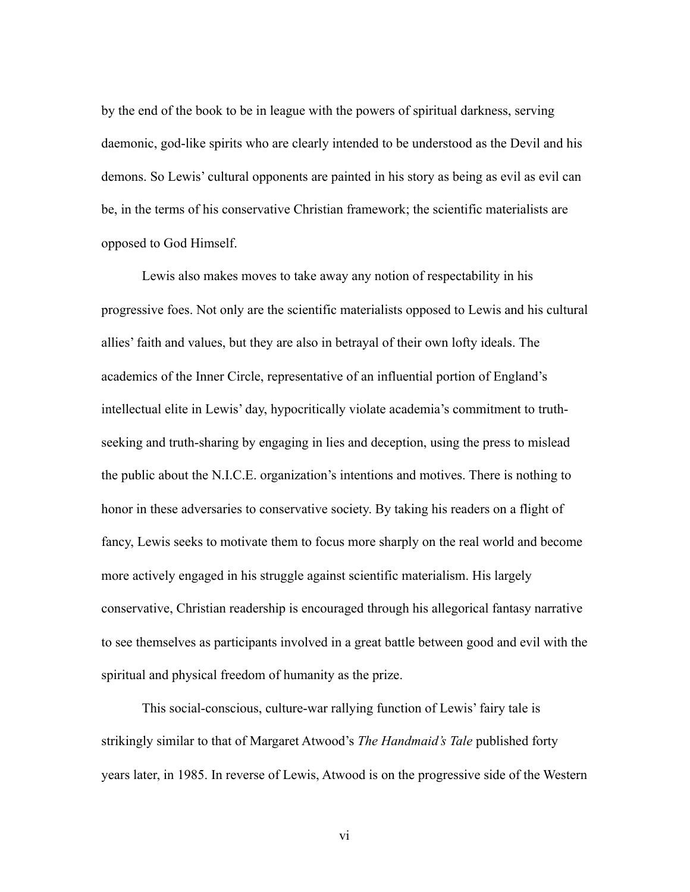by the end of the book to be in league with the powers of spiritual darkness, serving daemonic, god-like spirits who are clearly intended to be understood as the Devil and his demons. So Lewis' cultural opponents are painted in his story as being as evil as evil can be, in the terms of his conservative Christian framework; the scientific materialists are opposed to God Himself.

 Lewis also makes moves to take away any notion of respectability in his progressive foes. Not only are the scientific materialists opposed to Lewis and his cultural allies' faith and values, but they are also in betrayal of their own lofty ideals. The academics of the Inner Circle, representative of an influential portion of England's intellectual elite in Lewis' day, hypocritically violate academia's commitment to truthseeking and truth-sharing by engaging in lies and deception, using the press to mislead the public about the N.I.C.E. organization's intentions and motives. There is nothing to honor in these adversaries to conservative society. By taking his readers on a flight of fancy, Lewis seeks to motivate them to focus more sharply on the real world and become more actively engaged in his struggle against scientific materialism. His largely conservative, Christian readership is encouraged through his allegorical fantasy narrative to see themselves as participants involved in a great battle between good and evil with the spiritual and physical freedom of humanity as the prize.

 This social-conscious, culture-war rallying function of Lewis' fairy tale is strikingly similar to that of Margaret Atwood's *The Handmaid's Tale* published forty years later, in 1985. In reverse of Lewis, Atwood is on the progressive side of the Western

vi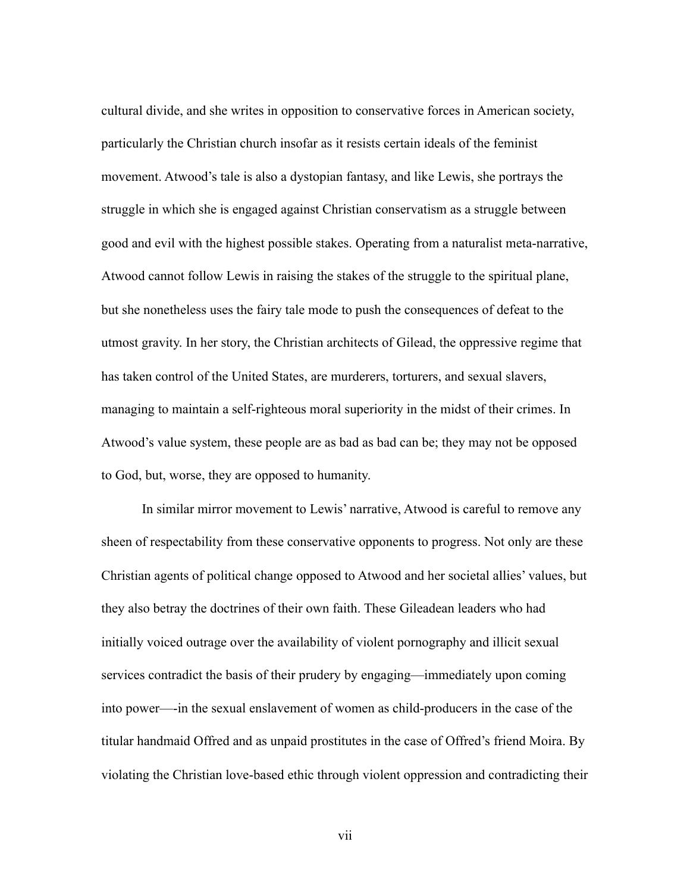cultural divide, and she writes in opposition to conservative forces in American society, particularly the Christian church insofar as it resists certain ideals of the feminist movement. Atwood's tale is also a dystopian fantasy, and like Lewis, she portrays the struggle in which she is engaged against Christian conservatism as a struggle between good and evil with the highest possible stakes. Operating from a naturalist meta-narrative, Atwood cannot follow Lewis in raising the stakes of the struggle to the spiritual plane, but she nonetheless uses the fairy tale mode to push the consequences of defeat to the utmost gravity. In her story, the Christian architects of Gilead, the oppressive regime that has taken control of the United States, are murderers, torturers, and sexual slavers, managing to maintain a self-righteous moral superiority in the midst of their crimes. In Atwood's value system, these people are as bad as bad can be; they may not be opposed to God, but, worse, they are opposed to humanity.

 In similar mirror movement to Lewis' narrative, Atwood is careful to remove any sheen of respectability from these conservative opponents to progress. Not only are these Christian agents of political change opposed to Atwood and her societal allies' values, but they also betray the doctrines of their own faith. These Gileadean leaders who had initially voiced outrage over the availability of violent pornography and illicit sexual services contradict the basis of their prudery by engaging—immediately upon coming into power—-in the sexual enslavement of women as child-producers in the case of the titular handmaid Offred and as unpaid prostitutes in the case of Offred's friend Moira. By violating the Christian love-based ethic through violent oppression and contradicting their

vii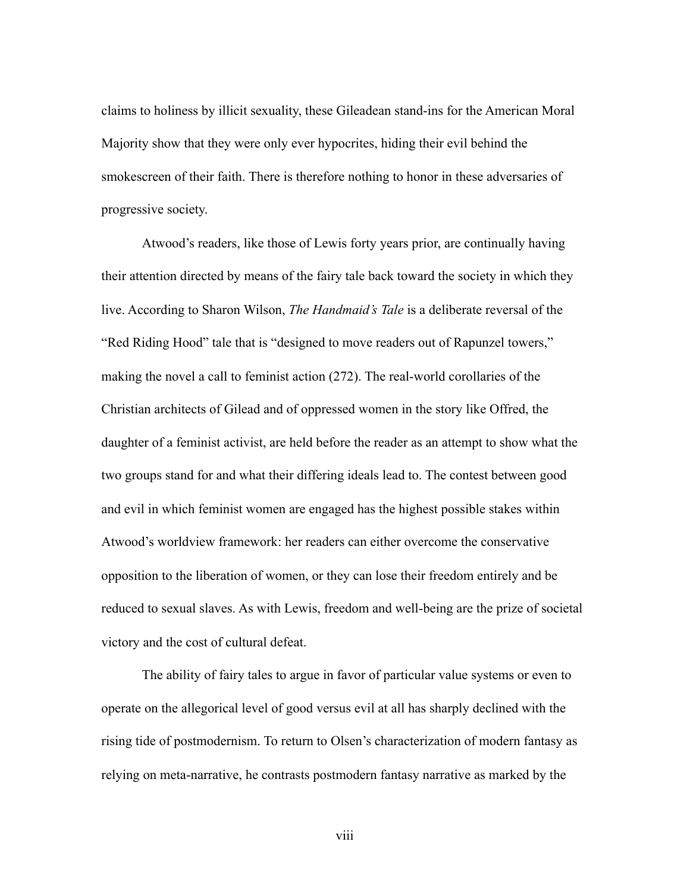claims to holiness by illicit sexuality, these Gileadean stand-ins for the American Moral Majority show that they were only ever hypocrites, hiding their evil behind the smokescreen of their faith. There is therefore nothing to honor in these adversaries of progressive society.

 Atwood's readers, like those of Lewis forty years prior, are continually having their attention directed by means of the fairy tale back toward the society in which they live. According to Sharon Wilson, *The Handmaid's Tale* is a deliberate reversal of the "Red Riding Hood" tale that is "designed to move readers out of Rapunzel towers," making the novel a call to feminist action (272). The real-world corollaries of the Christian architects of Gilead and of oppressed women in the story like Offred, the daughter of a feminist activist, are held before the reader as an attempt to show what the two groups stand for and what their differing ideals lead to. The contest between good and evil in which feminist women are engaged has the highest possible stakes within Atwood's worldview framework: her readers can either overcome the conservative opposition to the liberation of women, or they can lose their freedom entirely and be reduced to sexual slaves. As with Lewis, freedom and well-being are the prize of societal victory and the cost of cultural defeat.

 The ability of fairy tales to argue in favor of particular value systems or even to operate on the allegorical level of good versus evil at all has sharply declined with the rising tide of postmodernism. To return to Olsen's characterization of modern fantasy as relying on meta-narrative, he contrasts postmodern fantasy narrative as marked by the

viii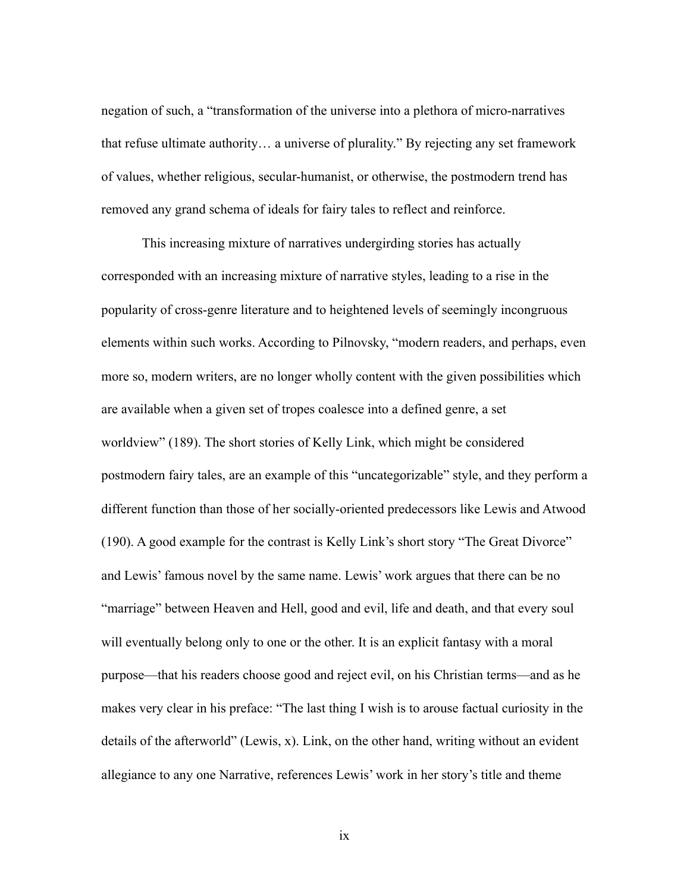negation of such, a "transformation of the universe into a plethora of micro-narratives that refuse ultimate authority… a universe of plurality." By rejecting any set framework of values, whether religious, secular-humanist, or otherwise, the postmodern trend has removed any grand schema of ideals for fairy tales to reflect and reinforce.

 This increasing mixture of narratives undergirding stories has actually corresponded with an increasing mixture of narrative styles, leading to a rise in the popularity of cross-genre literature and to heightened levels of seemingly incongruous elements within such works. According to Pilnovsky, "modern readers, and perhaps, even more so, modern writers, are no longer wholly content with the given possibilities which are available when a given set of tropes coalesce into a defined genre, a set worldview" (189). The short stories of Kelly Link, which might be considered postmodern fairy tales, are an example of this "uncategorizable" style, and they perform a different function than those of her socially-oriented predecessors like Lewis and Atwood (190). A good example for the contrast is Kelly Link's short story "The Great Divorce" and Lewis' famous novel by the same name. Lewis' work argues that there can be no "marriage" between Heaven and Hell, good and evil, life and death, and that every soul will eventually belong only to one or the other. It is an explicit fantasy with a moral purpose—that his readers choose good and reject evil, on his Christian terms—and as he makes very clear in his preface: "The last thing I wish is to arouse factual curiosity in the details of the afterworld" (Lewis, x). Link, on the other hand, writing without an evident allegiance to any one Narrative, references Lewis' work in her story's title and theme

ix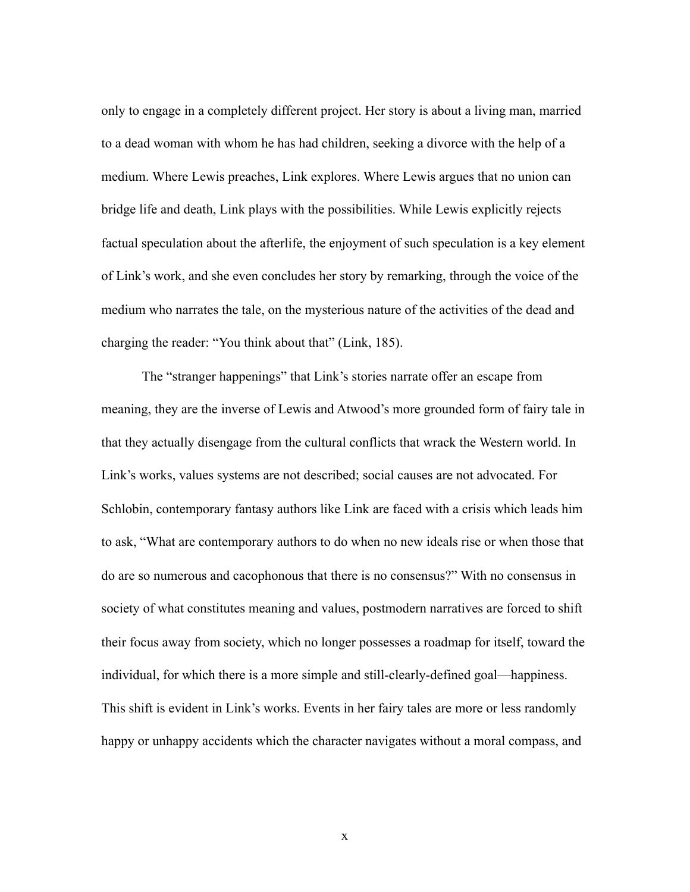only to engage in a completely different project. Her story is about a living man, married to a dead woman with whom he has had children, seeking a divorce with the help of a medium. Where Lewis preaches, Link explores. Where Lewis argues that no union can bridge life and death, Link plays with the possibilities. While Lewis explicitly rejects factual speculation about the afterlife, the enjoyment of such speculation is a key element of Link's work, and she even concludes her story by remarking, through the voice of the medium who narrates the tale, on the mysterious nature of the activities of the dead and charging the reader: "You think about that" (Link, 185).

 The "stranger happenings" that Link's stories narrate offer an escape from meaning, they are the inverse of Lewis and Atwood's more grounded form of fairy tale in that they actually disengage from the cultural conflicts that wrack the Western world. In Link's works, values systems are not described; social causes are not advocated. For Schlobin, contemporary fantasy authors like Link are faced with a crisis which leads him to ask, "What are contemporary authors to do when no new ideals rise or when those that do are so numerous and cacophonous that there is no consensus?" With no consensus in society of what constitutes meaning and values, postmodern narratives are forced to shift their focus away from society, which no longer possesses a roadmap for itself, toward the individual, for which there is a more simple and still-clearly-defined goal—happiness. This shift is evident in Link's works. Events in her fairy tales are more or less randomly happy or unhappy accidents which the character navigates without a moral compass, and

x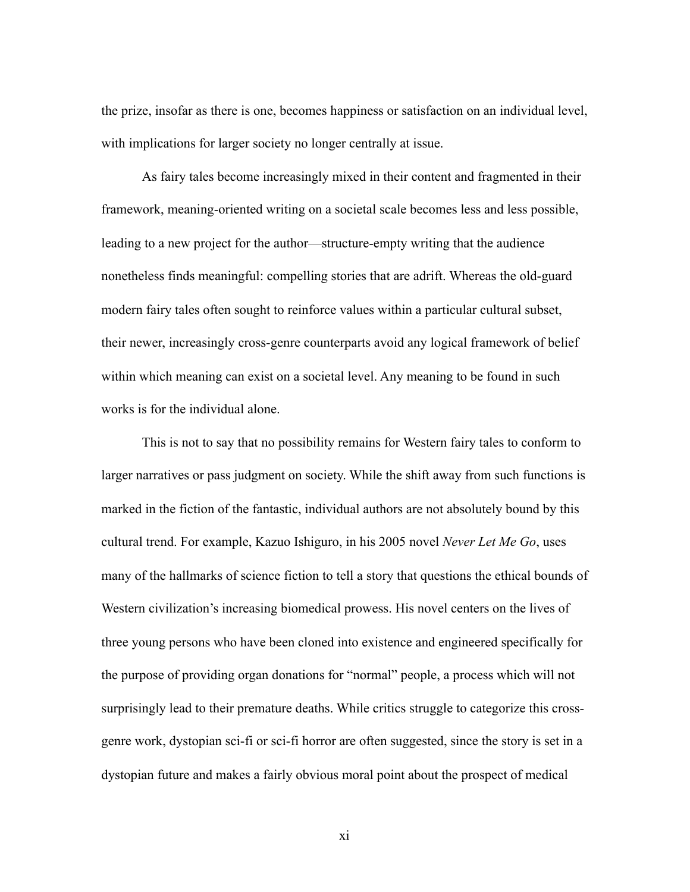the prize, insofar as there is one, becomes happiness or satisfaction on an individual level, with implications for larger society no longer centrally at issue.

 As fairy tales become increasingly mixed in their content and fragmented in their framework, meaning-oriented writing on a societal scale becomes less and less possible, leading to a new project for the author—structure-empty writing that the audience nonetheless finds meaningful: compelling stories that are adrift. Whereas the old-guard modern fairy tales often sought to reinforce values within a particular cultural subset, their newer, increasingly cross-genre counterparts avoid any logical framework of belief within which meaning can exist on a societal level. Any meaning to be found in such works is for the individual alone.

 This is not to say that no possibility remains for Western fairy tales to conform to larger narratives or pass judgment on society. While the shift away from such functions is marked in the fiction of the fantastic, individual authors are not absolutely bound by this cultural trend. For example, Kazuo Ishiguro, in his 2005 novel *Never Let Me Go*, uses many of the hallmarks of science fiction to tell a story that questions the ethical bounds of Western civilization's increasing biomedical prowess. His novel centers on the lives of three young persons who have been cloned into existence and engineered specifically for the purpose of providing organ donations for "normal" people, a process which will not surprisingly lead to their premature deaths. While critics struggle to categorize this crossgenre work, dystopian sci-fi or sci-fi horror are often suggested, since the story is set in a dystopian future and makes a fairly obvious moral point about the prospect of medical

xi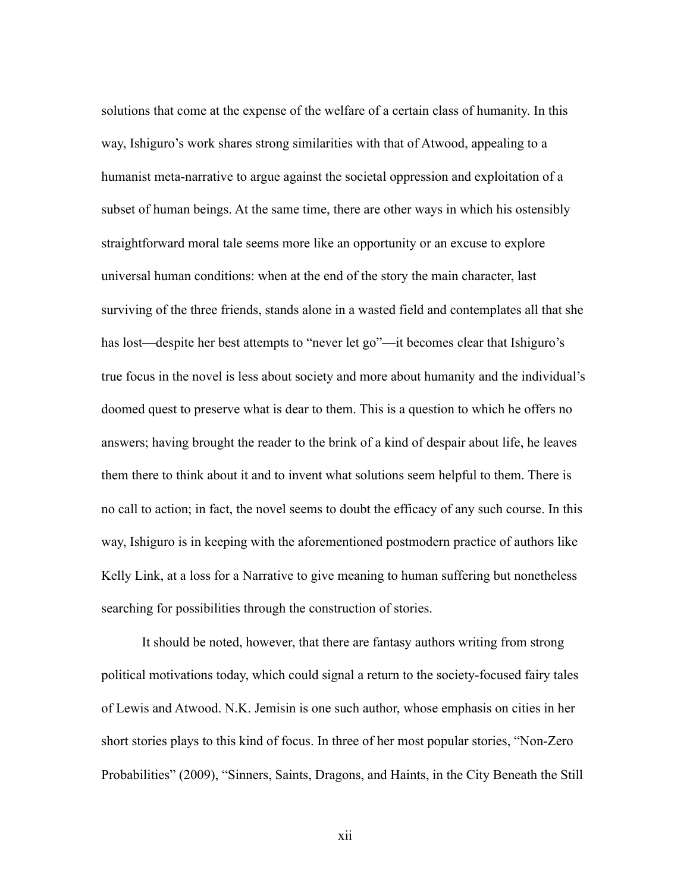solutions that come at the expense of the welfare of a certain class of humanity. In this way, Ishiguro's work shares strong similarities with that of Atwood, appealing to a humanist meta-narrative to argue against the societal oppression and exploitation of a subset of human beings. At the same time, there are other ways in which his ostensibly straightforward moral tale seems more like an opportunity or an excuse to explore universal human conditions: when at the end of the story the main character, last surviving of the three friends, stands alone in a wasted field and contemplates all that she has lost—despite her best attempts to "never let go"—it becomes clear that Ishiguro's true focus in the novel is less about society and more about humanity and the individual's doomed quest to preserve what is dear to them. This is a question to which he offers no answers; having brought the reader to the brink of a kind of despair about life, he leaves them there to think about it and to invent what solutions seem helpful to them. There is no call to action; in fact, the novel seems to doubt the efficacy of any such course. In this way, Ishiguro is in keeping with the aforementioned postmodern practice of authors like Kelly Link, at a loss for a Narrative to give meaning to human suffering but nonetheless searching for possibilities through the construction of stories.

 It should be noted, however, that there are fantasy authors writing from strong political motivations today, which could signal a return to the society-focused fairy tales of Lewis and Atwood. N.K. Jemisin is one such author, whose emphasis on cities in her short stories plays to this kind of focus. In three of her most popular stories, "Non-Zero Probabilities" (2009), "Sinners, Saints, Dragons, and Haints, in the City Beneath the Still

xii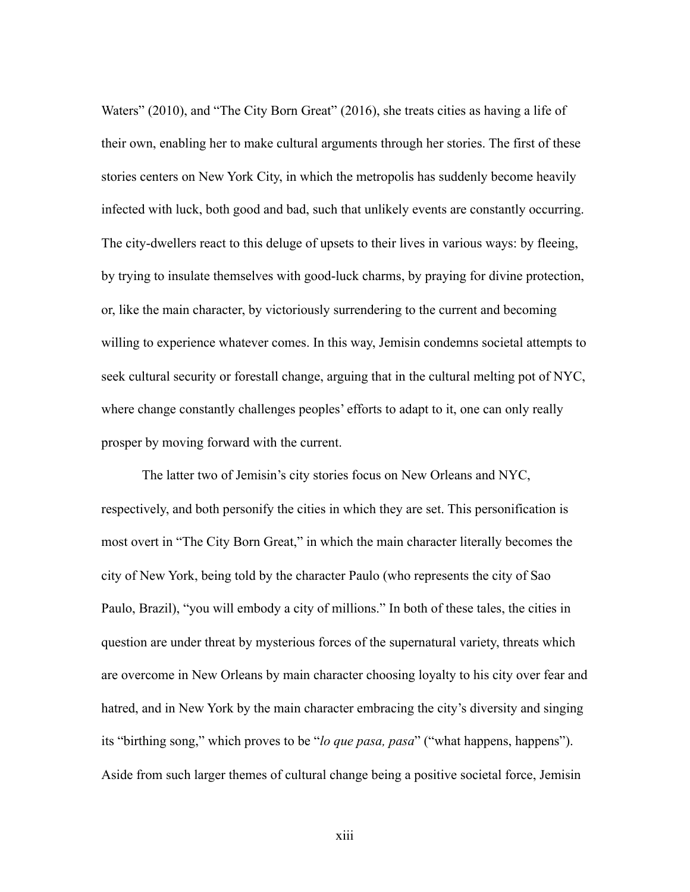Waters" (2010), and "The City Born Great" (2016), she treats cities as having a life of their own, enabling her to make cultural arguments through her stories. The first of these stories centers on New York City, in which the metropolis has suddenly become heavily infected with luck, both good and bad, such that unlikely events are constantly occurring. The city-dwellers react to this deluge of upsets to their lives in various ways: by fleeing, by trying to insulate themselves with good-luck charms, by praying for divine protection, or, like the main character, by victoriously surrendering to the current and becoming willing to experience whatever comes. In this way, Jemisin condemns societal attempts to seek cultural security or forestall change, arguing that in the cultural melting pot of NYC, where change constantly challenges peoples' efforts to adapt to it, one can only really prosper by moving forward with the current.

 The latter two of Jemisin's city stories focus on New Orleans and NYC, respectively, and both personify the cities in which they are set. This personification is most overt in "The City Born Great," in which the main character literally becomes the city of New York, being told by the character Paulo (who represents the city of Sao Paulo, Brazil), "you will embody a city of millions." In both of these tales, the cities in question are under threat by mysterious forces of the supernatural variety, threats which are overcome in New Orleans by main character choosing loyalty to his city over fear and hatred, and in New York by the main character embracing the city's diversity and singing its "birthing song," which proves to be "*lo que pasa, pasa*" ("what happens, happens"). Aside from such larger themes of cultural change being a positive societal force, Jemisin

xiii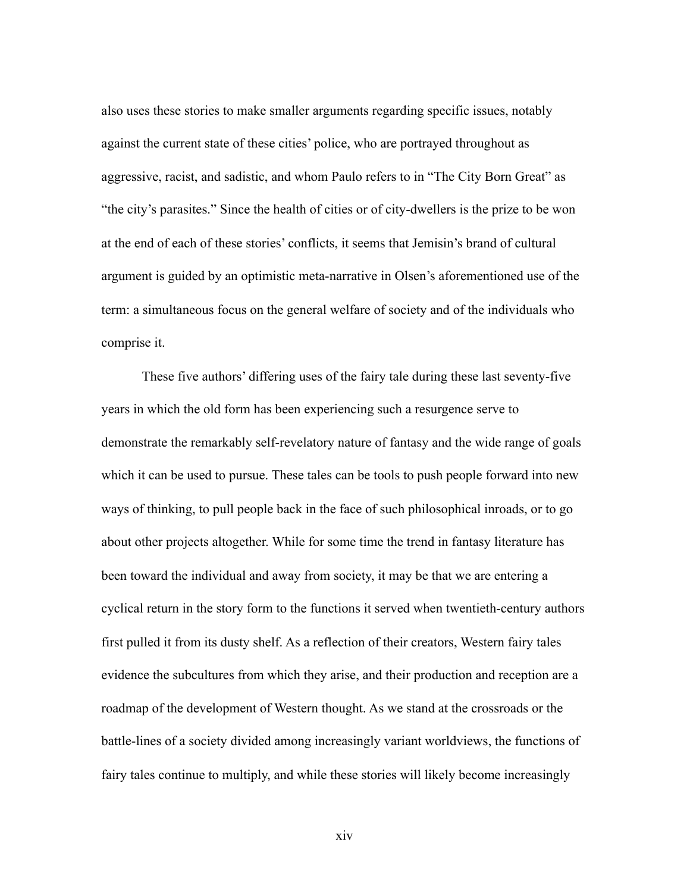also uses these stories to make smaller arguments regarding specific issues, notably against the current state of these cities' police, who are portrayed throughout as aggressive, racist, and sadistic, and whom Paulo refers to in "The City Born Great" as "the city's parasites." Since the health of cities or of city-dwellers is the prize to be won at the end of each of these stories' conflicts, it seems that Jemisin's brand of cultural argument is guided by an optimistic meta-narrative in Olsen's aforementioned use of the term: a simultaneous focus on the general welfare of society and of the individuals who comprise it.

 These five authors' differing uses of the fairy tale during these last seventy-five years in which the old form has been experiencing such a resurgence serve to demonstrate the remarkably self-revelatory nature of fantasy and the wide range of goals which it can be used to pursue. These tales can be tools to push people forward into new ways of thinking, to pull people back in the face of such philosophical inroads, or to go about other projects altogether. While for some time the trend in fantasy literature has been toward the individual and away from society, it may be that we are entering a cyclical return in the story form to the functions it served when twentieth-century authors first pulled it from its dusty shelf. As a reflection of their creators, Western fairy tales evidence the subcultures from which they arise, and their production and reception are a roadmap of the development of Western thought. As we stand at the crossroads or the battle-lines of a society divided among increasingly variant worldviews, the functions of fairy tales continue to multiply, and while these stories will likely become increasingly

xiv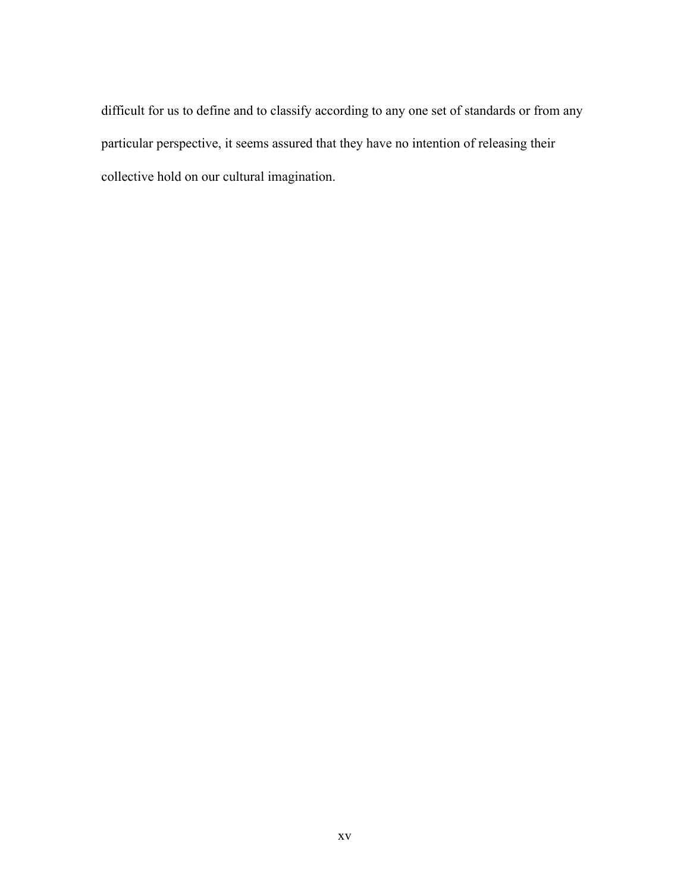difficult for us to define and to classify according to any one set of standards or from any particular perspective, it seems assured that they have no intention of releasing their collective hold on our cultural imagination.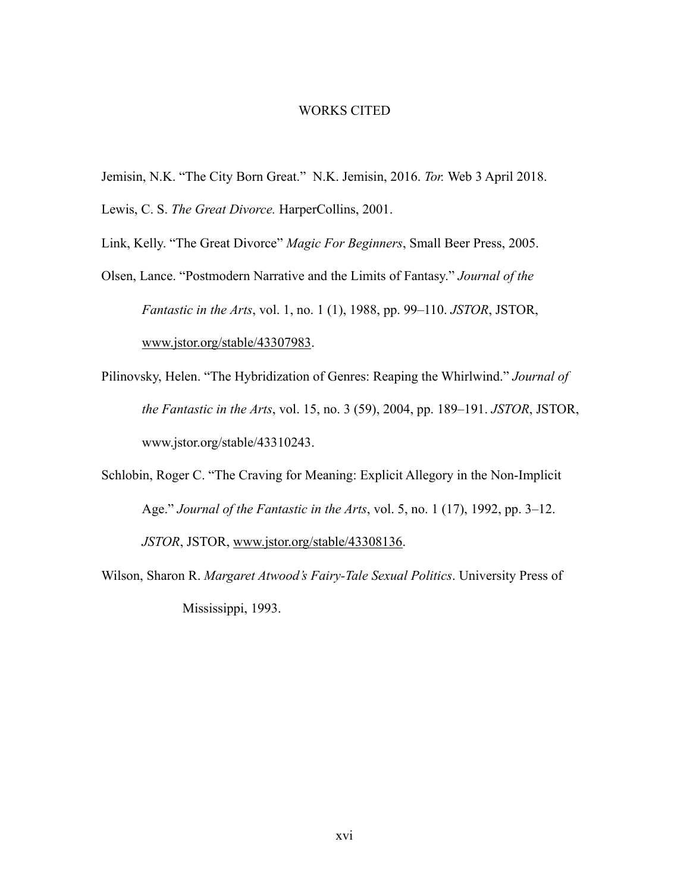#### WORKS CITED

Jemisin, N.K. "The City Born Great." N.K. Jemisin, 2016. *Tor.* Web 3 April 2018.

Lewis, C. S. *The Great Divorce*. HarperCollins, 2001.

Link, Kelly. "The Great Divorce" *Magic For Beginners*, Small Beer Press, 2005.

- Olsen, Lance. "Postmodern Narrative and the Limits of Fantasy." *Journal of the Fantastic in the Arts*, vol. 1, no. 1 (1), 1988, pp. 99–110. *JSTOR*, JSTOR, [www.jstor.org/stable/](http://www.jstor.org/stable/)43307983.
- Pilinovsky, Helen. "The Hybridization of Genres: Reaping the Whirlwind." *Journal of the Fantastic in the Arts*, vol. 15, no. 3 (59), 2004, pp. 189–191. *JSTOR*, JSTOR, www.jstor.org/stable/43310243.
- Schlobin, Roger C. "The Craving for Meaning: Explicit Allegory in the Non-Implicit Age." *Journal of the Fantastic in the Arts*, vol. 5, no. 1 (17), 1992, pp. 3–12. *JSTOR*, JSTOR, [www.jstor.org/stable/43308136](http://www.jstor.org/stable/43308136).
- Wilson, Sharon R. *Margaret Atwood's Fairy-Tale Sexual Politics*. University Press of Mississippi, 1993.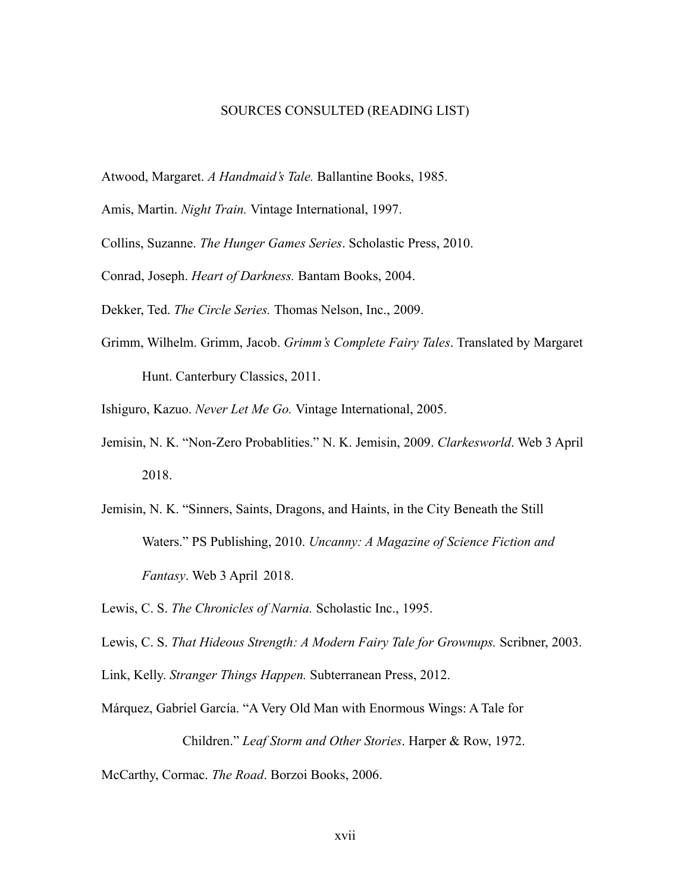#### SOURCES CONSULTED (READING LIST)

Atwood, Margaret. *A Handmaid's Tale.* Ballantine Books, 1985.

Amis, Martin. *Night Train.* Vintage International, 1997.

Collins, Suzanne. *The Hunger Games Series*. Scholastic Press, 2010.

Conrad, Joseph. *Heart of Darkness.* Bantam Books, 2004.

Dekker, Ted. *The Circle Series.* Thomas Nelson, Inc., 2009.

Grimm, Wilhelm. Grimm, Jacob. *Grimm's Complete Fairy Tales*. Translated by Margaret Hunt. Canterbury Classics, 2011.

Ishiguro, Kazuo. *Never Let Me Go.* Vintage International, 2005.

- Jemisin, N. K. "Non-Zero Probablities." N. K. Jemisin, 2009. *Clarkesworld*. Web 3 April 2018.
- Jemisin, N. K. "Sinners, Saints, Dragons, and Haints, in the City Beneath the Still Waters." PS Publishing, 2010. *Uncanny: A Magazine of Science Fiction and Fantasy*. Web 3 April 2018.

Lewis, C. S. *The Chronicles of Narnia.* Scholastic Inc., 1995.

Lewis, C. S. *That Hideous Strength: A Modern Fairy Tale for Grownups.* Scribner, 2003.

Link, Kelly. *Stranger Things Happen.* Subterranean Press, 2012.

Márquez, Gabriel García. "A Very Old Man with Enormous Wings: A Tale for

 Children." *Leaf Storm and Other Stories*. Harper & Row, 1972. McCarthy, Cormac. *The Road*. Borzoi Books, 2006.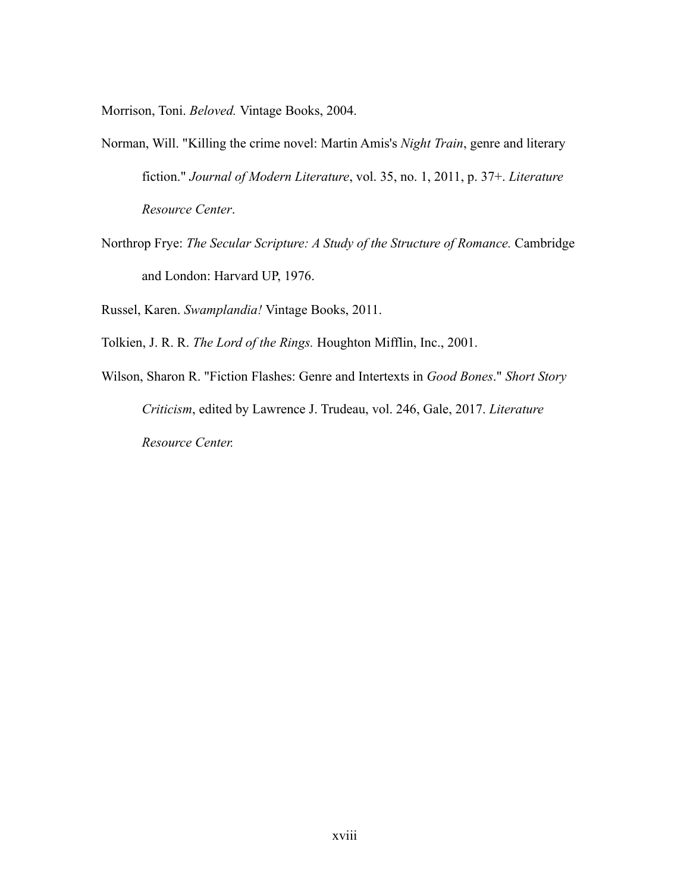Morrison, Toni. *Beloved.* Vintage Books, 2004.

- Norman, Will. "Killing the crime novel: Martin Amis's *Night Train*, genre and literary fiction." *Journal of Modern Literature*, vol. 35, no. 1, 2011, p. 37+. *Literature Resource Center*.
- Northrop Frye: *The Secular Scripture: A Study of the Structure of Romance.* Cambridge and London: Harvard UP, 1976.

Russel, Karen. *Swamplandia!* Vintage Books, 2011.

Tolkien, J. R. R. *The Lord of the Rings.* Houghton Mifflin, Inc., 2001.

Wilson, Sharon R. "Fiction Flashes: Genre and Intertexts in *Good Bones*." *Short Story Criticism*, edited by Lawrence J. Trudeau, vol. 246, Gale, 2017. *Literature Resource Center.*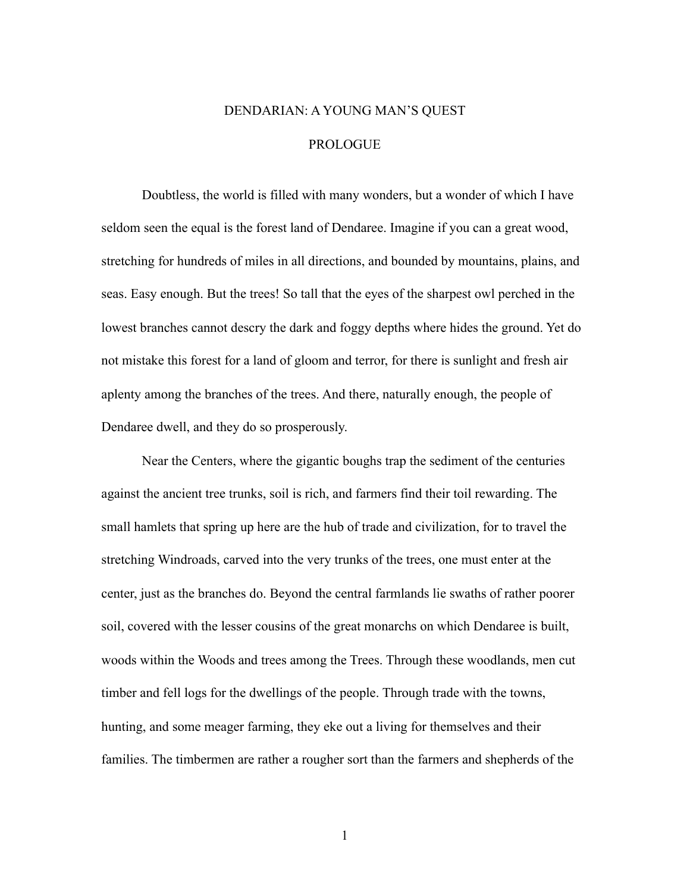## DENDARIAN: A YOUNG MAN'S QUEST PROLOGUE

 Doubtless, the world is filled with many wonders, but a wonder of which I have seldom seen the equal is the forest land of Dendaree. Imagine if you can a great wood, stretching for hundreds of miles in all directions, and bounded by mountains, plains, and seas. Easy enough. But the trees! So tall that the eyes of the sharpest owl perched in the lowest branches cannot descry the dark and foggy depths where hides the ground. Yet do not mistake this forest for a land of gloom and terror, for there is sunlight and fresh air aplenty among the branches of the trees. And there, naturally enough, the people of Dendaree dwell, and they do so prosperously.

 Near the Centers, where the gigantic boughs trap the sediment of the centuries against the ancient tree trunks, soil is rich, and farmers find their toil rewarding. The small hamlets that spring up here are the hub of trade and civilization, for to travel the stretching Windroads, carved into the very trunks of the trees, one must enter at the center, just as the branches do. Beyond the central farmlands lie swaths of rather poorer soil, covered with the lesser cousins of the great monarchs on which Dendaree is built, woods within the Woods and trees among the Trees. Through these woodlands, men cut timber and fell logs for the dwellings of the people. Through trade with the towns, hunting, and some meager farming, they eke out a living for themselves and their families. The timbermen are rather a rougher sort than the farmers and shepherds of the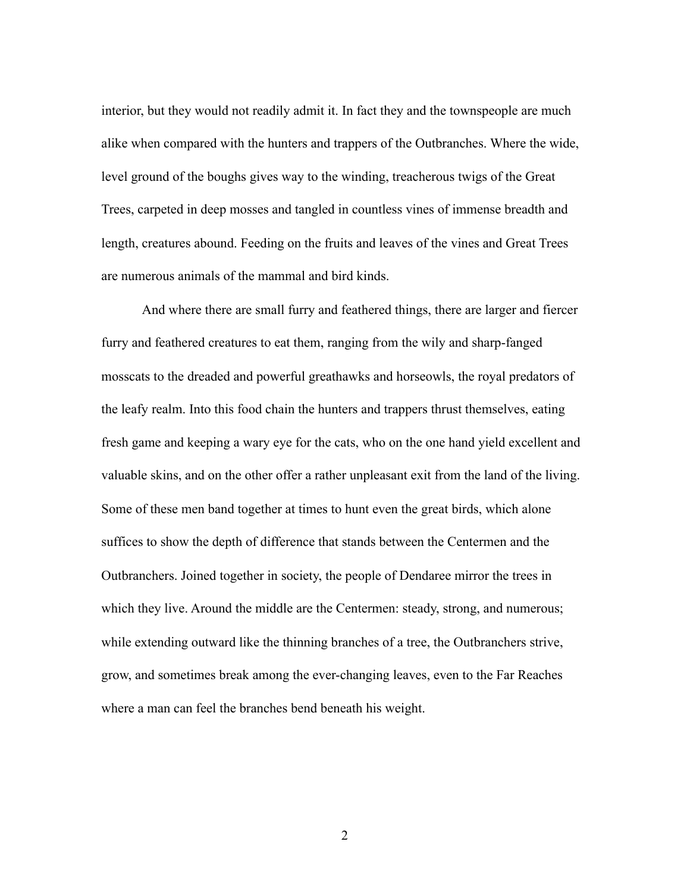interior, but they would not readily admit it. In fact they and the townspeople are much alike when compared with the hunters and trappers of the Outbranches. Where the wide, level ground of the boughs gives way to the winding, treacherous twigs of the Great Trees, carpeted in deep mosses and tangled in countless vines of immense breadth and length, creatures abound. Feeding on the fruits and leaves of the vines and Great Trees are numerous animals of the mammal and bird kinds.

 And where there are small furry and feathered things, there are larger and fiercer furry and feathered creatures to eat them, ranging from the wily and sharp-fanged mosscats to the dreaded and powerful greathawks and horseowls, the royal predators of the leafy realm. Into this food chain the hunters and trappers thrust themselves, eating fresh game and keeping a wary eye for the cats, who on the one hand yield excellent and valuable skins, and on the other offer a rather unpleasant exit from the land of the living. Some of these men band together at times to hunt even the great birds, which alone suffices to show the depth of difference that stands between the Centermen and the Outbranchers. Joined together in society, the people of Dendaree mirror the trees in which they live. Around the middle are the Centermen: steady, strong, and numerous; while extending outward like the thinning branches of a tree, the Outbranchers strive, grow, and sometimes break among the ever-changing leaves, even to the Far Reaches where a man can feel the branches bend beneath his weight.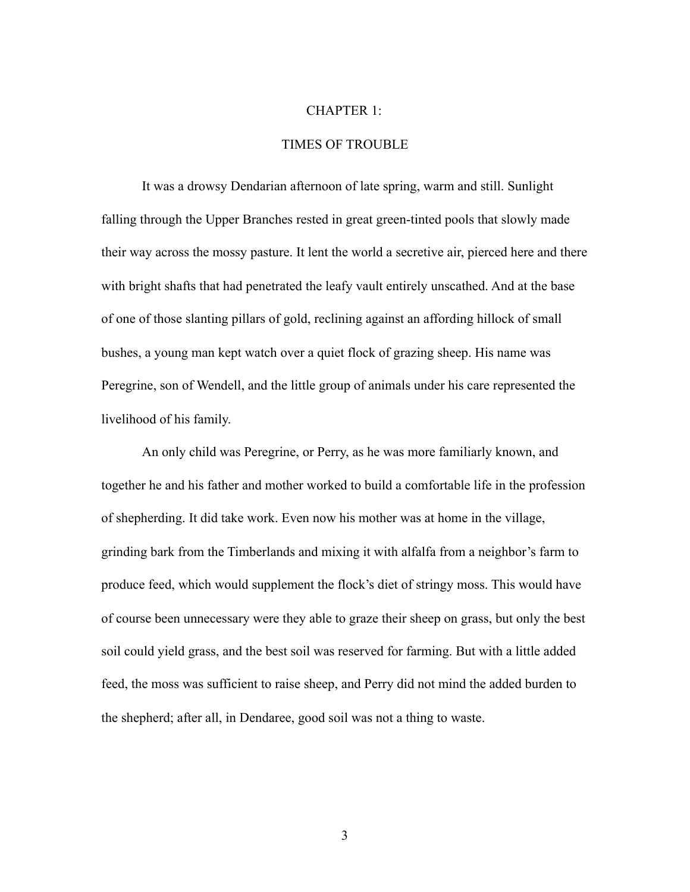#### CHAPTER 1:

#### TIMES OF TROUBLE

 It was a drowsy Dendarian afternoon of late spring, warm and still. Sunlight falling through the Upper Branches rested in great green-tinted pools that slowly made their way across the mossy pasture. It lent the world a secretive air, pierced here and there with bright shafts that had penetrated the leafy vault entirely unscathed. And at the base of one of those slanting pillars of gold, reclining against an affording hillock of small bushes, a young man kept watch over a quiet flock of grazing sheep. His name was Peregrine, son of Wendell, and the little group of animals under his care represented the livelihood of his family.

 An only child was Peregrine, or Perry, as he was more familiarly known, and together he and his father and mother worked to build a comfortable life in the profession of shepherding. It did take work. Even now his mother was at home in the village, grinding bark from the Timberlands and mixing it with alfalfa from a neighbor's farm to produce feed, which would supplement the flock's diet of stringy moss. This would have of course been unnecessary were they able to graze their sheep on grass, but only the best soil could yield grass, and the best soil was reserved for farming. But with a little added feed, the moss was sufficient to raise sheep, and Perry did not mind the added burden to the shepherd; after all, in Dendaree, good soil was not a thing to waste.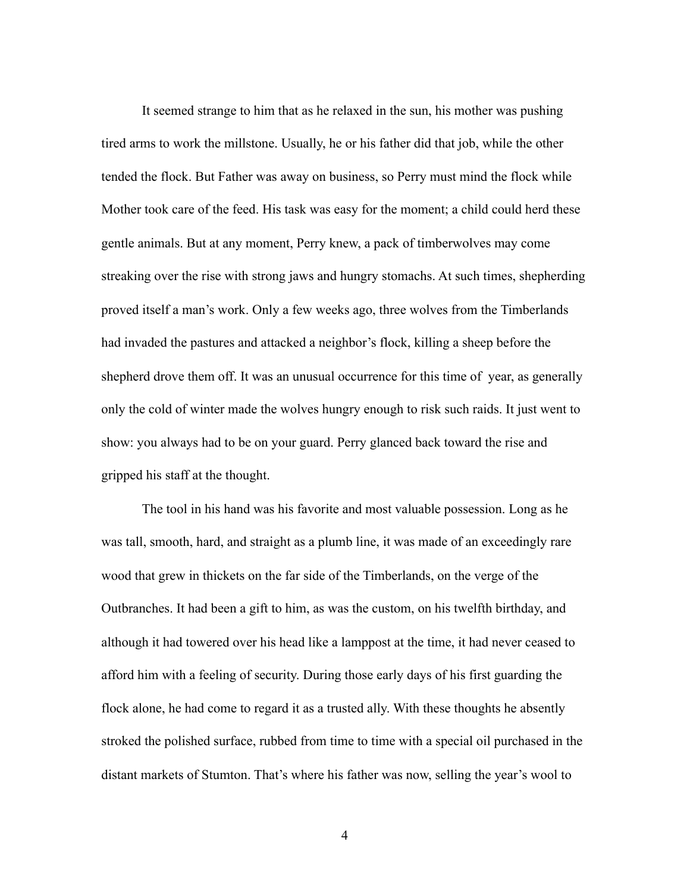It seemed strange to him that as he relaxed in the sun, his mother was pushing tired arms to work the millstone. Usually, he or his father did that job, while the other tended the flock. But Father was away on business, so Perry must mind the flock while Mother took care of the feed. His task was easy for the moment; a child could herd these gentle animals. But at any moment, Perry knew, a pack of timberwolves may come streaking over the rise with strong jaws and hungry stomachs. At such times, shepherding proved itself a man's work. Only a few weeks ago, three wolves from the Timberlands had invaded the pastures and attacked a neighbor's flock, killing a sheep before the shepherd drove them off. It was an unusual occurrence for this time of year, as generally only the cold of winter made the wolves hungry enough to risk such raids. It just went to show: you always had to be on your guard. Perry glanced back toward the rise and gripped his staff at the thought.

 The tool in his hand was his favorite and most valuable possession. Long as he was tall, smooth, hard, and straight as a plumb line, it was made of an exceedingly rare wood that grew in thickets on the far side of the Timberlands, on the verge of the Outbranches. It had been a gift to him, as was the custom, on his twelfth birthday, and although it had towered over his head like a lamppost at the time, it had never ceased to afford him with a feeling of security. During those early days of his first guarding the flock alone, he had come to regard it as a trusted ally. With these thoughts he absently stroked the polished surface, rubbed from time to time with a special oil purchased in the distant markets of Stumton. That's where his father was now, selling the year's wool to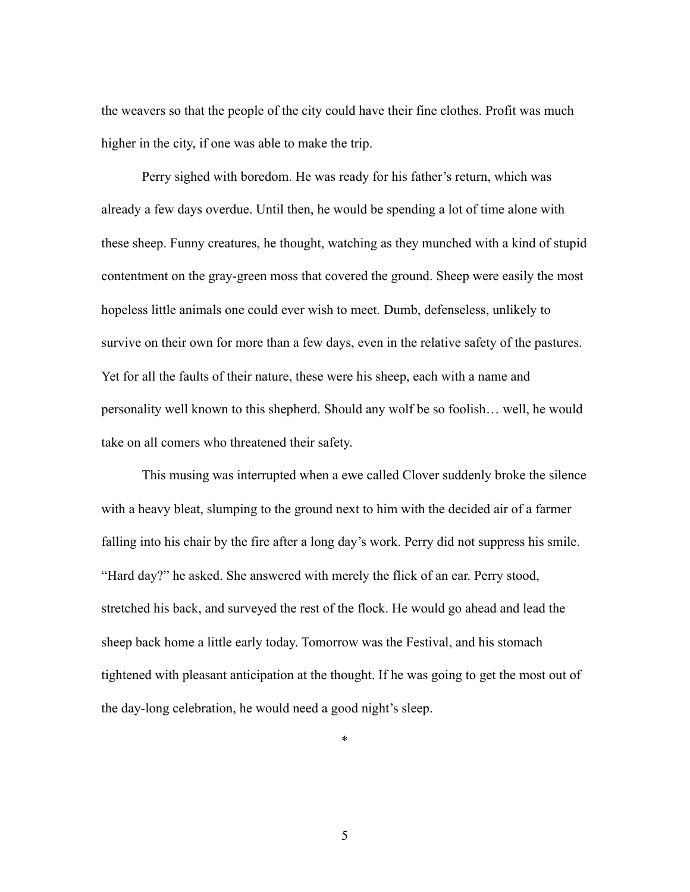the weavers so that the people of the city could have their fine clothes. Profit was much higher in the city, if one was able to make the trip.

 Perry sighed with boredom. He was ready for his father's return, which was already a few days overdue. Until then, he would be spending a lot of time alone with these sheep. Funny creatures, he thought, watching as they munched with a kind of stupid contentment on the gray-green moss that covered the ground. Sheep were easily the most hopeless little animals one could ever wish to meet. Dumb, defenseless, unlikely to survive on their own for more than a few days, even in the relative safety of the pastures. Yet for all the faults of their nature, these were his sheep, each with a name and personality well known to this shepherd. Should any wolf be so foolish… well, he would take on all comers who threatened their safety.

 This musing was interrupted when a ewe called Clover suddenly broke the silence with a heavy bleat, slumping to the ground next to him with the decided air of a farmer falling into his chair by the fire after a long day's work. Perry did not suppress his smile. "Hard day?" he asked. She answered with merely the flick of an ear. Perry stood, stretched his back, and surveyed the rest of the flock. He would go ahead and lead the sheep back home a little early today. Tomorrow was the Festival, and his stomach tightened with pleasant anticipation at the thought. If he was going to get the most out of the day-long celebration, he would need a good night's sleep.

\*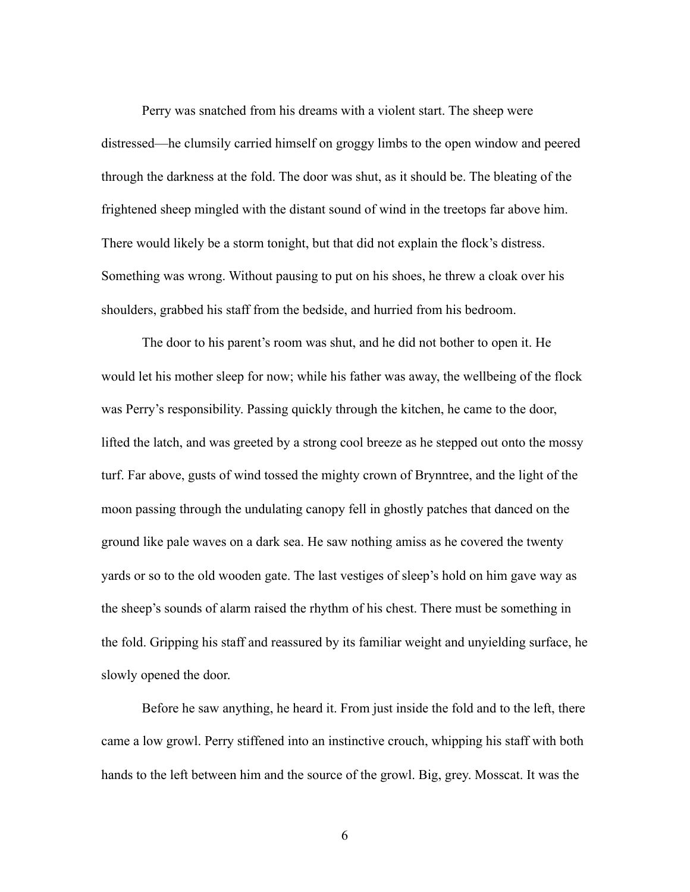Perry was snatched from his dreams with a violent start. The sheep were distressed—he clumsily carried himself on groggy limbs to the open window and peered through the darkness at the fold. The door was shut, as it should be. The bleating of the frightened sheep mingled with the distant sound of wind in the treetops far above him. There would likely be a storm tonight, but that did not explain the flock's distress. Something was wrong. Without pausing to put on his shoes, he threw a cloak over his shoulders, grabbed his staff from the bedside, and hurried from his bedroom.

 The door to his parent's room was shut, and he did not bother to open it. He would let his mother sleep for now; while his father was away, the wellbeing of the flock was Perry's responsibility. Passing quickly through the kitchen, he came to the door, lifted the latch, and was greeted by a strong cool breeze as he stepped out onto the mossy turf. Far above, gusts of wind tossed the mighty crown of Brynntree, and the light of the moon passing through the undulating canopy fell in ghostly patches that danced on the ground like pale waves on a dark sea. He saw nothing amiss as he covered the twenty yards or so to the old wooden gate. The last vestiges of sleep's hold on him gave way as the sheep's sounds of alarm raised the rhythm of his chest. There must be something in the fold. Gripping his staff and reassured by its familiar weight and unyielding surface, he slowly opened the door.

 Before he saw anything, he heard it. From just inside the fold and to the left, there came a low growl. Perry stiffened into an instinctive crouch, whipping his staff with both hands to the left between him and the source of the growl. Big, grey. Mosscat. It was the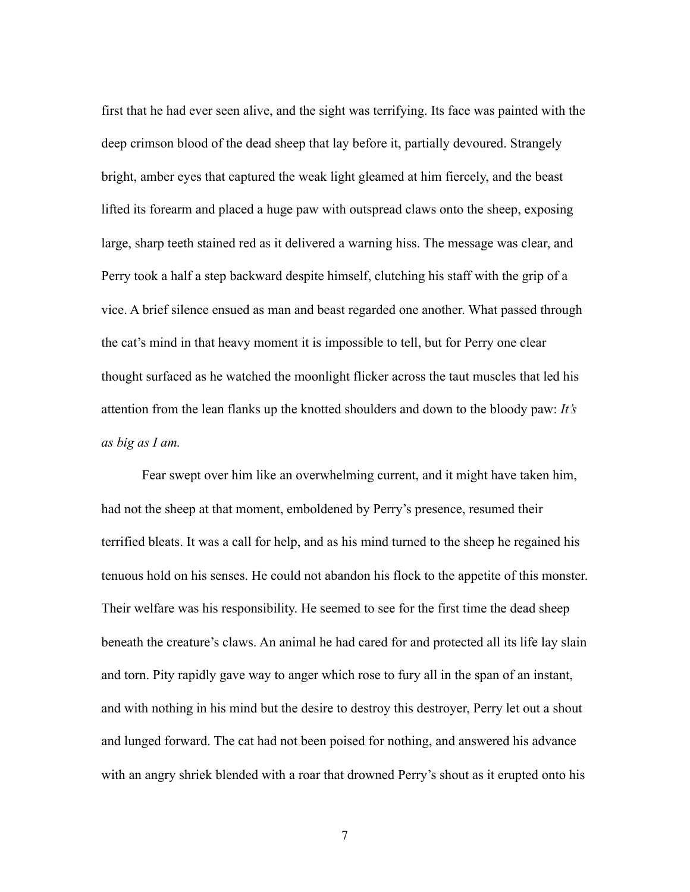first that he had ever seen alive, and the sight was terrifying. Its face was painted with the deep crimson blood of the dead sheep that lay before it, partially devoured. Strangely bright, amber eyes that captured the weak light gleamed at him fiercely, and the beast lifted its forearm and placed a huge paw with outspread claws onto the sheep, exposing large, sharp teeth stained red as it delivered a warning hiss. The message was clear, and Perry took a half a step backward despite himself, clutching his staff with the grip of a vice. A brief silence ensued as man and beast regarded one another. What passed through the cat's mind in that heavy moment it is impossible to tell, but for Perry one clear thought surfaced as he watched the moonlight flicker across the taut muscles that led his attention from the lean flanks up the knotted shoulders and down to the bloody paw: *It's as big as I am.* 

Fear swept over him like an overwhelming current, and it might have taken him, had not the sheep at that moment, emboldened by Perry's presence, resumed their terrified bleats. It was a call for help, and as his mind turned to the sheep he regained his tenuous hold on his senses. He could not abandon his flock to the appetite of this monster. Their welfare was his responsibility. He seemed to see for the first time the dead sheep beneath the creature's claws. An animal he had cared for and protected all its life lay slain and torn. Pity rapidly gave way to anger which rose to fury all in the span of an instant, and with nothing in his mind but the desire to destroy this destroyer, Perry let out a shout and lunged forward. The cat had not been poised for nothing, and answered his advance with an angry shriek blended with a roar that drowned Perry's shout as it erupted onto his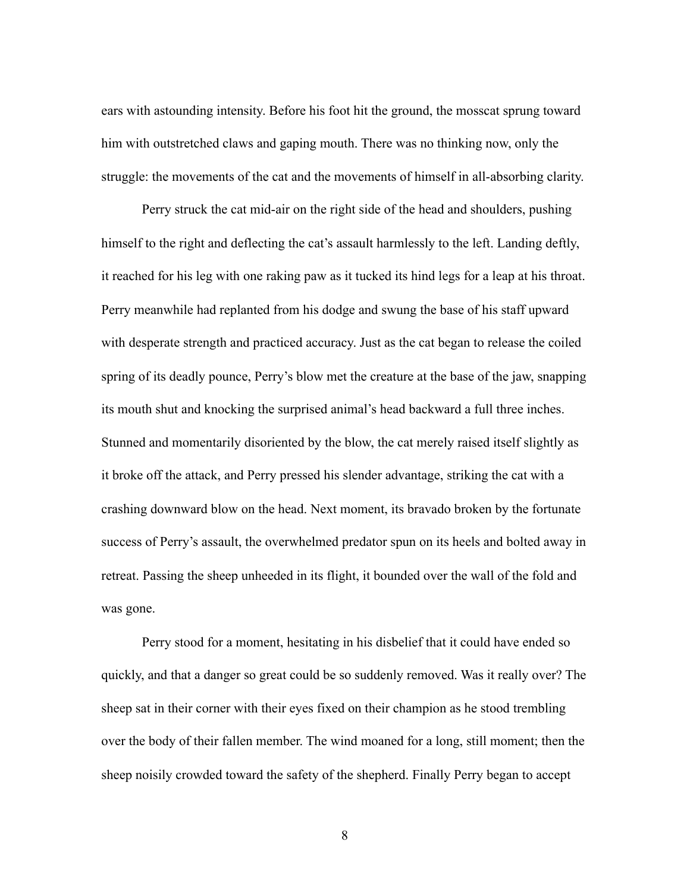ears with astounding intensity. Before his foot hit the ground, the mosscat sprung toward him with outstretched claws and gaping mouth. There was no thinking now, only the struggle: the movements of the cat and the movements of himself in all-absorbing clarity.

 Perry struck the cat mid-air on the right side of the head and shoulders, pushing himself to the right and deflecting the cat's assault harmlessly to the left. Landing deftly, it reached for his leg with one raking paw as it tucked its hind legs for a leap at his throat. Perry meanwhile had replanted from his dodge and swung the base of his staff upward with desperate strength and practiced accuracy. Just as the cat began to release the coiled spring of its deadly pounce, Perry's blow met the creature at the base of the jaw, snapping its mouth shut and knocking the surprised animal's head backward a full three inches. Stunned and momentarily disoriented by the blow, the cat merely raised itself slightly as it broke off the attack, and Perry pressed his slender advantage, striking the cat with a crashing downward blow on the head. Next moment, its bravado broken by the fortunate success of Perry's assault, the overwhelmed predator spun on its heels and bolted away in retreat. Passing the sheep unheeded in its flight, it bounded over the wall of the fold and was gone.

 Perry stood for a moment, hesitating in his disbelief that it could have ended so quickly, and that a danger so great could be so suddenly removed. Was it really over? The sheep sat in their corner with their eyes fixed on their champion as he stood trembling over the body of their fallen member. The wind moaned for a long, still moment; then the sheep noisily crowded toward the safety of the shepherd. Finally Perry began to accept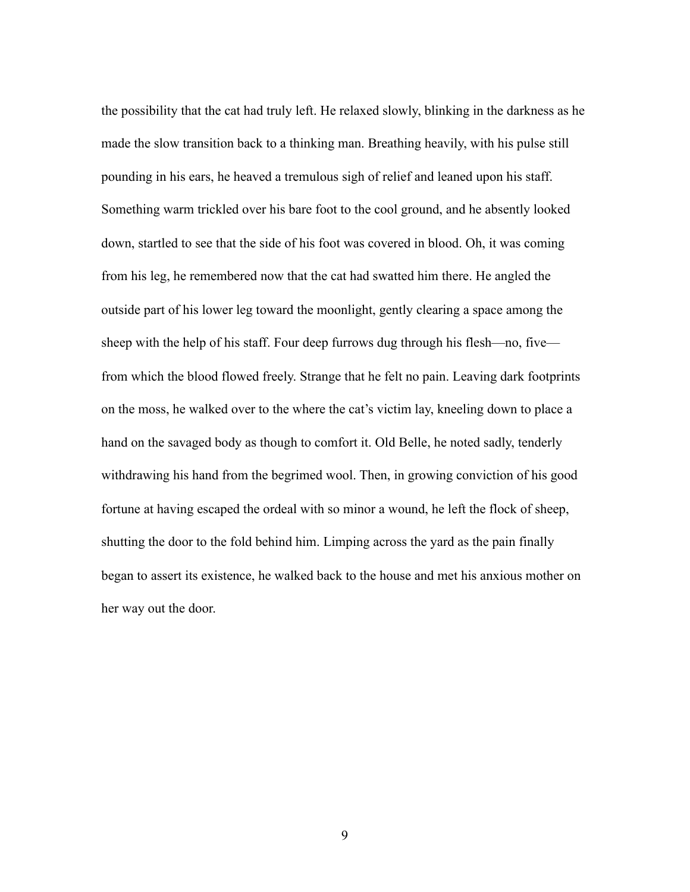the possibility that the cat had truly left. He relaxed slowly, blinking in the darkness as he made the slow transition back to a thinking man. Breathing heavily, with his pulse still pounding in his ears, he heaved a tremulous sigh of relief and leaned upon his staff. Something warm trickled over his bare foot to the cool ground, and he absently looked down, startled to see that the side of his foot was covered in blood. Oh, it was coming from his leg, he remembered now that the cat had swatted him there. He angled the outside part of his lower leg toward the moonlight, gently clearing a space among the sheep with the help of his staff. Four deep furrows dug through his flesh—no, five from which the blood flowed freely. Strange that he felt no pain. Leaving dark footprints on the moss, he walked over to the where the cat's victim lay, kneeling down to place a hand on the savaged body as though to comfort it. Old Belle, he noted sadly, tenderly withdrawing his hand from the begrimed wool. Then, in growing conviction of his good fortune at having escaped the ordeal with so minor a wound, he left the flock of sheep, shutting the door to the fold behind him. Limping across the yard as the pain finally began to assert its existence, he walked back to the house and met his anxious mother on her way out the door.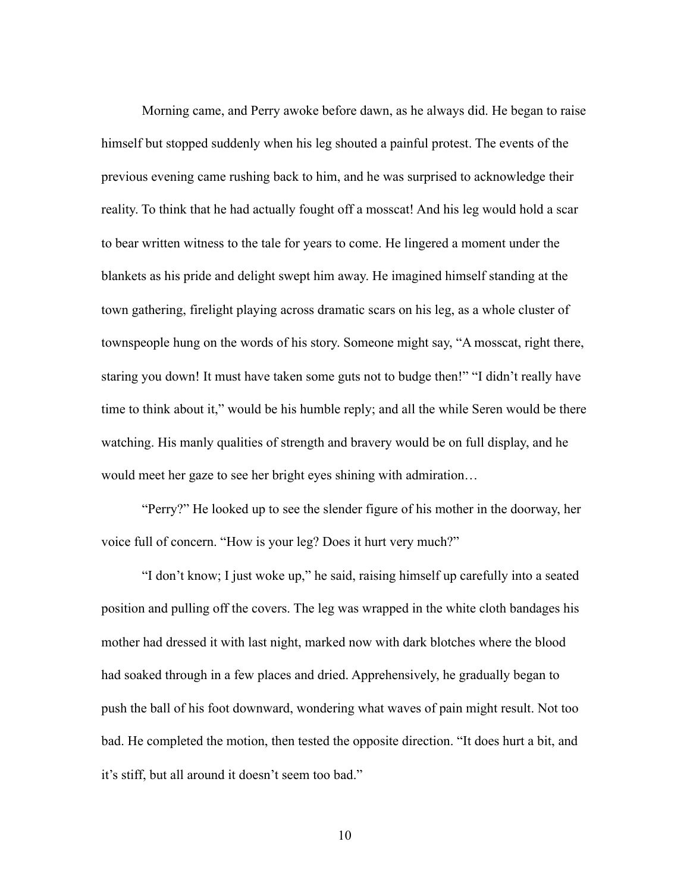Morning came, and Perry awoke before dawn, as he always did. He began to raise himself but stopped suddenly when his leg shouted a painful protest. The events of the previous evening came rushing back to him, and he was surprised to acknowledge their reality. To think that he had actually fought off a mosscat! And his leg would hold a scar to bear written witness to the tale for years to come. He lingered a moment under the blankets as his pride and delight swept him away. He imagined himself standing at the town gathering, firelight playing across dramatic scars on his leg, as a whole cluster of townspeople hung on the words of his story. Someone might say, "A mosscat, right there, staring you down! It must have taken some guts not to budge then!" "I didn't really have time to think about it," would be his humble reply; and all the while Seren would be there watching. His manly qualities of strength and bravery would be on full display, and he would meet her gaze to see her bright eyes shining with admiration…

 "Perry?" He looked up to see the slender figure of his mother in the doorway, her voice full of concern. "How is your leg? Does it hurt very much?"

 "I don't know; I just woke up," he said, raising himself up carefully into a seated position and pulling off the covers. The leg was wrapped in the white cloth bandages his mother had dressed it with last night, marked now with dark blotches where the blood had soaked through in a few places and dried. Apprehensively, he gradually began to push the ball of his foot downward, wondering what waves of pain might result. Not too bad. He completed the motion, then tested the opposite direction. "It does hurt a bit, and it's stiff, but all around it doesn't seem too bad."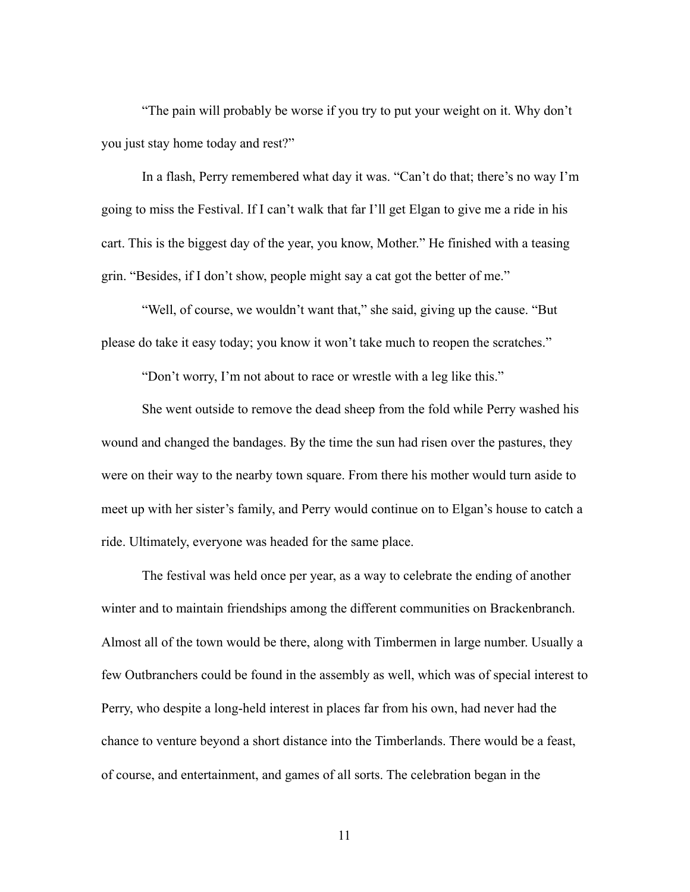"The pain will probably be worse if you try to put your weight on it. Why don't you just stay home today and rest?"

 In a flash, Perry remembered what day it was. "Can't do that; there's no way I'm going to miss the Festival. If I can't walk that far I'll get Elgan to give me a ride in his cart. This is the biggest day of the year, you know, Mother." He finished with a teasing grin. "Besides, if I don't show, people might say a cat got the better of me."

 "Well, of course, we wouldn't want that," she said, giving up the cause. "But please do take it easy today; you know it won't take much to reopen the scratches."

"Don't worry, I'm not about to race or wrestle with a leg like this."

 She went outside to remove the dead sheep from the fold while Perry washed his wound and changed the bandages. By the time the sun had risen over the pastures, they were on their way to the nearby town square. From there his mother would turn aside to meet up with her sister's family, and Perry would continue on to Elgan's house to catch a ride. Ultimately, everyone was headed for the same place.

 The festival was held once per year, as a way to celebrate the ending of another winter and to maintain friendships among the different communities on Brackenbranch. Almost all of the town would be there, along with Timbermen in large number. Usually a few Outbranchers could be found in the assembly as well, which was of special interest to Perry, who despite a long-held interest in places far from his own, had never had the chance to venture beyond a short distance into the Timberlands. There would be a feast, of course, and entertainment, and games of all sorts. The celebration began in the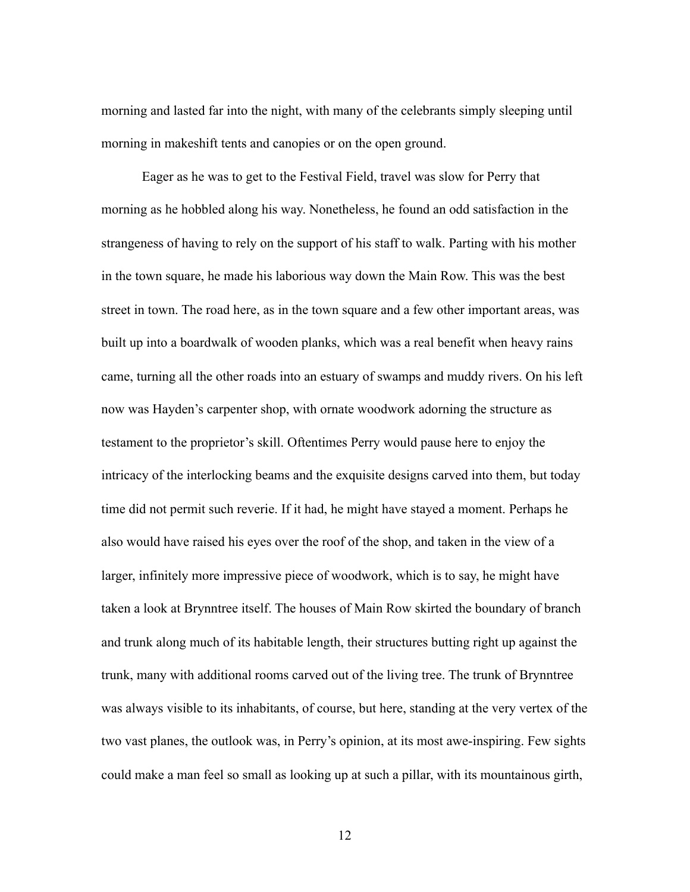morning and lasted far into the night, with many of the celebrants simply sleeping until morning in makeshift tents and canopies or on the open ground.

 Eager as he was to get to the Festival Field, travel was slow for Perry that morning as he hobbled along his way. Nonetheless, he found an odd satisfaction in the strangeness of having to rely on the support of his staff to walk. Parting with his mother in the town square, he made his laborious way down the Main Row. This was the best street in town. The road here, as in the town square and a few other important areas, was built up into a boardwalk of wooden planks, which was a real benefit when heavy rains came, turning all the other roads into an estuary of swamps and muddy rivers. On his left now was Hayden's carpenter shop, with ornate woodwork adorning the structure as testament to the proprietor's skill. Oftentimes Perry would pause here to enjoy the intricacy of the interlocking beams and the exquisite designs carved into them, but today time did not permit such reverie. If it had, he might have stayed a moment. Perhaps he also would have raised his eyes over the roof of the shop, and taken in the view of a larger, infinitely more impressive piece of woodwork, which is to say, he might have taken a look at Brynntree itself. The houses of Main Row skirted the boundary of branch and trunk along much of its habitable length, their structures butting right up against the trunk, many with additional rooms carved out of the living tree. The trunk of Brynntree was always visible to its inhabitants, of course, but here, standing at the very vertex of the two vast planes, the outlook was, in Perry's opinion, at its most awe-inspiring. Few sights could make a man feel so small as looking up at such a pillar, with its mountainous girth,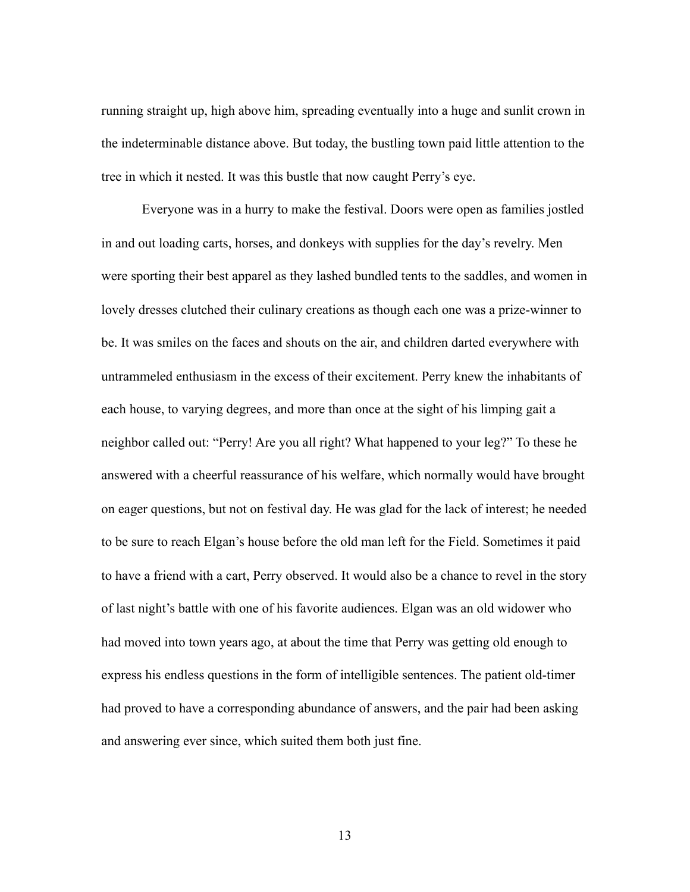running straight up, high above him, spreading eventually into a huge and sunlit crown in the indeterminable distance above. But today, the bustling town paid little attention to the tree in which it nested. It was this bustle that now caught Perry's eye.

 Everyone was in a hurry to make the festival. Doors were open as families jostled in and out loading carts, horses, and donkeys with supplies for the day's revelry. Men were sporting their best apparel as they lashed bundled tents to the saddles, and women in lovely dresses clutched their culinary creations as though each one was a prize-winner to be. It was smiles on the faces and shouts on the air, and children darted everywhere with untrammeled enthusiasm in the excess of their excitement. Perry knew the inhabitants of each house, to varying degrees, and more than once at the sight of his limping gait a neighbor called out: "Perry! Are you all right? What happened to your leg?" To these he answered with a cheerful reassurance of his welfare, which normally would have brought on eager questions, but not on festival day. He was glad for the lack of interest; he needed to be sure to reach Elgan's house before the old man left for the Field. Sometimes it paid to have a friend with a cart, Perry observed. It would also be a chance to revel in the story of last night's battle with one of his favorite audiences. Elgan was an old widower who had moved into town years ago, at about the time that Perry was getting old enough to express his endless questions in the form of intelligible sentences. The patient old-timer had proved to have a corresponding abundance of answers, and the pair had been asking and answering ever since, which suited them both just fine.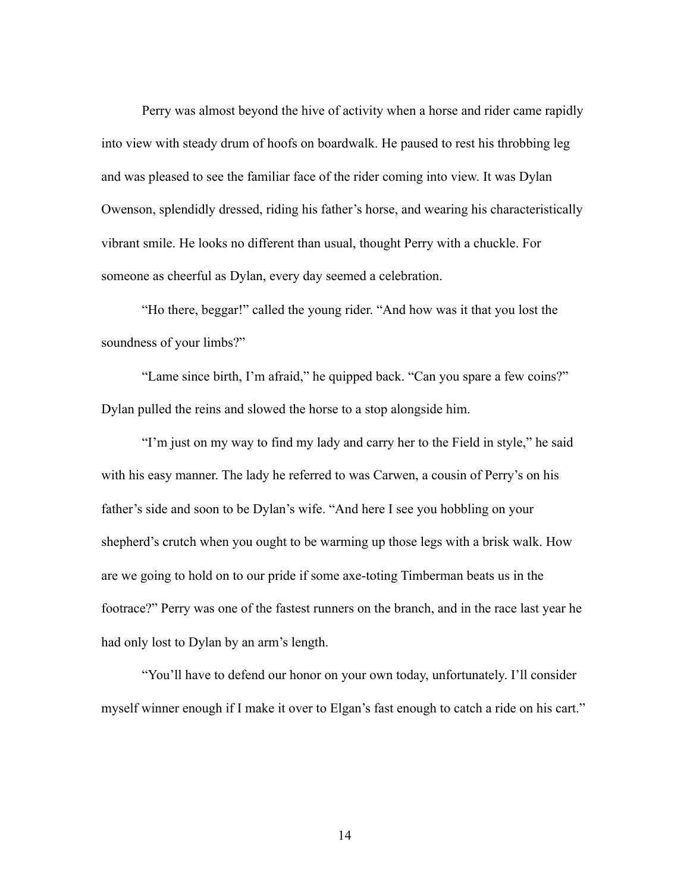Perry was almost beyond the hive of activity when a horse and rider came rapidly into view with steady drum of hoofs on boardwalk. He paused to rest his throbbing leg and was pleased to see the familiar face of the rider coming into view. It was Dylan Owenson, splendidly dressed, riding his father's horse, and wearing his characteristically vibrant smile. He looks no different than usual, thought Perry with a chuckle. For someone as cheerful as Dylan, every day seemed a celebration.

 "Ho there, beggar!" called the young rider. "And how was it that you lost the soundness of your limbs?"

 "Lame since birth, I'm afraid," he quipped back. "Can you spare a few coins?" Dylan pulled the reins and slowed the horse to a stop alongside him.

 "I'm just on my way to find my lady and carry her to the Field in style," he said with his easy manner. The lady he referred to was Carwen, a cousin of Perry's on his father's side and soon to be Dylan's wife. "And here I see you hobbling on your shepherd's crutch when you ought to be warming up those legs with a brisk walk. How are we going to hold on to our pride if some axe-toting Timberman beats us in the footrace?" Perry was one of the fastest runners on the branch, and in the race last year he had only lost to Dylan by an arm's length.

 "You'll have to defend our honor on your own today, unfortunately. I'll consider myself winner enough if I make it over to Elgan's fast enough to catch a ride on his cart."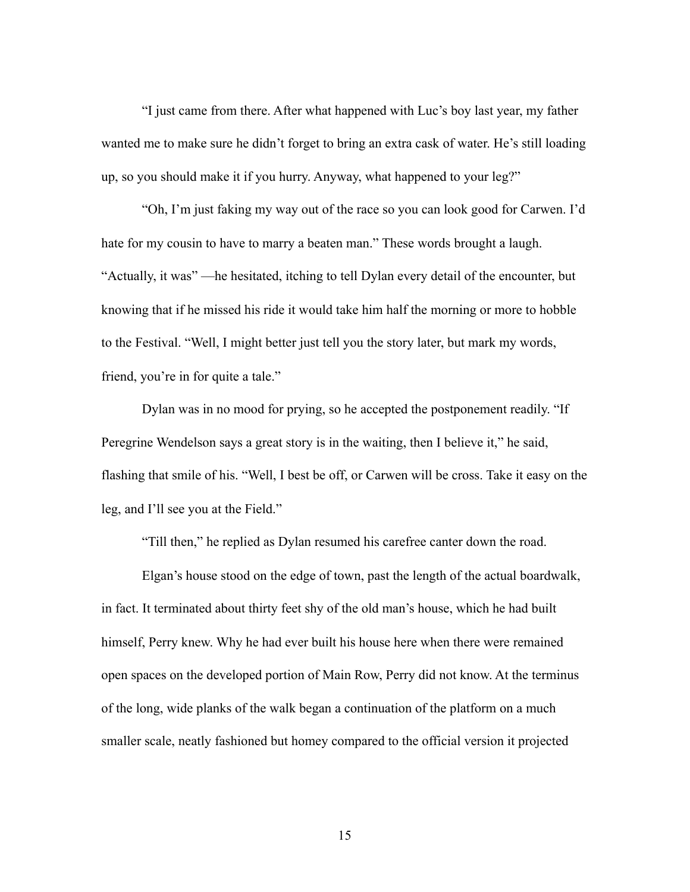"I just came from there. After what happened with Luc's boy last year, my father wanted me to make sure he didn't forget to bring an extra cask of water. He's still loading up, so you should make it if you hurry. Anyway, what happened to your leg?"

 "Oh, I'm just faking my way out of the race so you can look good for Carwen. I'd hate for my cousin to have to marry a beaten man." These words brought a laugh. "Actually, it was" —he hesitated, itching to tell Dylan every detail of the encounter, but knowing that if he missed his ride it would take him half the morning or more to hobble to the Festival. "Well, I might better just tell you the story later, but mark my words, friend, you're in for quite a tale."

 Dylan was in no mood for prying, so he accepted the postponement readily. "If Peregrine Wendelson says a great story is in the waiting, then I believe it," he said, flashing that smile of his. "Well, I best be off, or Carwen will be cross. Take it easy on the leg, and I'll see you at the Field."

"Till then," he replied as Dylan resumed his carefree canter down the road.

 Elgan's house stood on the edge of town, past the length of the actual boardwalk, in fact. It terminated about thirty feet shy of the old man's house, which he had built himself, Perry knew. Why he had ever built his house here when there were remained open spaces on the developed portion of Main Row, Perry did not know. At the terminus of the long, wide planks of the walk began a continuation of the platform on a much smaller scale, neatly fashioned but homey compared to the official version it projected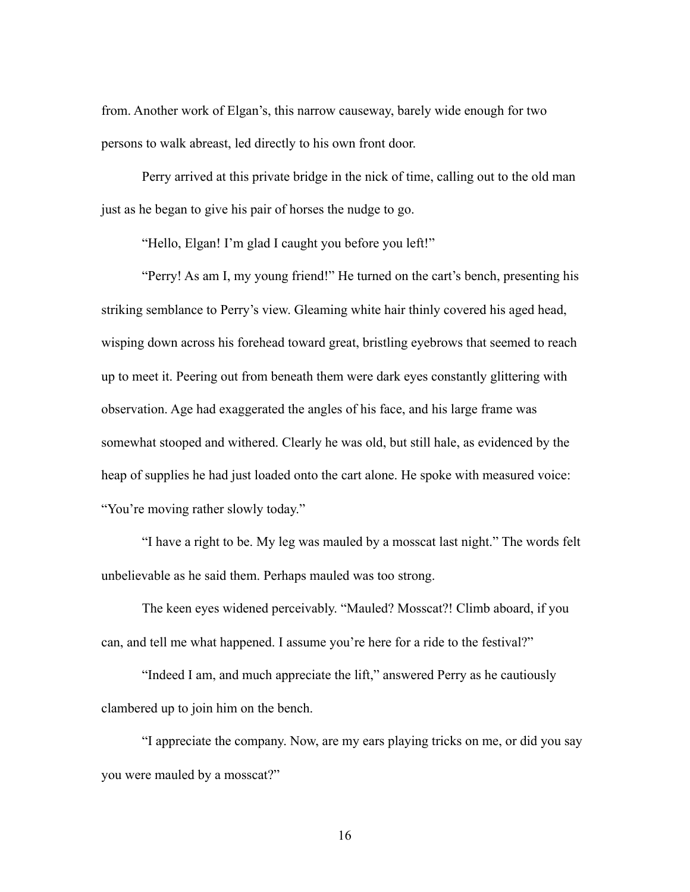from. Another work of Elgan's, this narrow causeway, barely wide enough for two persons to walk abreast, led directly to his own front door.

 Perry arrived at this private bridge in the nick of time, calling out to the old man just as he began to give his pair of horses the nudge to go.

"Hello, Elgan! I'm glad I caught you before you left!"

 "Perry! As am I, my young friend!" He turned on the cart's bench, presenting his striking semblance to Perry's view. Gleaming white hair thinly covered his aged head, wisping down across his forehead toward great, bristling eyebrows that seemed to reach up to meet it. Peering out from beneath them were dark eyes constantly glittering with observation. Age had exaggerated the angles of his face, and his large frame was somewhat stooped and withered. Clearly he was old, but still hale, as evidenced by the heap of supplies he had just loaded onto the cart alone. He spoke with measured voice: "You're moving rather slowly today."

 "I have a right to be. My leg was mauled by a mosscat last night." The words felt unbelievable as he said them. Perhaps mauled was too strong.

 The keen eyes widened perceivably. "Mauled? Mosscat?! Climb aboard, if you can, and tell me what happened. I assume you're here for a ride to the festival?"

 "Indeed I am, and much appreciate the lift," answered Perry as he cautiously clambered up to join him on the bench.

 "I appreciate the company. Now, are my ears playing tricks on me, or did you say you were mauled by a mosscat?"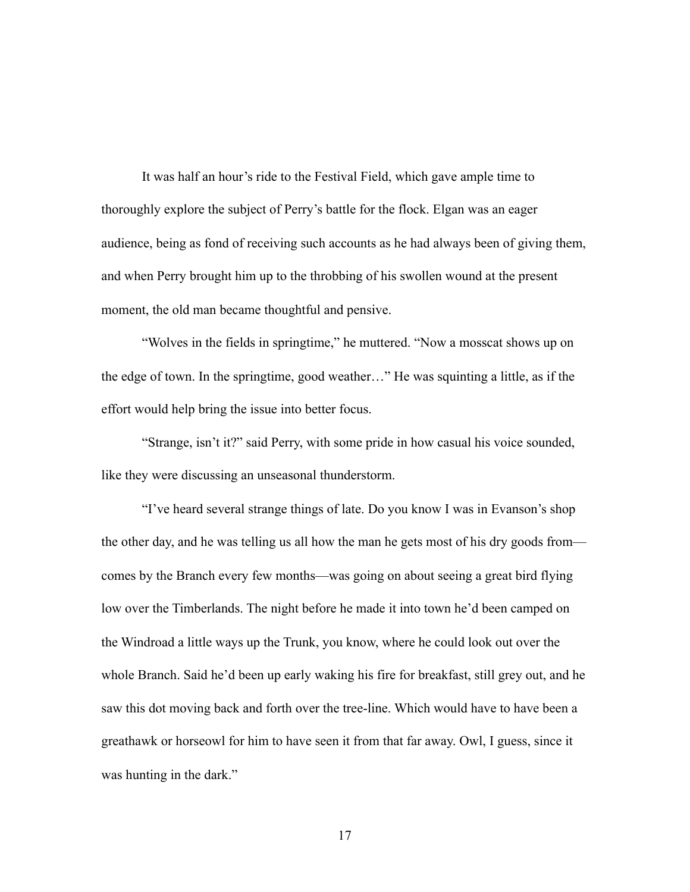It was half an hour's ride to the Festival Field, which gave ample time to thoroughly explore the subject of Perry's battle for the flock. Elgan was an eager audience, being as fond of receiving such accounts as he had always been of giving them, and when Perry brought him up to the throbbing of his swollen wound at the present moment, the old man became thoughtful and pensive.

 "Wolves in the fields in springtime," he muttered. "Now a mosscat shows up on the edge of town. In the springtime, good weather…" He was squinting a little, as if the effort would help bring the issue into better focus.

 "Strange, isn't it?" said Perry, with some pride in how casual his voice sounded, like they were discussing an unseasonal thunderstorm.

 "I've heard several strange things of late. Do you know I was in Evanson's shop the other day, and he was telling us all how the man he gets most of his dry goods from comes by the Branch every few months—was going on about seeing a great bird flying low over the Timberlands. The night before he made it into town he'd been camped on the Windroad a little ways up the Trunk, you know, where he could look out over the whole Branch. Said he'd been up early waking his fire for breakfast, still grey out, and he saw this dot moving back and forth over the tree-line. Which would have to have been a greathawk or horseowl for him to have seen it from that far away. Owl, I guess, since it was hunting in the dark."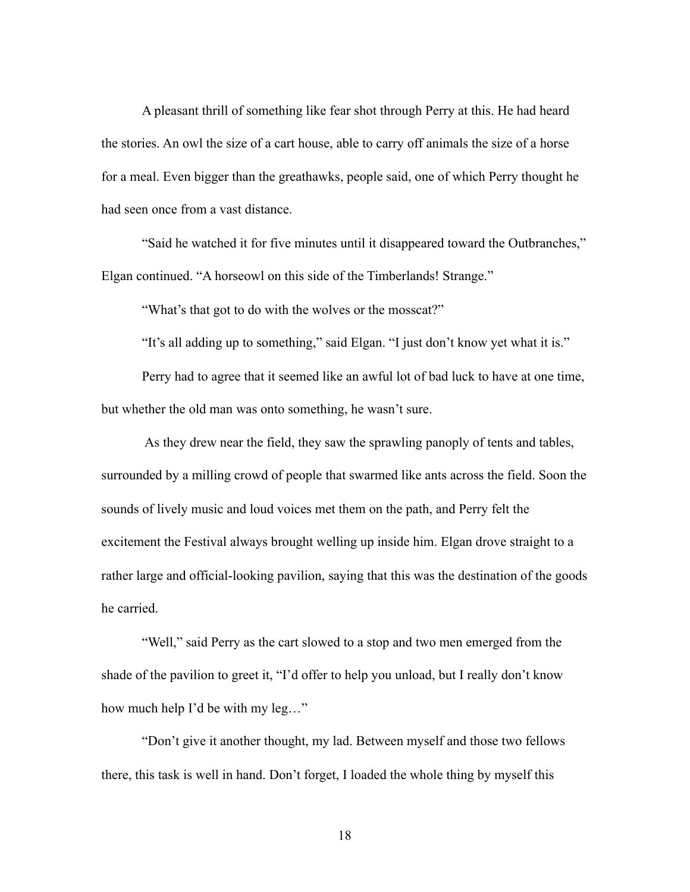A pleasant thrill of something like fear shot through Perry at this. He had heard the stories. An owl the size of a cart house, able to carry off animals the size of a horse for a meal. Even bigger than the greathawks, people said, one of which Perry thought he had seen once from a vast distance.

 "Said he watched it for five minutes until it disappeared toward the Outbranches," Elgan continued. "A horseowl on this side of the Timberlands! Strange."

"What's that got to do with the wolves or the mosscat?"

"It's all adding up to something," said Elgan. "I just don't know yet what it is."

 Perry had to agree that it seemed like an awful lot of bad luck to have at one time, but whether the old man was onto something, he wasn't sure.

 As they drew near the field, they saw the sprawling panoply of tents and tables, surrounded by a milling crowd of people that swarmed like ants across the field. Soon the sounds of lively music and loud voices met them on the path, and Perry felt the excitement the Festival always brought welling up inside him. Elgan drove straight to a rather large and official-looking pavilion, saying that this was the destination of the goods he carried.

"Well," said Perry as the cart slowed to a stop and two men emerged from the shade of the pavilion to greet it, "I'd offer to help you unload, but I really don't know how much help I'd be with my leg…"

 "Don't give it another thought, my lad. Between myself and those two fellows there, this task is well in hand. Don't forget, I loaded the whole thing by myself this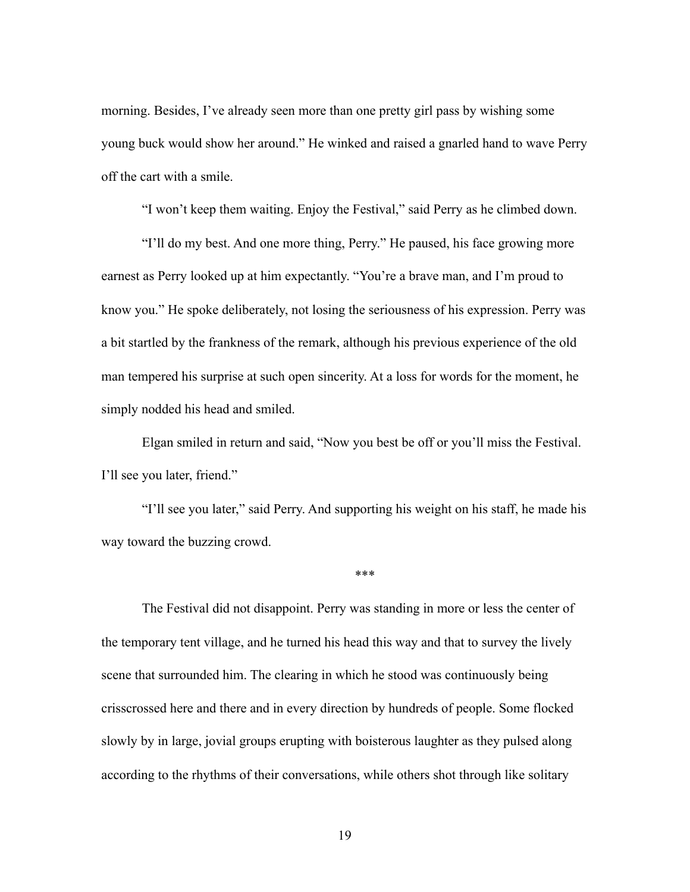morning. Besides, I've already seen more than one pretty girl pass by wishing some young buck would show her around." He winked and raised a gnarled hand to wave Perry off the cart with a smile.

"I won't keep them waiting. Enjoy the Festival," said Perry as he climbed down.

 "I'll do my best. And one more thing, Perry." He paused, his face growing more earnest as Perry looked up at him expectantly. "You're a brave man, and I'm proud to know you." He spoke deliberately, not losing the seriousness of his expression. Perry was a bit startled by the frankness of the remark, although his previous experience of the old man tempered his surprise at such open sincerity. At a loss for words for the moment, he simply nodded his head and smiled.

 Elgan smiled in return and said, "Now you best be off or you'll miss the Festival. I'll see you later, friend."

 "I'll see you later," said Perry. And supporting his weight on his staff, he made his way toward the buzzing crowd.

\*\*\*

 The Festival did not disappoint. Perry was standing in more or less the center of the temporary tent village, and he turned his head this way and that to survey the lively scene that surrounded him. The clearing in which he stood was continuously being crisscrossed here and there and in every direction by hundreds of people. Some flocked slowly by in large, jovial groups erupting with boisterous laughter as they pulsed along according to the rhythms of their conversations, while others shot through like solitary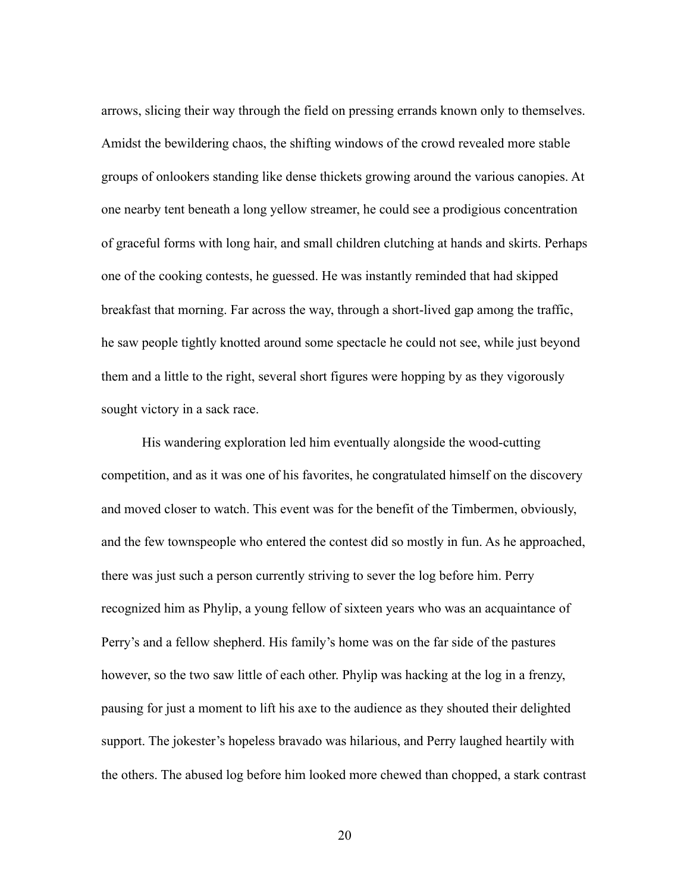arrows, slicing their way through the field on pressing errands known only to themselves. Amidst the bewildering chaos, the shifting windows of the crowd revealed more stable groups of onlookers standing like dense thickets growing around the various canopies. At one nearby tent beneath a long yellow streamer, he could see a prodigious concentration of graceful forms with long hair, and small children clutching at hands and skirts. Perhaps one of the cooking contests, he guessed. He was instantly reminded that had skipped breakfast that morning. Far across the way, through a short-lived gap among the traffic, he saw people tightly knotted around some spectacle he could not see, while just beyond them and a little to the right, several short figures were hopping by as they vigorously sought victory in a sack race.

 His wandering exploration led him eventually alongside the wood-cutting competition, and as it was one of his favorites, he congratulated himself on the discovery and moved closer to watch. This event was for the benefit of the Timbermen, obviously, and the few townspeople who entered the contest did so mostly in fun. As he approached, there was just such a person currently striving to sever the log before him. Perry recognized him as Phylip, a young fellow of sixteen years who was an acquaintance of Perry's and a fellow shepherd. His family's home was on the far side of the pastures however, so the two saw little of each other. Phylip was hacking at the log in a frenzy, pausing for just a moment to lift his axe to the audience as they shouted their delighted support. The jokester's hopeless bravado was hilarious, and Perry laughed heartily with the others. The abused log before him looked more chewed than chopped, a stark contrast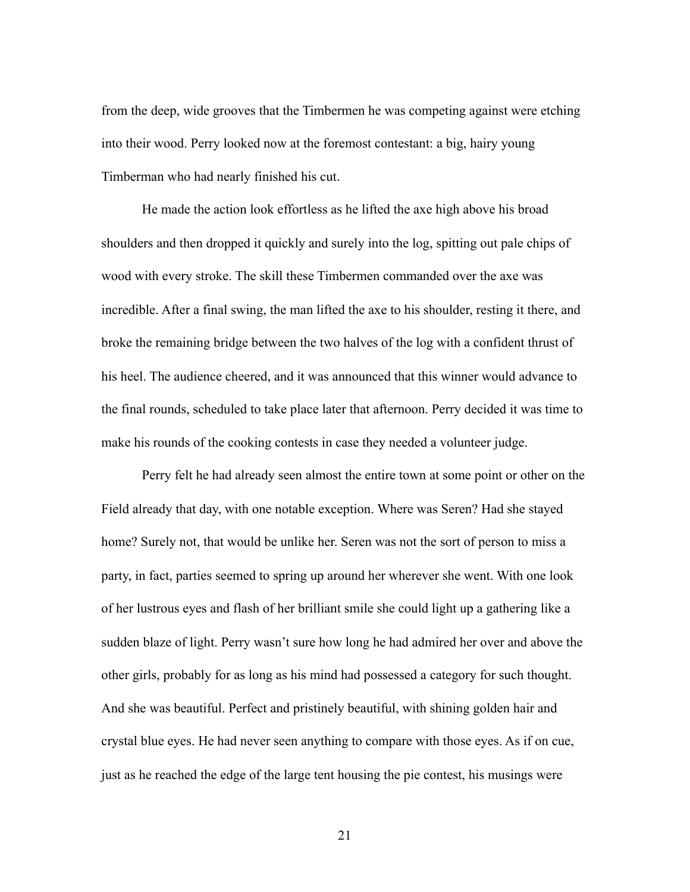from the deep, wide grooves that the Timbermen he was competing against were etching into their wood. Perry looked now at the foremost contestant: a big, hairy young Timberman who had nearly finished his cut.

 He made the action look effortless as he lifted the axe high above his broad shoulders and then dropped it quickly and surely into the log, spitting out pale chips of wood with every stroke. The skill these Timbermen commanded over the axe was incredible. After a final swing, the man lifted the axe to his shoulder, resting it there, and broke the remaining bridge between the two halves of the log with a confident thrust of his heel. The audience cheered, and it was announced that this winner would advance to the final rounds, scheduled to take place later that afternoon. Perry decided it was time to make his rounds of the cooking contests in case they needed a volunteer judge.

 Perry felt he had already seen almost the entire town at some point or other on the Field already that day, with one notable exception. Where was Seren? Had she stayed home? Surely not, that would be unlike her. Seren was not the sort of person to miss a party, in fact, parties seemed to spring up around her wherever she went. With one look of her lustrous eyes and flash of her brilliant smile she could light up a gathering like a sudden blaze of light. Perry wasn't sure how long he had admired her over and above the other girls, probably for as long as his mind had possessed a category for such thought. And she was beautiful. Perfect and pristinely beautiful, with shining golden hair and crystal blue eyes. He had never seen anything to compare with those eyes. As if on cue, just as he reached the edge of the large tent housing the pie contest, his musings were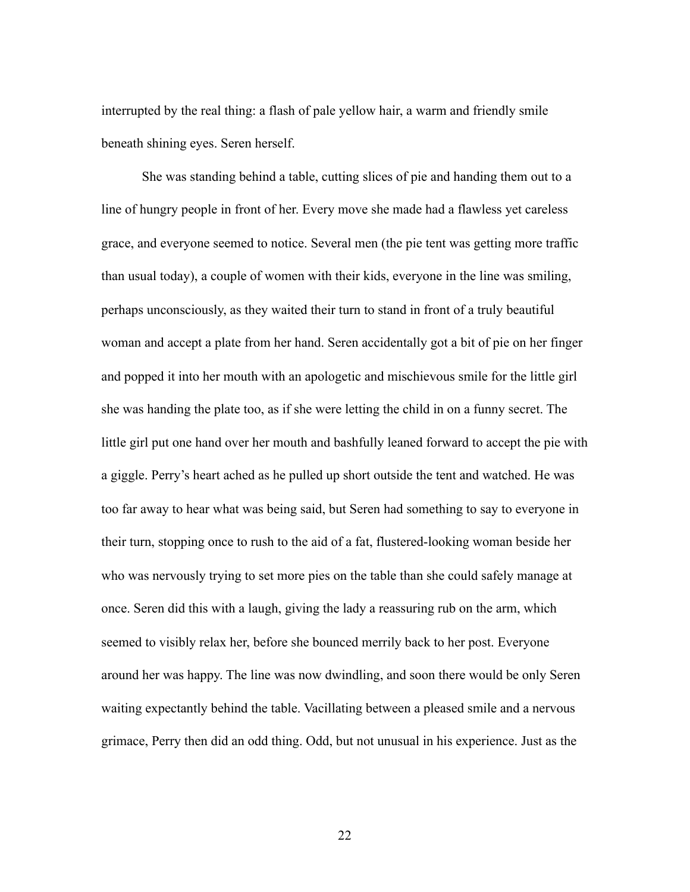interrupted by the real thing: a flash of pale yellow hair, a warm and friendly smile beneath shining eyes. Seren herself.

 She was standing behind a table, cutting slices of pie and handing them out to a line of hungry people in front of her. Every move she made had a flawless yet careless grace, and everyone seemed to notice. Several men (the pie tent was getting more traffic than usual today), a couple of women with their kids, everyone in the line was smiling, perhaps unconsciously, as they waited their turn to stand in front of a truly beautiful woman and accept a plate from her hand. Seren accidentally got a bit of pie on her finger and popped it into her mouth with an apologetic and mischievous smile for the little girl she was handing the plate too, as if she were letting the child in on a funny secret. The little girl put one hand over her mouth and bashfully leaned forward to accept the pie with a giggle. Perry's heart ached as he pulled up short outside the tent and watched. He was too far away to hear what was being said, but Seren had something to say to everyone in their turn, stopping once to rush to the aid of a fat, flustered-looking woman beside her who was nervously trying to set more pies on the table than she could safely manage at once. Seren did this with a laugh, giving the lady a reassuring rub on the arm, which seemed to visibly relax her, before she bounced merrily back to her post. Everyone around her was happy. The line was now dwindling, and soon there would be only Seren waiting expectantly behind the table. Vacillating between a pleased smile and a nervous grimace, Perry then did an odd thing. Odd, but not unusual in his experience. Just as the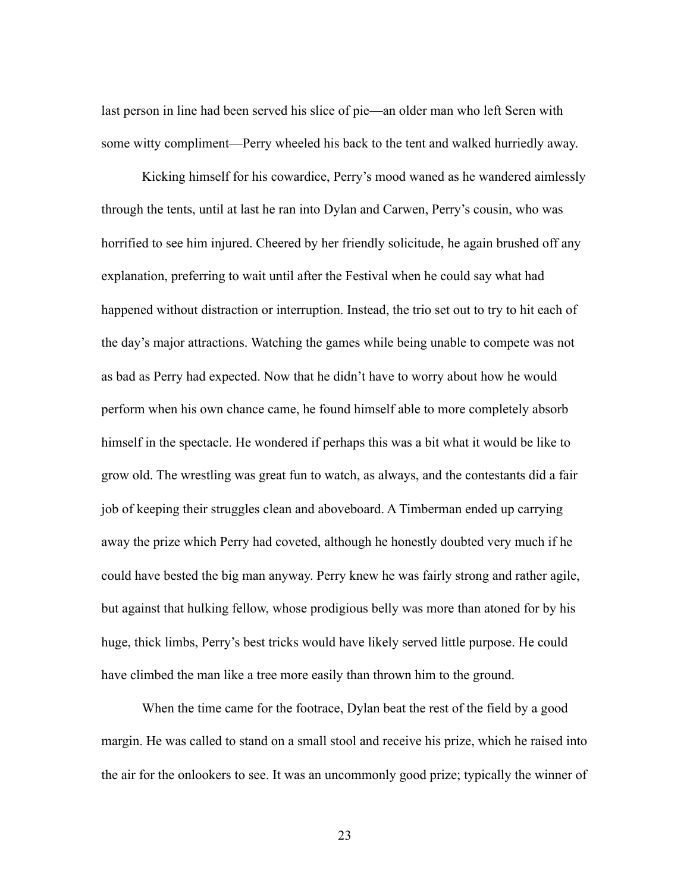last person in line had been served his slice of pie—an older man who left Seren with some witty compliment—Perry wheeled his back to the tent and walked hurriedly away.

 Kicking himself for his cowardice, Perry's mood waned as he wandered aimlessly through the tents, until at last he ran into Dylan and Carwen, Perry's cousin, who was horrified to see him injured. Cheered by her friendly solicitude, he again brushed off any explanation, preferring to wait until after the Festival when he could say what had happened without distraction or interruption. Instead, the trio set out to try to hit each of the day's major attractions. Watching the games while being unable to compete was not as bad as Perry had expected. Now that he didn't have to worry about how he would perform when his own chance came, he found himself able to more completely absorb himself in the spectacle. He wondered if perhaps this was a bit what it would be like to grow old. The wrestling was great fun to watch, as always, and the contestants did a fair job of keeping their struggles clean and aboveboard. A Timberman ended up carrying away the prize which Perry had coveted, although he honestly doubted very much if he could have bested the big man anyway. Perry knew he was fairly strong and rather agile, but against that hulking fellow, whose prodigious belly was more than atoned for by his huge, thick limbs, Perry's best tricks would have likely served little purpose. He could have climbed the man like a tree more easily than thrown him to the ground.

 When the time came for the footrace, Dylan beat the rest of the field by a good margin. He was called to stand on a small stool and receive his prize, which he raised into the air for the onlookers to see. It was an uncommonly good prize; typically the winner of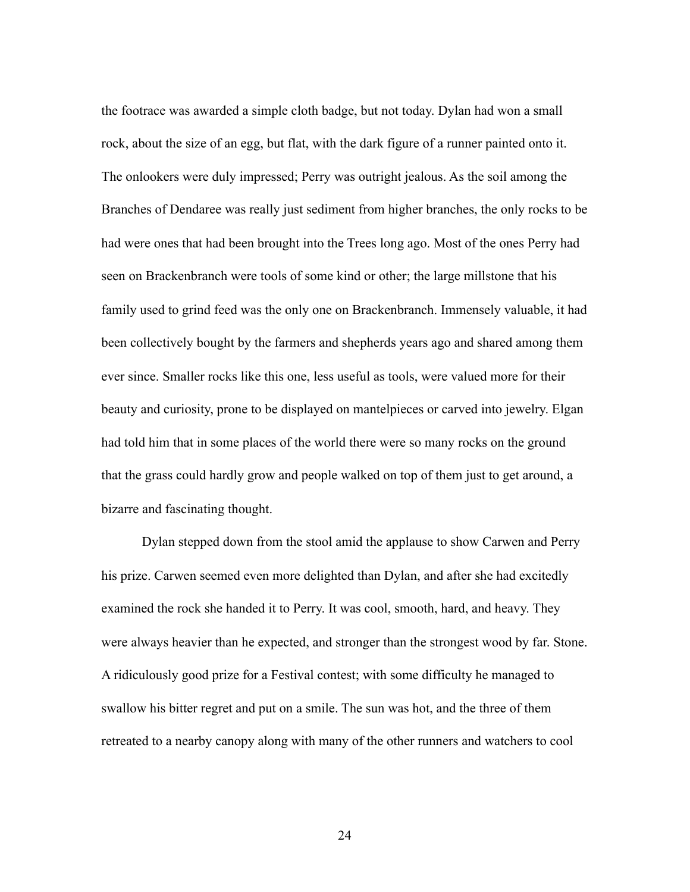the footrace was awarded a simple cloth badge, but not today. Dylan had won a small rock, about the size of an egg, but flat, with the dark figure of a runner painted onto it. The onlookers were duly impressed; Perry was outright jealous. As the soil among the Branches of Dendaree was really just sediment from higher branches, the only rocks to be had were ones that had been brought into the Trees long ago. Most of the ones Perry had seen on Brackenbranch were tools of some kind or other; the large millstone that his family used to grind feed was the only one on Brackenbranch. Immensely valuable, it had been collectively bought by the farmers and shepherds years ago and shared among them ever since. Smaller rocks like this one, less useful as tools, were valued more for their beauty and curiosity, prone to be displayed on mantelpieces or carved into jewelry. Elgan had told him that in some places of the world there were so many rocks on the ground that the grass could hardly grow and people walked on top of them just to get around, a bizarre and fascinating thought.

 Dylan stepped down from the stool amid the applause to show Carwen and Perry his prize. Carwen seemed even more delighted than Dylan, and after she had excitedly examined the rock she handed it to Perry. It was cool, smooth, hard, and heavy. They were always heavier than he expected, and stronger than the strongest wood by far. Stone. A ridiculously good prize for a Festival contest; with some difficulty he managed to swallow his bitter regret and put on a smile. The sun was hot, and the three of them retreated to a nearby canopy along with many of the other runners and watchers to cool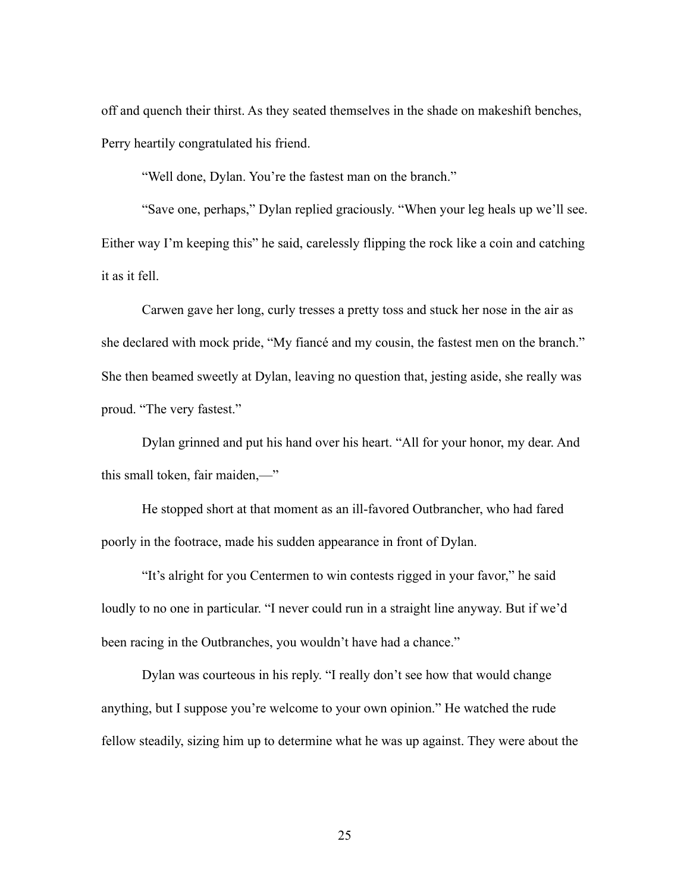off and quench their thirst. As they seated themselves in the shade on makeshift benches, Perry heartily congratulated his friend.

"Well done, Dylan. You're the fastest man on the branch."

 "Save one, perhaps," Dylan replied graciously. "When your leg heals up we'll see. Either way I'm keeping this" he said, carelessly flipping the rock like a coin and catching it as it fell.

 Carwen gave her long, curly tresses a pretty toss and stuck her nose in the air as she declared with mock pride, "My fiancé and my cousin, the fastest men on the branch." She then beamed sweetly at Dylan, leaving no question that, jesting aside, she really was proud. "The very fastest."

 Dylan grinned and put his hand over his heart. "All for your honor, my dear. And this small token, fair maiden,—"

 He stopped short at that moment as an ill-favored Outbrancher, who had fared poorly in the footrace, made his sudden appearance in front of Dylan.

 "It's alright for you Centermen to win contests rigged in your favor," he said loudly to no one in particular. "I never could run in a straight line anyway. But if we'd been racing in the Outbranches, you wouldn't have had a chance."

 Dylan was courteous in his reply. "I really don't see how that would change anything, but I suppose you're welcome to your own opinion." He watched the rude fellow steadily, sizing him up to determine what he was up against. They were about the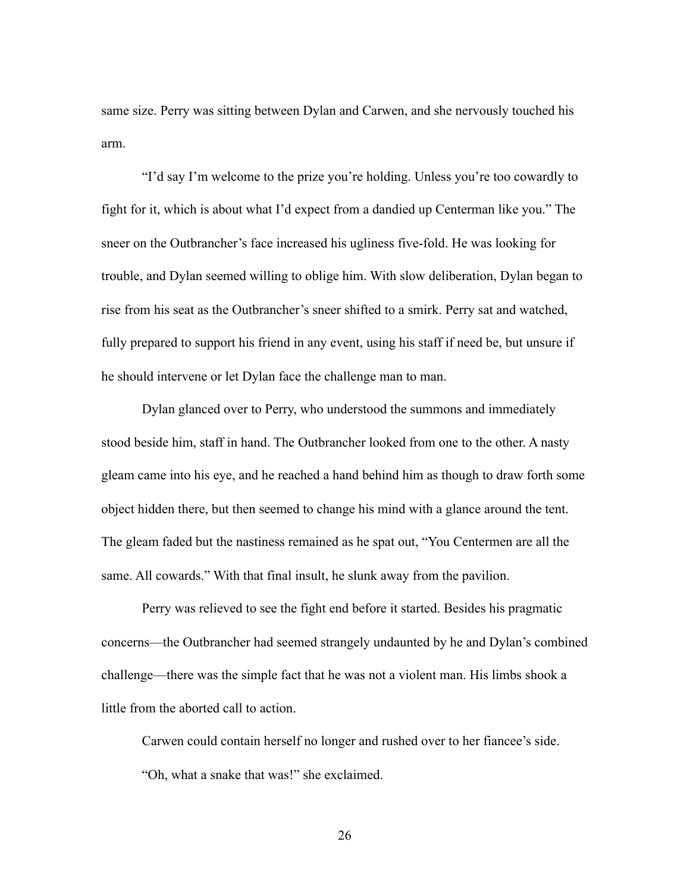same size. Perry was sitting between Dylan and Carwen, and she nervously touched his arm.

 "I'd say I'm welcome to the prize you're holding. Unless you're too cowardly to fight for it, which is about what I'd expect from a dandied up Centerman like you." The sneer on the Outbrancher's face increased his ugliness five-fold. He was looking for trouble, and Dylan seemed willing to oblige him. With slow deliberation, Dylan began to rise from his seat as the Outbrancher's sneer shifted to a smirk. Perry sat and watched, fully prepared to support his friend in any event, using his staff if need be, but unsure if he should intervene or let Dylan face the challenge man to man.

 Dylan glanced over to Perry, who understood the summons and immediately stood beside him, staff in hand. The Outbrancher looked from one to the other. A nasty gleam came into his eye, and he reached a hand behind him as though to draw forth some object hidden there, but then seemed to change his mind with a glance around the tent. The gleam faded but the nastiness remained as he spat out, "You Centermen are all the same. All cowards." With that final insult, he slunk away from the pavilion.

 Perry was relieved to see the fight end before it started. Besides his pragmatic concerns—the Outbrancher had seemed strangely undaunted by he and Dylan's combined challenge—there was the simple fact that he was not a violent man. His limbs shook a little from the aborted call to action.

 Carwen could contain herself no longer and rushed over to her fiancee's side. "Oh, what a snake that was!" she exclaimed.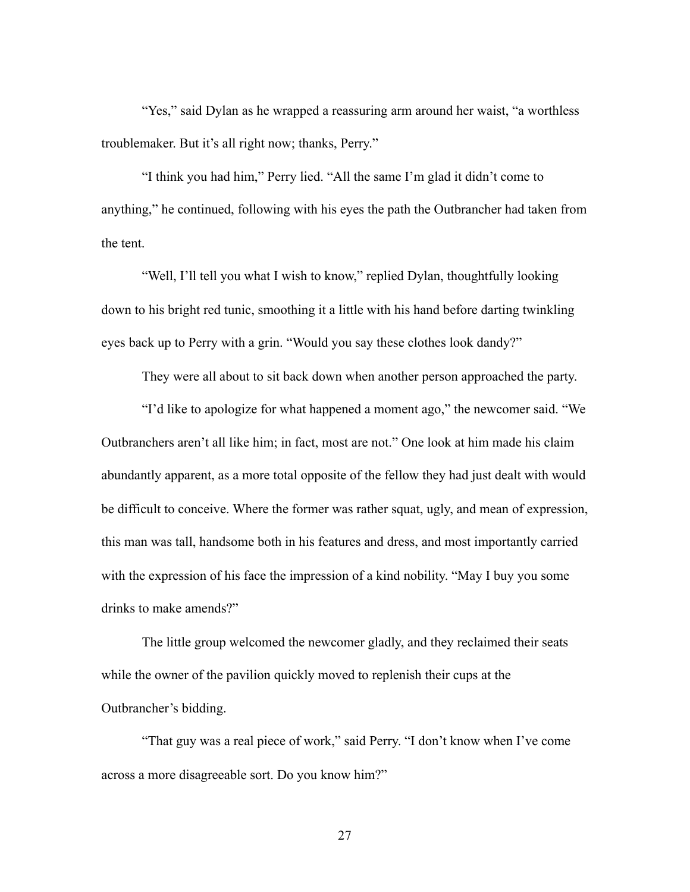"Yes," said Dylan as he wrapped a reassuring arm around her waist, "a worthless troublemaker. But it's all right now; thanks, Perry."

 "I think you had him," Perry lied. "All the same I'm glad it didn't come to anything," he continued, following with his eyes the path the Outbrancher had taken from the tent.

 "Well, I'll tell you what I wish to know," replied Dylan, thoughtfully looking down to his bright red tunic, smoothing it a little with his hand before darting twinkling eyes back up to Perry with a grin. "Would you say these clothes look dandy?"

They were all about to sit back down when another person approached the party.

 "I'd like to apologize for what happened a moment ago," the newcomer said. "We Outbranchers aren't all like him; in fact, most are not." One look at him made his claim abundantly apparent, as a more total opposite of the fellow they had just dealt with would be difficult to conceive. Where the former was rather squat, ugly, and mean of expression, this man was tall, handsome both in his features and dress, and most importantly carried with the expression of his face the impression of a kind nobility. "May I buy you some drinks to make amends?"

 The little group welcomed the newcomer gladly, and they reclaimed their seats while the owner of the pavilion quickly moved to replenish their cups at the Outbrancher's bidding.

 "That guy was a real piece of work," said Perry. "I don't know when I've come across a more disagreeable sort. Do you know him?"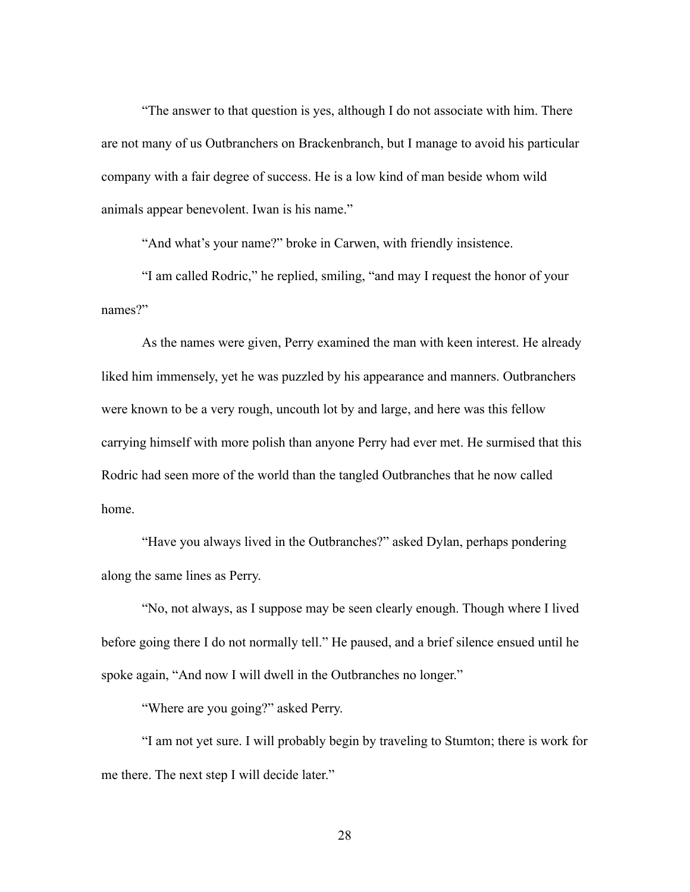"The answer to that question is yes, although I do not associate with him. There are not many of us Outbranchers on Brackenbranch, but I manage to avoid his particular company with a fair degree of success. He is a low kind of man beside whom wild animals appear benevolent. Iwan is his name."

"And what's your name?" broke in Carwen, with friendly insistence.

 "I am called Rodric," he replied, smiling, "and may I request the honor of your names?"

 As the names were given, Perry examined the man with keen interest. He already liked him immensely, yet he was puzzled by his appearance and manners. Outbranchers were known to be a very rough, uncouth lot by and large, and here was this fellow carrying himself with more polish than anyone Perry had ever met. He surmised that this Rodric had seen more of the world than the tangled Outbranches that he now called home.

 "Have you always lived in the Outbranches?" asked Dylan, perhaps pondering along the same lines as Perry.

 "No, not always, as I suppose may be seen clearly enough. Though where I lived before going there I do not normally tell." He paused, and a brief silence ensued until he spoke again, "And now I will dwell in the Outbranches no longer."

"Where are you going?" asked Perry.

 "I am not yet sure. I will probably begin by traveling to Stumton; there is work for me there. The next step I will decide later."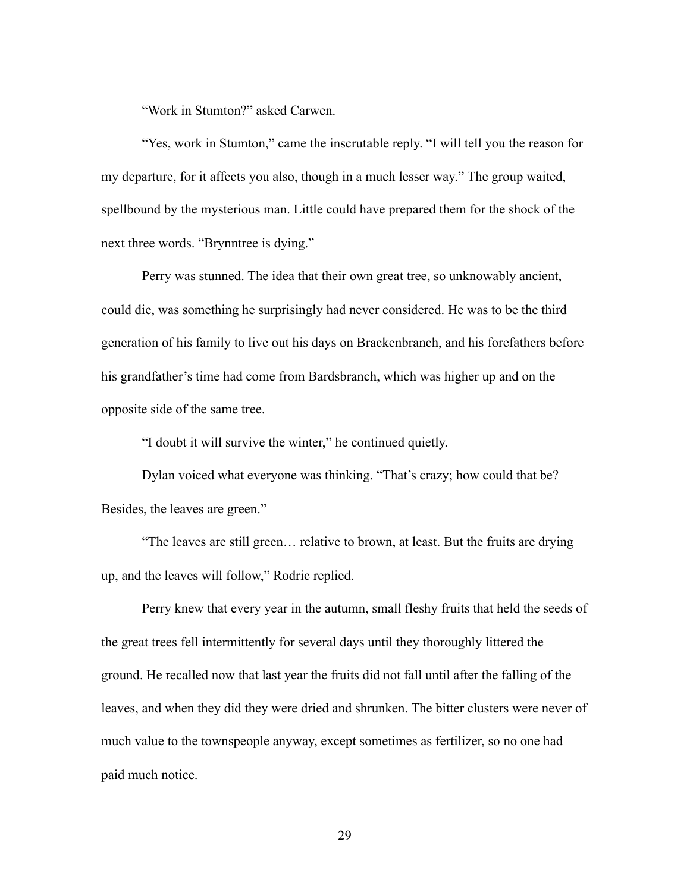"Work in Stumton?" asked Carwen.

 "Yes, work in Stumton," came the inscrutable reply. "I will tell you the reason for my departure, for it affects you also, though in a much lesser way." The group waited, spellbound by the mysterious man. Little could have prepared them for the shock of the next three words. "Brynntree is dying."

 Perry was stunned. The idea that their own great tree, so unknowably ancient, could die, was something he surprisingly had never considered. He was to be the third generation of his family to live out his days on Brackenbranch, and his forefathers before his grandfather's time had come from Bardsbranch, which was higher up and on the opposite side of the same tree.

"I doubt it will survive the winter," he continued quietly.

 Dylan voiced what everyone was thinking. "That's crazy; how could that be? Besides, the leaves are green."

 "The leaves are still green… relative to brown, at least. But the fruits are drying up, and the leaves will follow," Rodric replied.

 Perry knew that every year in the autumn, small fleshy fruits that held the seeds of the great trees fell intermittently for several days until they thoroughly littered the ground. He recalled now that last year the fruits did not fall until after the falling of the leaves, and when they did they were dried and shrunken. The bitter clusters were never of much value to the townspeople anyway, except sometimes as fertilizer, so no one had paid much notice.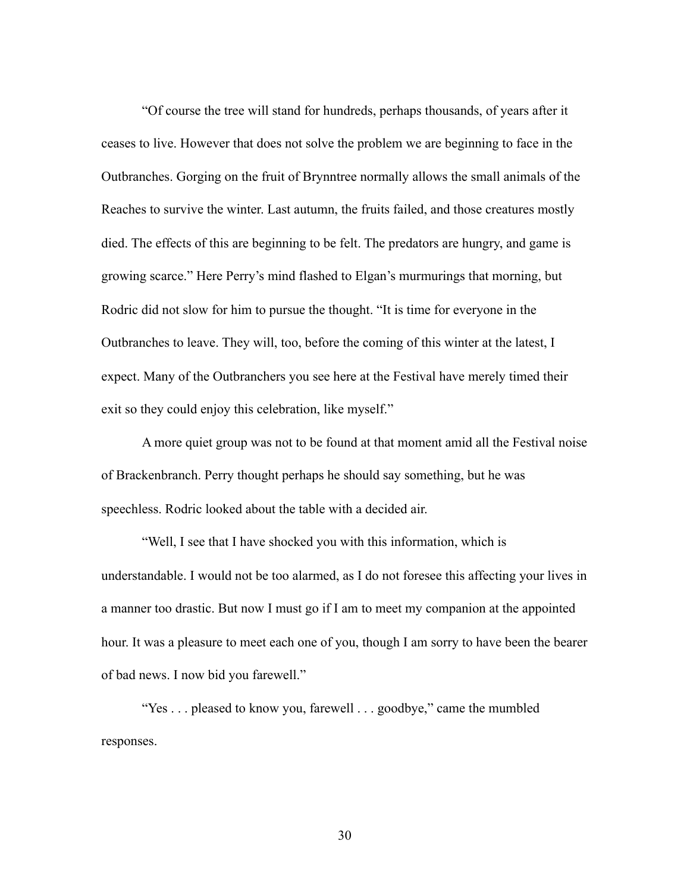"Of course the tree will stand for hundreds, perhaps thousands, of years after it ceases to live. However that does not solve the problem we are beginning to face in the Outbranches. Gorging on the fruit of Brynntree normally allows the small animals of the Reaches to survive the winter. Last autumn, the fruits failed, and those creatures mostly died. The effects of this are beginning to be felt. The predators are hungry, and game is growing scarce." Here Perry's mind flashed to Elgan's murmurings that morning, but Rodric did not slow for him to pursue the thought. "It is time for everyone in the Outbranches to leave. They will, too, before the coming of this winter at the latest, I expect. Many of the Outbranchers you see here at the Festival have merely timed their exit so they could enjoy this celebration, like myself."

 A more quiet group was not to be found at that moment amid all the Festival noise of Brackenbranch. Perry thought perhaps he should say something, but he was speechless. Rodric looked about the table with a decided air.

 "Well, I see that I have shocked you with this information, which is understandable. I would not be too alarmed, as I do not foresee this affecting your lives in a manner too drastic. But now I must go if I am to meet my companion at the appointed hour. It was a pleasure to meet each one of you, though I am sorry to have been the bearer of bad news. I now bid you farewell."

 "Yes . . . pleased to know you, farewell . . . goodbye," came the mumbled responses.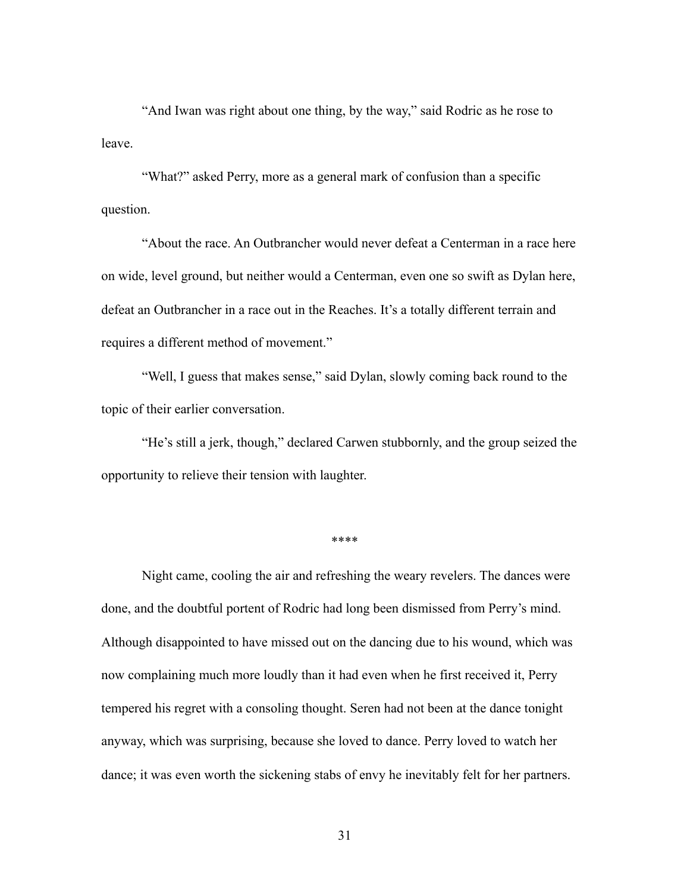"And Iwan was right about one thing, by the way," said Rodric as he rose to leave.

 "What?" asked Perry, more as a general mark of confusion than a specific question.

 "About the race. An Outbrancher would never defeat a Centerman in a race here on wide, level ground, but neither would a Centerman, even one so swift as Dylan here, defeat an Outbrancher in a race out in the Reaches. It's a totally different terrain and requires a different method of movement."

 "Well, I guess that makes sense," said Dylan, slowly coming back round to the topic of their earlier conversation.

 "He's still a jerk, though," declared Carwen stubbornly, and the group seized the opportunity to relieve their tension with laughter.

\*\*\*\*

 Night came, cooling the air and refreshing the weary revelers. The dances were done, and the doubtful portent of Rodric had long been dismissed from Perry's mind. Although disappointed to have missed out on the dancing due to his wound, which was now complaining much more loudly than it had even when he first received it, Perry tempered his regret with a consoling thought. Seren had not been at the dance tonight anyway, which was surprising, because she loved to dance. Perry loved to watch her dance; it was even worth the sickening stabs of envy he inevitably felt for her partners.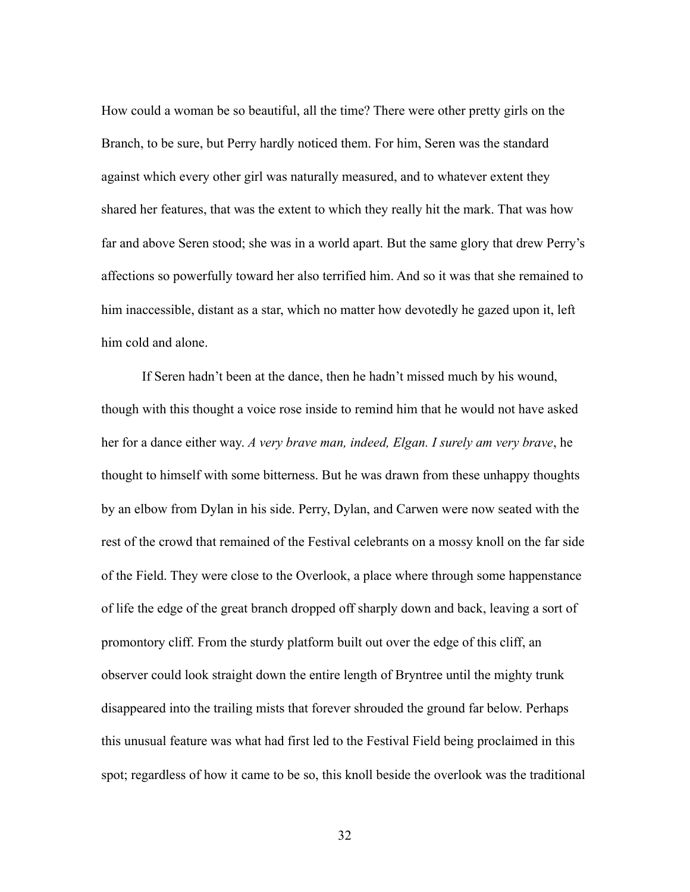How could a woman be so beautiful, all the time? There were other pretty girls on the Branch, to be sure, but Perry hardly noticed them. For him, Seren was the standard against which every other girl was naturally measured, and to whatever extent they shared her features, that was the extent to which they really hit the mark. That was how far and above Seren stood; she was in a world apart. But the same glory that drew Perry's affections so powerfully toward her also terrified him. And so it was that she remained to him inaccessible, distant as a star, which no matter how devotedly he gazed upon it, left him cold and alone.

 If Seren hadn't been at the dance, then he hadn't missed much by his wound, though with this thought a voice rose inside to remind him that he would not have asked her for a dance either way. *A very brave man, indeed, Elgan. I surely am very brave*, he thought to himself with some bitterness. But he was drawn from these unhappy thoughts by an elbow from Dylan in his side. Perry, Dylan, and Carwen were now seated with the rest of the crowd that remained of the Festival celebrants on a mossy knoll on the far side of the Field. They were close to the Overlook, a place where through some happenstance of life the edge of the great branch dropped off sharply down and back, leaving a sort of promontory cliff. From the sturdy platform built out over the edge of this cliff, an observer could look straight down the entire length of Bryntree until the mighty trunk disappeared into the trailing mists that forever shrouded the ground far below. Perhaps this unusual feature was what had first led to the Festival Field being proclaimed in this spot; regardless of how it came to be so, this knoll beside the overlook was the traditional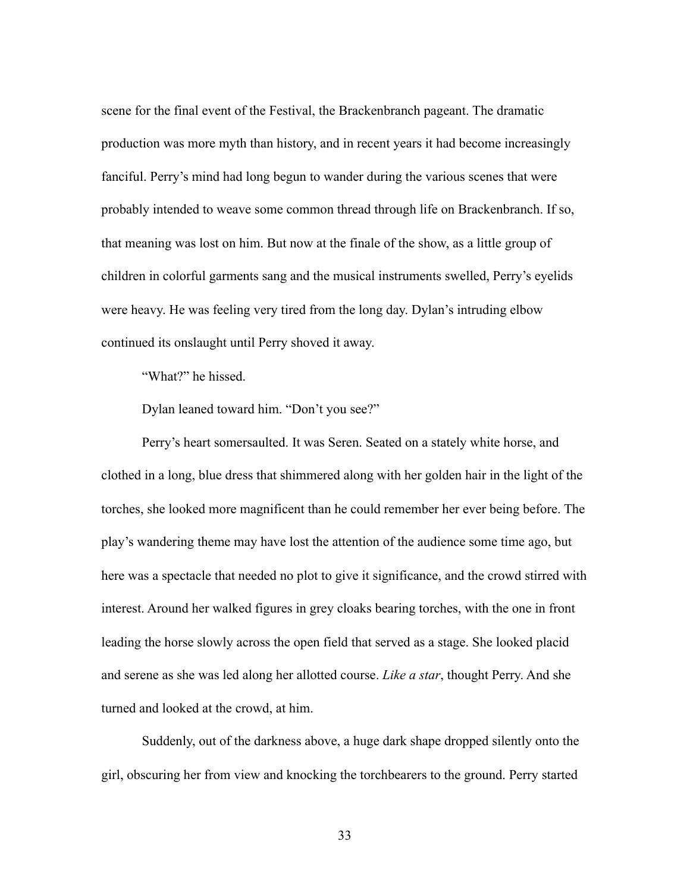scene for the final event of the Festival, the Brackenbranch pageant. The dramatic production was more myth than history, and in recent years it had become increasingly fanciful. Perry's mind had long begun to wander during the various scenes that were probably intended to weave some common thread through life on Brackenbranch. If so, that meaning was lost on him. But now at the finale of the show, as a little group of children in colorful garments sang and the musical instruments swelled, Perry's eyelids were heavy. He was feeling very tired from the long day. Dylan's intruding elbow continued its onslaught until Perry shoved it away.

"What?" he hissed.

Dylan leaned toward him. "Don't you see?"

 Perry's heart somersaulted. It was Seren. Seated on a stately white horse, and clothed in a long, blue dress that shimmered along with her golden hair in the light of the torches, she looked more magnificent than he could remember her ever being before. The play's wandering theme may have lost the attention of the audience some time ago, but here was a spectacle that needed no plot to give it significance, and the crowd stirred with interest. Around her walked figures in grey cloaks bearing torches, with the one in front leading the horse slowly across the open field that served as a stage. She looked placid and serene as she was led along her allotted course. *Like a star*, thought Perry. And she turned and looked at the crowd, at him.

 Suddenly, out of the darkness above, a huge dark shape dropped silently onto the girl, obscuring her from view and knocking the torchbearers to the ground. Perry started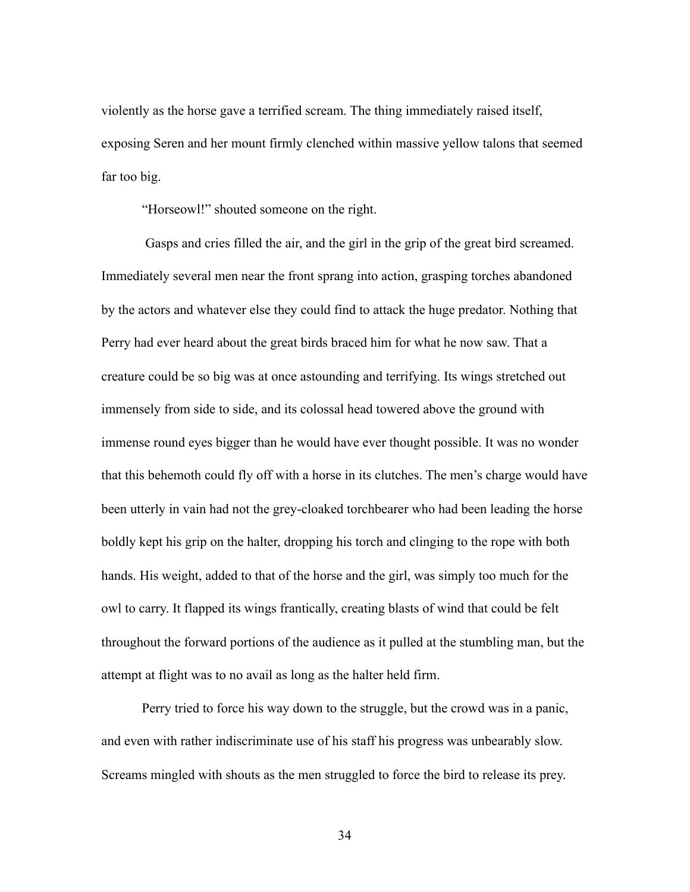violently as the horse gave a terrified scream. The thing immediately raised itself, exposing Seren and her mount firmly clenched within massive yellow talons that seemed far too big.

"Horseowl!" shouted someone on the right.

 Gasps and cries filled the air, and the girl in the grip of the great bird screamed. Immediately several men near the front sprang into action, grasping torches abandoned by the actors and whatever else they could find to attack the huge predator. Nothing that Perry had ever heard about the great birds braced him for what he now saw. That a creature could be so big was at once astounding and terrifying. Its wings stretched out immensely from side to side, and its colossal head towered above the ground with immense round eyes bigger than he would have ever thought possible. It was no wonder that this behemoth could fly off with a horse in its clutches. The men's charge would have been utterly in vain had not the grey-cloaked torchbearer who had been leading the horse boldly kept his grip on the halter, dropping his torch and clinging to the rope with both hands. His weight, added to that of the horse and the girl, was simply too much for the owl to carry. It flapped its wings frantically, creating blasts of wind that could be felt throughout the forward portions of the audience as it pulled at the stumbling man, but the attempt at flight was to no avail as long as the halter held firm.

 Perry tried to force his way down to the struggle, but the crowd was in a panic, and even with rather indiscriminate use of his staff his progress was unbearably slow. Screams mingled with shouts as the men struggled to force the bird to release its prey.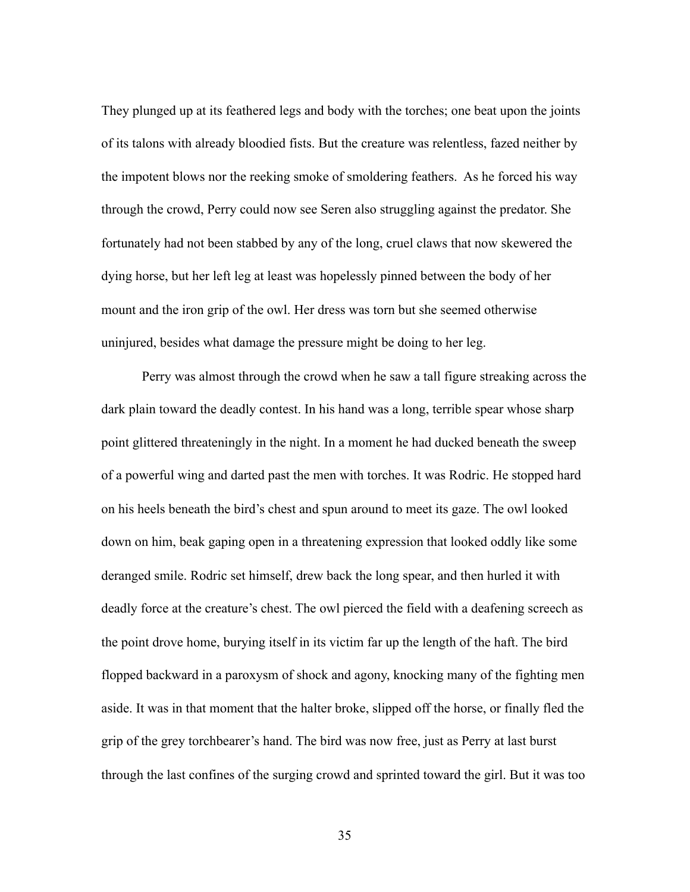They plunged up at its feathered legs and body with the torches; one beat upon the joints of its talons with already bloodied fists. But the creature was relentless, fazed neither by the impotent blows nor the reeking smoke of smoldering feathers. As he forced his way through the crowd, Perry could now see Seren also struggling against the predator. She fortunately had not been stabbed by any of the long, cruel claws that now skewered the dying horse, but her left leg at least was hopelessly pinned between the body of her mount and the iron grip of the owl. Her dress was torn but she seemed otherwise uninjured, besides what damage the pressure might be doing to her leg.

 Perry was almost through the crowd when he saw a tall figure streaking across the dark plain toward the deadly contest. In his hand was a long, terrible spear whose sharp point glittered threateningly in the night. In a moment he had ducked beneath the sweep of a powerful wing and darted past the men with torches. It was Rodric. He stopped hard on his heels beneath the bird's chest and spun around to meet its gaze. The owl looked down on him, beak gaping open in a threatening expression that looked oddly like some deranged smile. Rodric set himself, drew back the long spear, and then hurled it with deadly force at the creature's chest. The owl pierced the field with a deafening screech as the point drove home, burying itself in its victim far up the length of the haft. The bird flopped backward in a paroxysm of shock and agony, knocking many of the fighting men aside. It was in that moment that the halter broke, slipped off the horse, or finally fled the grip of the grey torchbearer's hand. The bird was now free, just as Perry at last burst through the last confines of the surging crowd and sprinted toward the girl. But it was too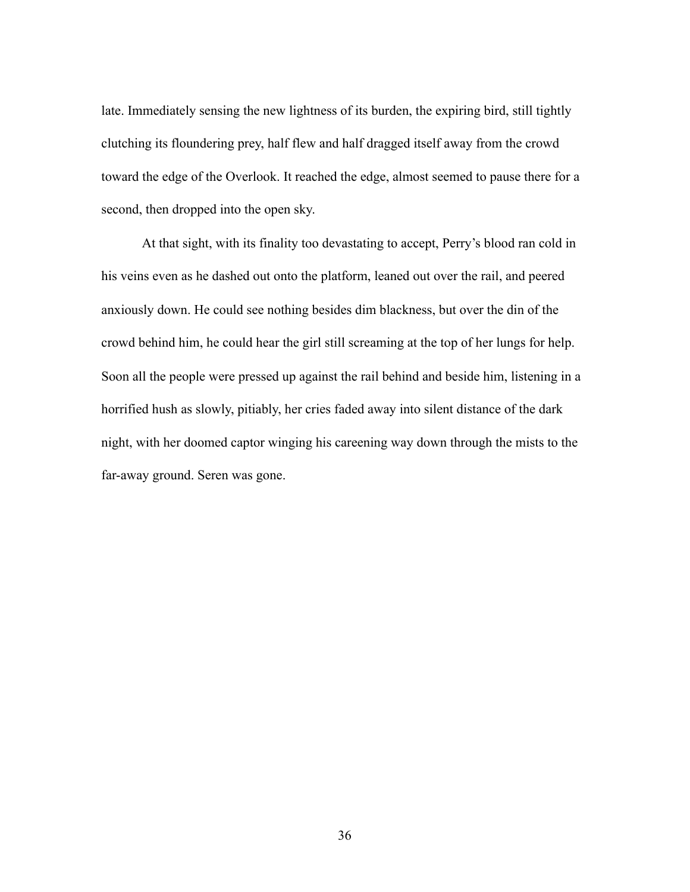late. Immediately sensing the new lightness of its burden, the expiring bird, still tightly clutching its floundering prey, half flew and half dragged itself away from the crowd toward the edge of the Overlook. It reached the edge, almost seemed to pause there for a second, then dropped into the open sky.

 At that sight, with its finality too devastating to accept, Perry's blood ran cold in his veins even as he dashed out onto the platform, leaned out over the rail, and peered anxiously down. He could see nothing besides dim blackness, but over the din of the crowd behind him, he could hear the girl still screaming at the top of her lungs for help. Soon all the people were pressed up against the rail behind and beside him, listening in a horrified hush as slowly, pitiably, her cries faded away into silent distance of the dark night, with her doomed captor winging his careening way down through the mists to the far-away ground. Seren was gone.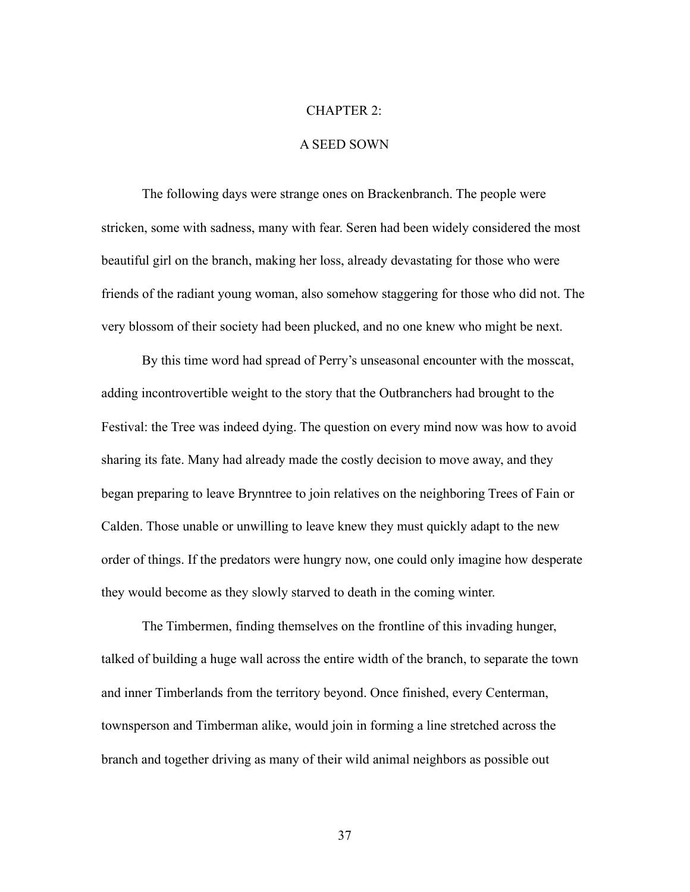## CHAPTER 2:

## A SEED SOWN

 The following days were strange ones on Brackenbranch. The people were stricken, some with sadness, many with fear. Seren had been widely considered the most beautiful girl on the branch, making her loss, already devastating for those who were friends of the radiant young woman, also somehow staggering for those who did not. The very blossom of their society had been plucked, and no one knew who might be next.

 By this time word had spread of Perry's unseasonal encounter with the mosscat, adding incontrovertible weight to the story that the Outbranchers had brought to the Festival: the Tree was indeed dying. The question on every mind now was how to avoid sharing its fate. Many had already made the costly decision to move away, and they began preparing to leave Brynntree to join relatives on the neighboring Trees of Fain or Calden. Those unable or unwilling to leave knew they must quickly adapt to the new order of things. If the predators were hungry now, one could only imagine how desperate they would become as they slowly starved to death in the coming winter.

 The Timbermen, finding themselves on the frontline of this invading hunger, talked of building a huge wall across the entire width of the branch, to separate the town and inner Timberlands from the territory beyond. Once finished, every Centerman, townsperson and Timberman alike, would join in forming a line stretched across the branch and together driving as many of their wild animal neighbors as possible out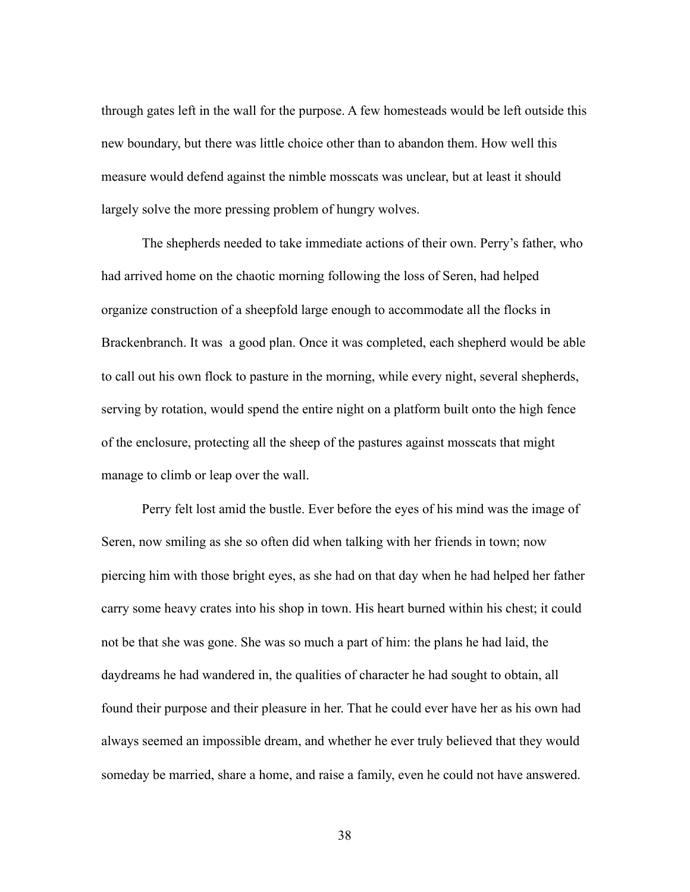through gates left in the wall for the purpose. A few homesteads would be left outside this new boundary, but there was little choice other than to abandon them. How well this measure would defend against the nimble mosscats was unclear, but at least it should largely solve the more pressing problem of hungry wolves.

 The shepherds needed to take immediate actions of their own. Perry's father, who had arrived home on the chaotic morning following the loss of Seren, had helped organize construction of a sheepfold large enough to accommodate all the flocks in Brackenbranch. It was a good plan. Once it was completed, each shepherd would be able to call out his own flock to pasture in the morning, while every night, several shepherds, serving by rotation, would spend the entire night on a platform built onto the high fence of the enclosure, protecting all the sheep of the pastures against mosscats that might manage to climb or leap over the wall.

 Perry felt lost amid the bustle. Ever before the eyes of his mind was the image of Seren, now smiling as she so often did when talking with her friends in town; now piercing him with those bright eyes, as she had on that day when he had helped her father carry some heavy crates into his shop in town. His heart burned within his chest; it could not be that she was gone. She was so much a part of him: the plans he had laid, the daydreams he had wandered in, the qualities of character he had sought to obtain, all found their purpose and their pleasure in her. That he could ever have her as his own had always seemed an impossible dream, and whether he ever truly believed that they would someday be married, share a home, and raise a family, even he could not have answered.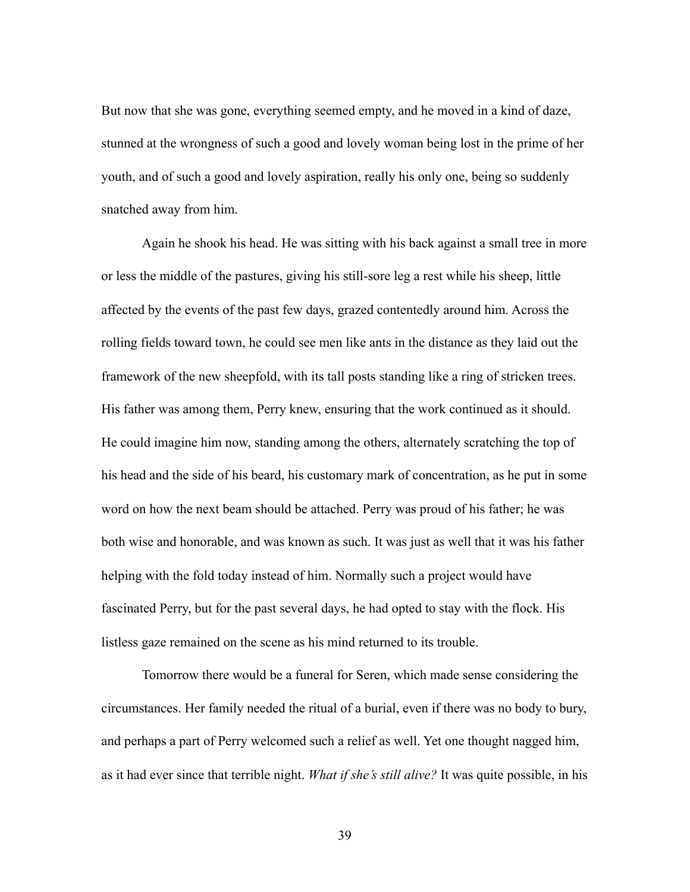But now that she was gone, everything seemed empty, and he moved in a kind of daze, stunned at the wrongness of such a good and lovely woman being lost in the prime of her youth, and of such a good and lovely aspiration, really his only one, being so suddenly snatched away from him.

 Again he shook his head. He was sitting with his back against a small tree in more or less the middle of the pastures, giving his still-sore leg a rest while his sheep, little affected by the events of the past few days, grazed contentedly around him. Across the rolling fields toward town, he could see men like ants in the distance as they laid out the framework of the new sheepfold, with its tall posts standing like a ring of stricken trees. His father was among them, Perry knew, ensuring that the work continued as it should. He could imagine him now, standing among the others, alternately scratching the top of his head and the side of his beard, his customary mark of concentration, as he put in some word on how the next beam should be attached. Perry was proud of his father; he was both wise and honorable, and was known as such. It was just as well that it was his father helping with the fold today instead of him. Normally such a project would have fascinated Perry, but for the past several days, he had opted to stay with the flock. His listless gaze remained on the scene as his mind returned to its trouble.

 Tomorrow there would be a funeral for Seren, which made sense considering the circumstances. Her family needed the ritual of a burial, even if there was no body to bury, and perhaps a part of Perry welcomed such a relief as well. Yet one thought nagged him, as it had ever since that terrible night. *What if she's still alive?* It was quite possible, in his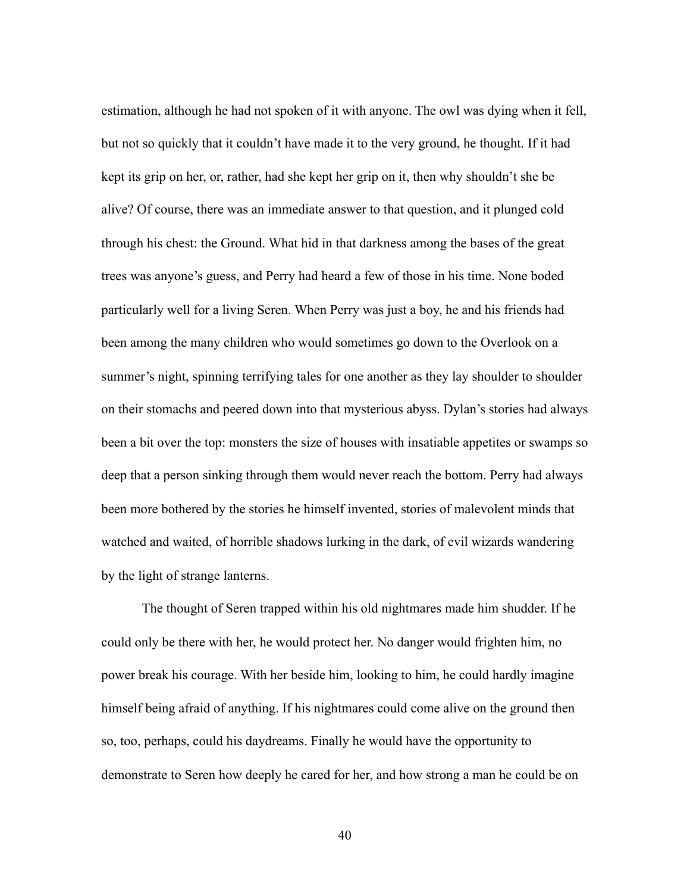estimation, although he had not spoken of it with anyone. The owl was dying when it fell, but not so quickly that it couldn't have made it to the very ground, he thought. If it had kept its grip on her, or, rather, had she kept her grip on it, then why shouldn't she be alive? Of course, there was an immediate answer to that question, and it plunged cold through his chest: the Ground. What hid in that darkness among the bases of the great trees was anyone's guess, and Perry had heard a few of those in his time. None boded particularly well for a living Seren. When Perry was just a boy, he and his friends had been among the many children who would sometimes go down to the Overlook on a summer's night, spinning terrifying tales for one another as they lay shoulder to shoulder on their stomachs and peered down into that mysterious abyss. Dylan's stories had always been a bit over the top: monsters the size of houses with insatiable appetites or swamps so deep that a person sinking through them would never reach the bottom. Perry had always been more bothered by the stories he himself invented, stories of malevolent minds that watched and waited, of horrible shadows lurking in the dark, of evil wizards wandering by the light of strange lanterns.

 The thought of Seren trapped within his old nightmares made him shudder. If he could only be there with her, he would protect her. No danger would frighten him, no power break his courage. With her beside him, looking to him, he could hardly imagine himself being afraid of anything. If his nightmares could come alive on the ground then so, too, perhaps, could his daydreams. Finally he would have the opportunity to demonstrate to Seren how deeply he cared for her, and how strong a man he could be on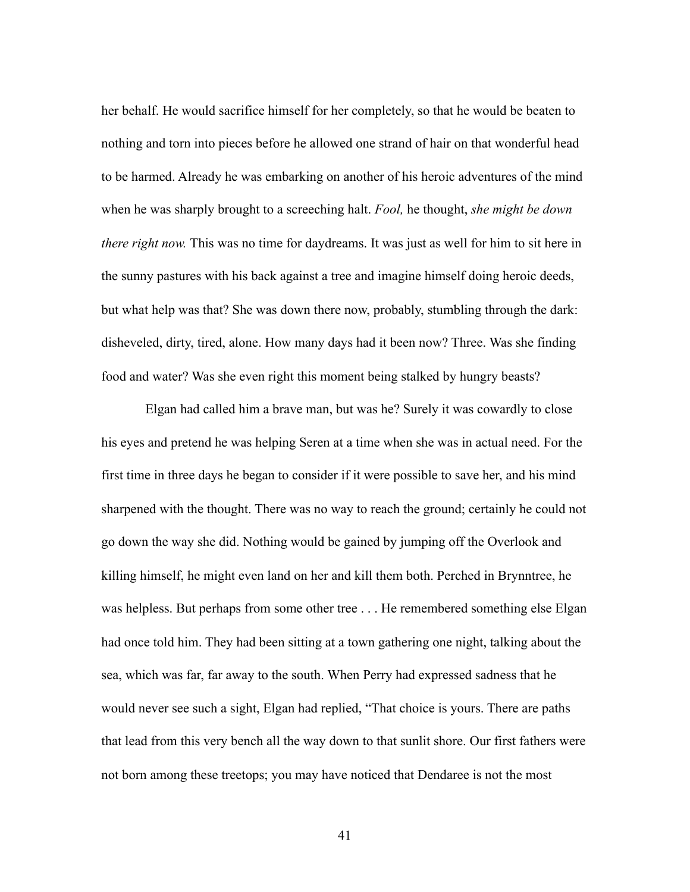her behalf. He would sacrifice himself for her completely, so that he would be beaten to nothing and torn into pieces before he allowed one strand of hair on that wonderful head to be harmed. Already he was embarking on another of his heroic adventures of the mind when he was sharply brought to a screeching halt. *Fool,* he thought, *she might be down there right now.* This was no time for daydreams. It was just as well for him to sit here in the sunny pastures with his back against a tree and imagine himself doing heroic deeds, but what help was that? She was down there now, probably, stumbling through the dark: disheveled, dirty, tired, alone. How many days had it been now? Three. Was she finding food and water? Was she even right this moment being stalked by hungry beasts?

 Elgan had called him a brave man, but was he? Surely it was cowardly to close his eyes and pretend he was helping Seren at a time when she was in actual need. For the first time in three days he began to consider if it were possible to save her, and his mind sharpened with the thought. There was no way to reach the ground; certainly he could not go down the way she did. Nothing would be gained by jumping off the Overlook and killing himself, he might even land on her and kill them both. Perched in Brynntree, he was helpless. But perhaps from some other tree . . . He remembered something else Elgan had once told him. They had been sitting at a town gathering one night, talking about the sea, which was far, far away to the south. When Perry had expressed sadness that he would never see such a sight, Elgan had replied, "That choice is yours. There are paths that lead from this very bench all the way down to that sunlit shore. Our first fathers were not born among these treetops; you may have noticed that Dendaree is not the most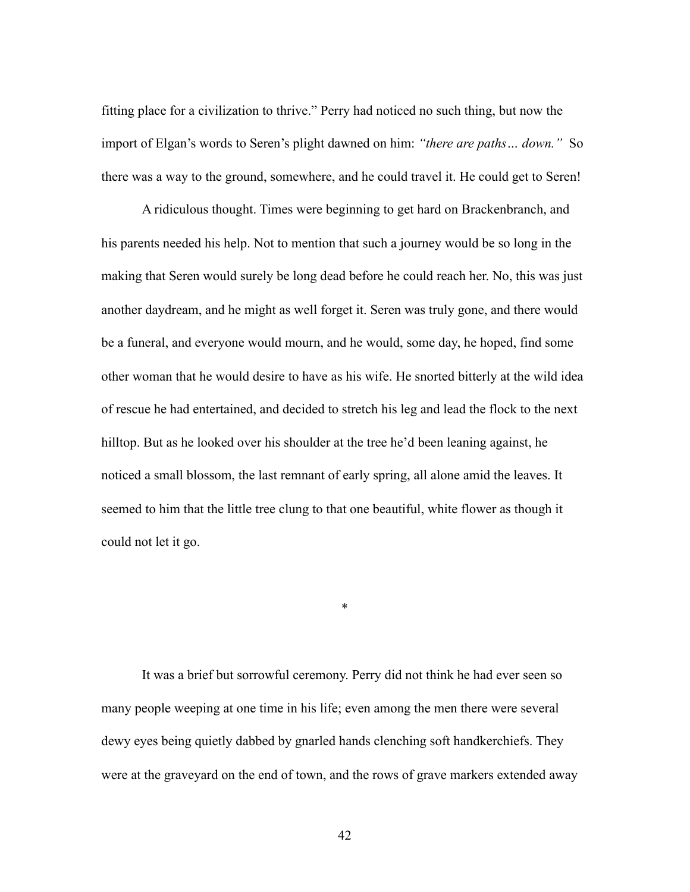fitting place for a civilization to thrive." Perry had noticed no such thing, but now the import of Elgan's words to Seren's plight dawned on him: *"there are paths… down."* So there was a way to the ground, somewhere, and he could travel it. He could get to Seren!

 A ridiculous thought. Times were beginning to get hard on Brackenbranch, and his parents needed his help. Not to mention that such a journey would be so long in the making that Seren would surely be long dead before he could reach her. No, this was just another daydream, and he might as well forget it. Seren was truly gone, and there would be a funeral, and everyone would mourn, and he would, some day, he hoped, find some other woman that he would desire to have as his wife. He snorted bitterly at the wild idea of rescue he had entertained, and decided to stretch his leg and lead the flock to the next hilltop. But as he looked over his shoulder at the tree he'd been leaning against, he noticed a small blossom, the last remnant of early spring, all alone amid the leaves. It seemed to him that the little tree clung to that one beautiful, white flower as though it could not let it go.

 It was a brief but sorrowful ceremony. Perry did not think he had ever seen so many people weeping at one time in his life; even among the men there were several dewy eyes being quietly dabbed by gnarled hands clenching soft handkerchiefs. They were at the graveyard on the end of town, and the rows of grave markers extended away

\*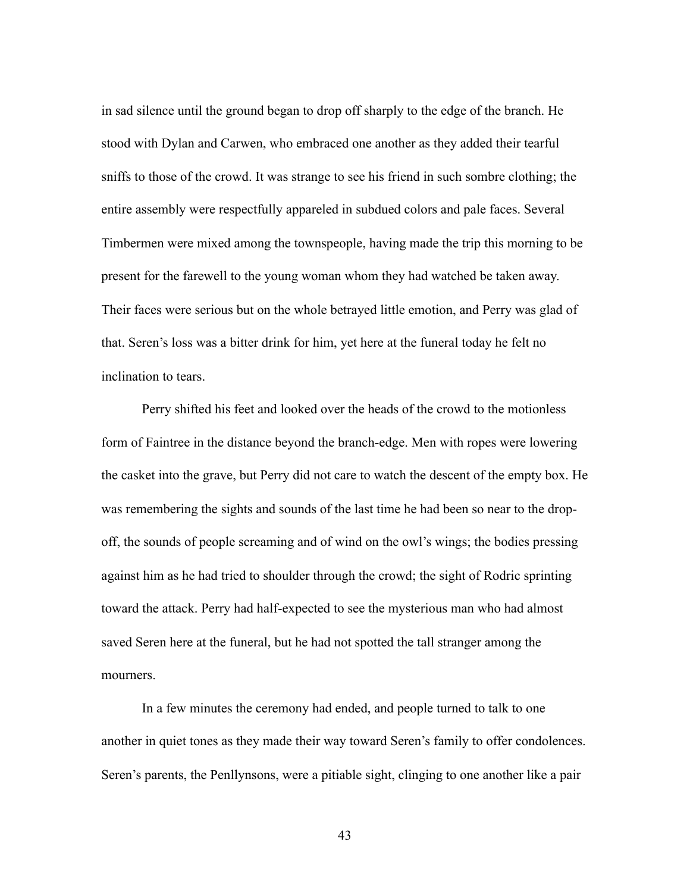in sad silence until the ground began to drop off sharply to the edge of the branch. He stood with Dylan and Carwen, who embraced one another as they added their tearful sniffs to those of the crowd. It was strange to see his friend in such sombre clothing; the entire assembly were respectfully appareled in subdued colors and pale faces. Several Timbermen were mixed among the townspeople, having made the trip this morning to be present for the farewell to the young woman whom they had watched be taken away. Their faces were serious but on the whole betrayed little emotion, and Perry was glad of that. Seren's loss was a bitter drink for him, yet here at the funeral today he felt no inclination to tears.

 Perry shifted his feet and looked over the heads of the crowd to the motionless form of Faintree in the distance beyond the branch-edge. Men with ropes were lowering the casket into the grave, but Perry did not care to watch the descent of the empty box. He was remembering the sights and sounds of the last time he had been so near to the dropoff, the sounds of people screaming and of wind on the owl's wings; the bodies pressing against him as he had tried to shoulder through the crowd; the sight of Rodric sprinting toward the attack. Perry had half-expected to see the mysterious man who had almost saved Seren here at the funeral, but he had not spotted the tall stranger among the mourners.

 In a few minutes the ceremony had ended, and people turned to talk to one another in quiet tones as they made their way toward Seren's family to offer condolences. Seren's parents, the Penllynsons, were a pitiable sight, clinging to one another like a pair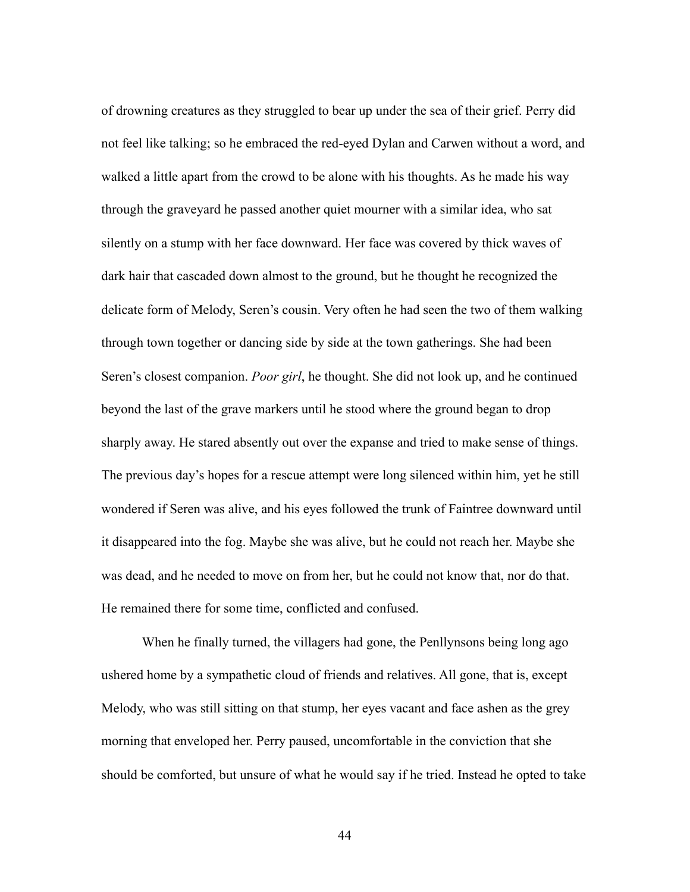of drowning creatures as they struggled to bear up under the sea of their grief. Perry did not feel like talking; so he embraced the red-eyed Dylan and Carwen without a word, and walked a little apart from the crowd to be alone with his thoughts. As he made his way through the graveyard he passed another quiet mourner with a similar idea, who sat silently on a stump with her face downward. Her face was covered by thick waves of dark hair that cascaded down almost to the ground, but he thought he recognized the delicate form of Melody, Seren's cousin. Very often he had seen the two of them walking through town together or dancing side by side at the town gatherings. She had been Seren's closest companion. *Poor girl*, he thought. She did not look up, and he continued beyond the last of the grave markers until he stood where the ground began to drop sharply away. He stared absently out over the expanse and tried to make sense of things. The previous day's hopes for a rescue attempt were long silenced within him, yet he still wondered if Seren was alive, and his eyes followed the trunk of Faintree downward until it disappeared into the fog. Maybe she was alive, but he could not reach her. Maybe she was dead, and he needed to move on from her, but he could not know that, nor do that. He remained there for some time, conflicted and confused.

 When he finally turned, the villagers had gone, the Penllynsons being long ago ushered home by a sympathetic cloud of friends and relatives. All gone, that is, except Melody, who was still sitting on that stump, her eyes vacant and face ashen as the grey morning that enveloped her. Perry paused, uncomfortable in the conviction that she should be comforted, but unsure of what he would say if he tried. Instead he opted to take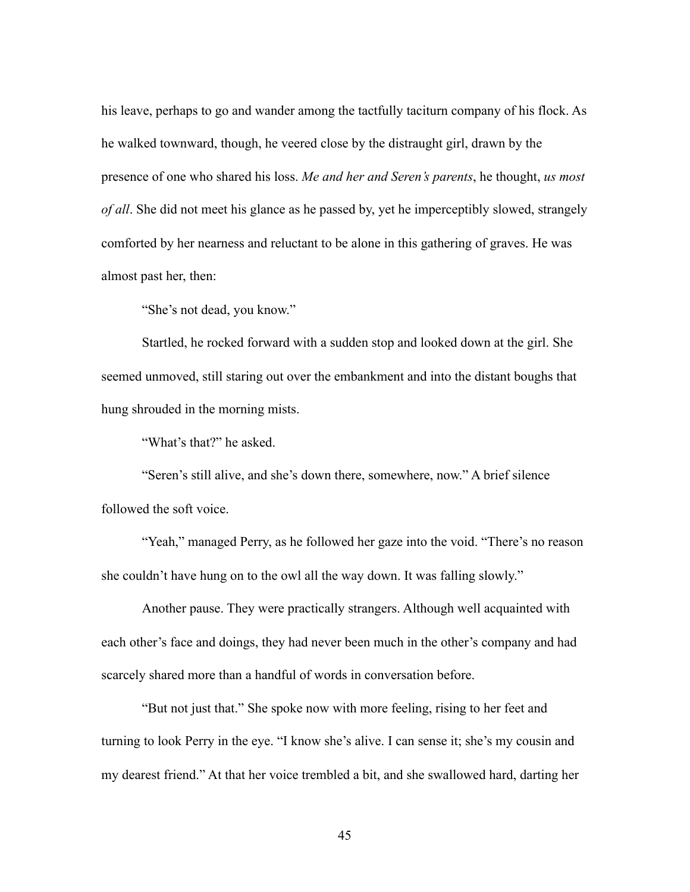his leave, perhaps to go and wander among the tactfully taciturn company of his flock. As he walked townward, though, he veered close by the distraught girl, drawn by the presence of one who shared his loss. *Me and her and Seren's parents*, he thought, *us most of all*. She did not meet his glance as he passed by, yet he imperceptibly slowed, strangely comforted by her nearness and reluctant to be alone in this gathering of graves. He was almost past her, then:

"She's not dead, you know."

 Startled, he rocked forward with a sudden stop and looked down at the girl. She seemed unmoved, still staring out over the embankment and into the distant boughs that hung shrouded in the morning mists.

"What's that?" he asked.

 "Seren's still alive, and she's down there, somewhere, now." A brief silence followed the soft voice.

 "Yeah," managed Perry, as he followed her gaze into the void. "There's no reason she couldn't have hung on to the owl all the way down. It was falling slowly."

 Another pause. They were practically strangers. Although well acquainted with each other's face and doings, they had never been much in the other's company and had scarcely shared more than a handful of words in conversation before.

 "But not just that." She spoke now with more feeling, rising to her feet and turning to look Perry in the eye. "I know she's alive. I can sense it; she's my cousin and my dearest friend." At that her voice trembled a bit, and she swallowed hard, darting her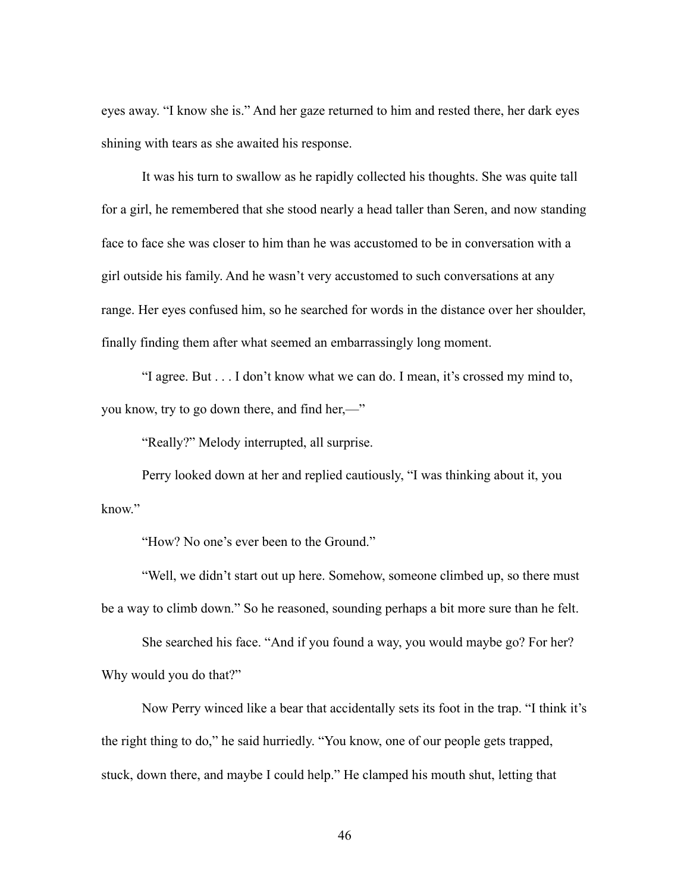eyes away. "I know she is." And her gaze returned to him and rested there, her dark eyes shining with tears as she awaited his response.

 It was his turn to swallow as he rapidly collected his thoughts. She was quite tall for a girl, he remembered that she stood nearly a head taller than Seren, and now standing face to face she was closer to him than he was accustomed to be in conversation with a girl outside his family. And he wasn't very accustomed to such conversations at any range. Her eyes confused him, so he searched for words in the distance over her shoulder, finally finding them after what seemed an embarrassingly long moment.

 "I agree. But . . . I don't know what we can do. I mean, it's crossed my mind to, you know, try to go down there, and find her,—"

"Really?" Melody interrupted, all surprise.

 Perry looked down at her and replied cautiously, "I was thinking about it, you know."

"How? No one's ever been to the Ground."

 "Well, we didn't start out up here. Somehow, someone climbed up, so there must be a way to climb down." So he reasoned, sounding perhaps a bit more sure than he felt.

 She searched his face. "And if you found a way, you would maybe go? For her? Why would you do that?"

 Now Perry winced like a bear that accidentally sets its foot in the trap. "I think it's the right thing to do," he said hurriedly. "You know, one of our people gets trapped, stuck, down there, and maybe I could help." He clamped his mouth shut, letting that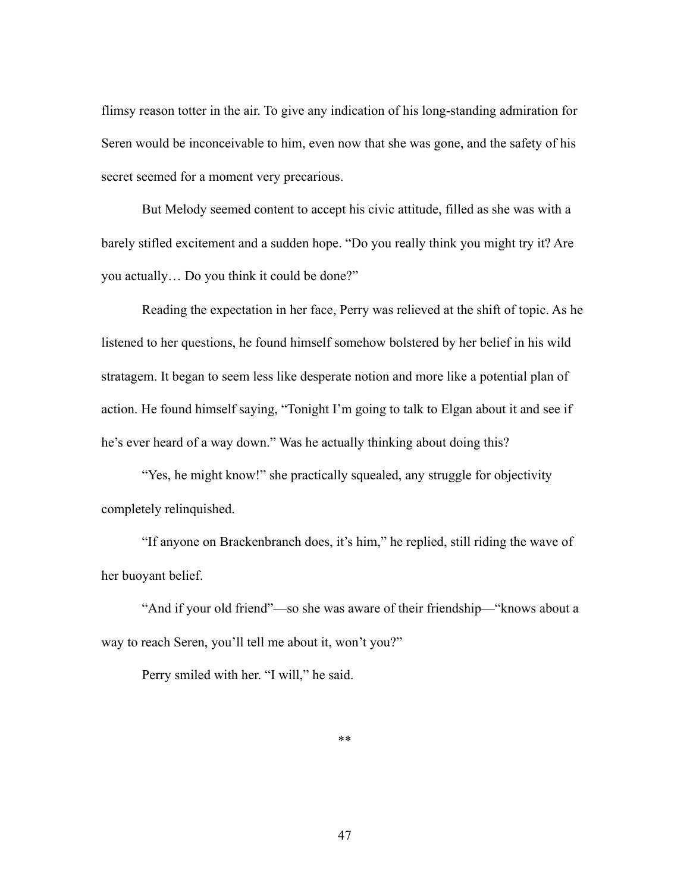flimsy reason totter in the air. To give any indication of his long-standing admiration for Seren would be inconceivable to him, even now that she was gone, and the safety of his secret seemed for a moment very precarious.

 But Melody seemed content to accept his civic attitude, filled as she was with a barely stifled excitement and a sudden hope. "Do you really think you might try it? Are you actually… Do you think it could be done?"

 Reading the expectation in her face, Perry was relieved at the shift of topic. As he listened to her questions, he found himself somehow bolstered by her belief in his wild stratagem. It began to seem less like desperate notion and more like a potential plan of action. He found himself saying, "Tonight I'm going to talk to Elgan about it and see if he's ever heard of a way down." Was he actually thinking about doing this?

 "Yes, he might know!" she practically squealed, any struggle for objectivity completely relinquished.

 "If anyone on Brackenbranch does, it's him," he replied, still riding the wave of her buoyant belief.

 "And if your old friend"—so she was aware of their friendship—"knows about a way to reach Seren, you'll tell me about it, won't you?"

Perry smiled with her. "I will," he said.

\*\*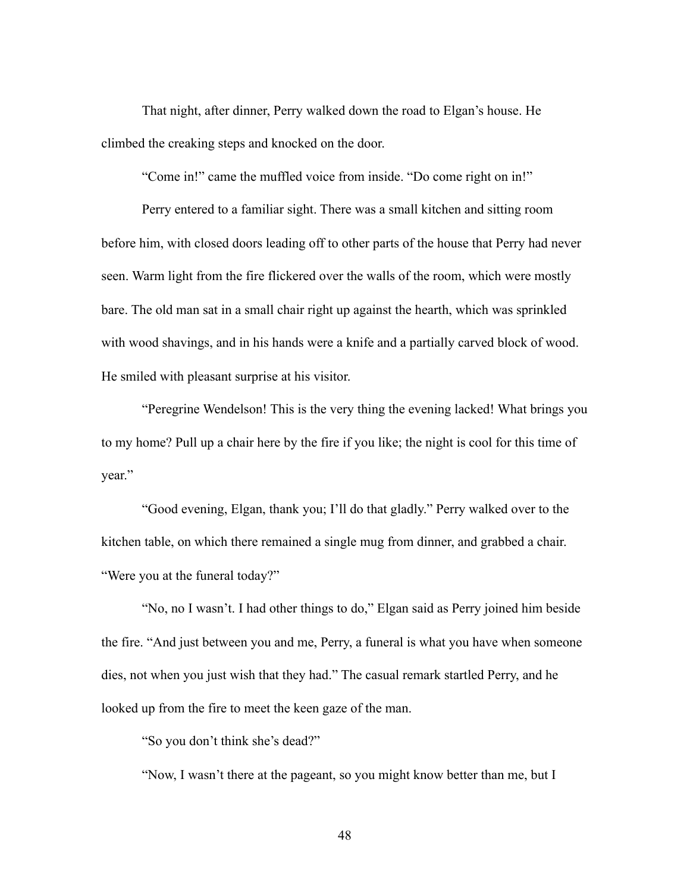That night, after dinner, Perry walked down the road to Elgan's house. He climbed the creaking steps and knocked on the door.

"Come in!" came the muffled voice from inside. "Do come right on in!"

 Perry entered to a familiar sight. There was a small kitchen and sitting room before him, with closed doors leading off to other parts of the house that Perry had never seen. Warm light from the fire flickered over the walls of the room, which were mostly bare. The old man sat in a small chair right up against the hearth, which was sprinkled with wood shavings, and in his hands were a knife and a partially carved block of wood. He smiled with pleasant surprise at his visitor.

 "Peregrine Wendelson! This is the very thing the evening lacked! What brings you to my home? Pull up a chair here by the fire if you like; the night is cool for this time of year."

 "Good evening, Elgan, thank you; I'll do that gladly." Perry walked over to the kitchen table, on which there remained a single mug from dinner, and grabbed a chair. "Were you at the funeral today?"

 "No, no I wasn't. I had other things to do," Elgan said as Perry joined him beside the fire. "And just between you and me, Perry, a funeral is what you have when someone dies, not when you just wish that they had." The casual remark startled Perry, and he looked up from the fire to meet the keen gaze of the man.

"So you don't think she's dead?"

"Now, I wasn't there at the pageant, so you might know better than me, but I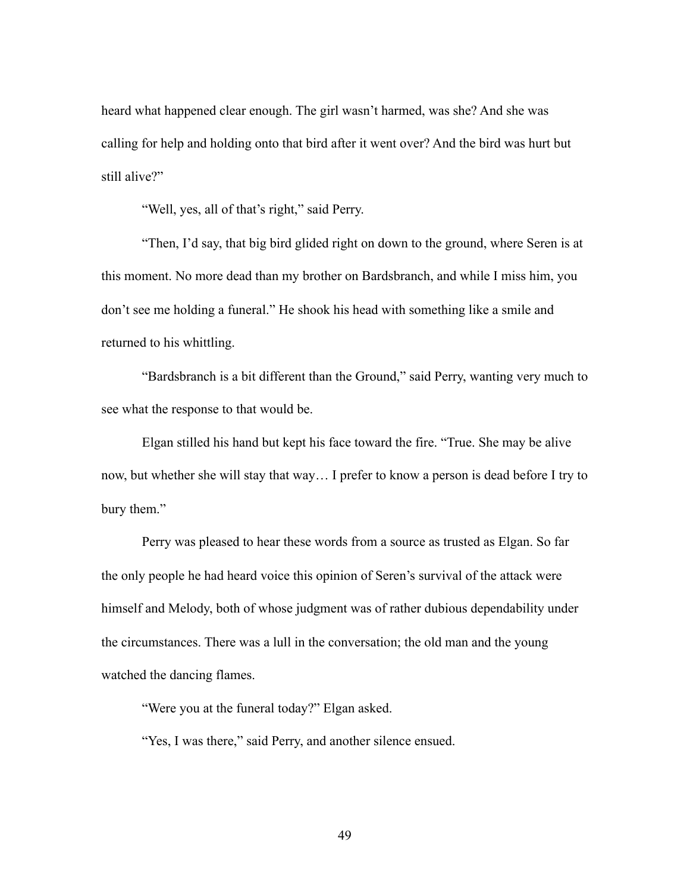heard what happened clear enough. The girl wasn't harmed, was she? And she was calling for help and holding onto that bird after it went over? And the bird was hurt but still alive?"

"Well, yes, all of that's right," said Perry.

 "Then, I'd say, that big bird glided right on down to the ground, where Seren is at this moment. No more dead than my brother on Bardsbranch, and while I miss him, you don't see me holding a funeral." He shook his head with something like a smile and returned to his whittling.

 "Bardsbranch is a bit different than the Ground," said Perry, wanting very much to see what the response to that would be.

 Elgan stilled his hand but kept his face toward the fire. "True. She may be alive now, but whether she will stay that way… I prefer to know a person is dead before I try to bury them."

 Perry was pleased to hear these words from a source as trusted as Elgan. So far the only people he had heard voice this opinion of Seren's survival of the attack were himself and Melody, both of whose judgment was of rather dubious dependability under the circumstances. There was a lull in the conversation; the old man and the young watched the dancing flames.

"Were you at the funeral today?" Elgan asked.

"Yes, I was there," said Perry, and another silence ensued.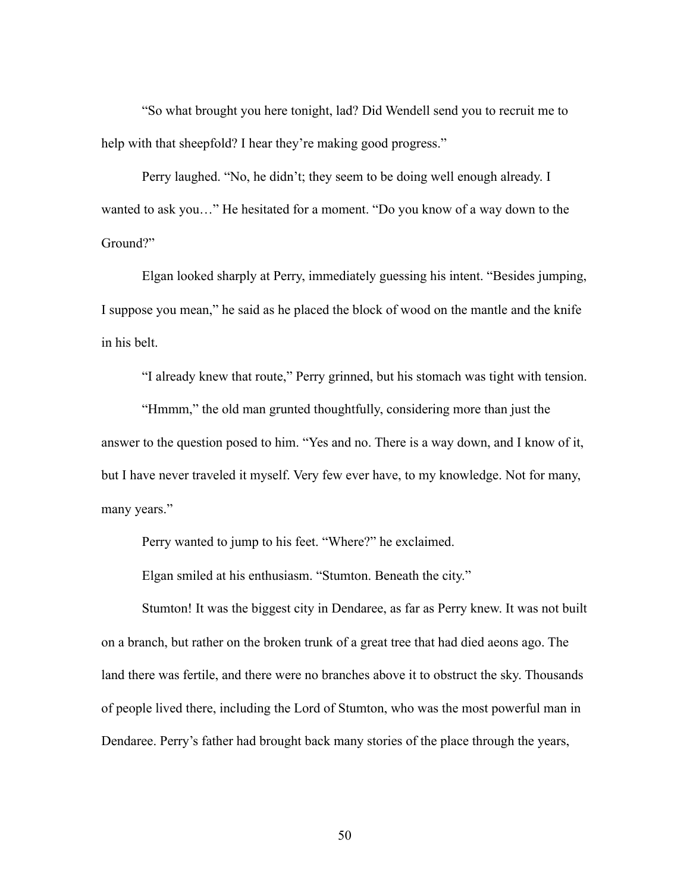"So what brought you here tonight, lad? Did Wendell send you to recruit me to help with that sheepfold? I hear they're making good progress."

 Perry laughed. "No, he didn't; they seem to be doing well enough already. I wanted to ask you…" He hesitated for a moment. "Do you know of a way down to the Ground?"

 Elgan looked sharply at Perry, immediately guessing his intent. "Besides jumping, I suppose you mean," he said as he placed the block of wood on the mantle and the knife in his belt.

"I already knew that route," Perry grinned, but his stomach was tight with tension.

 "Hmmm," the old man grunted thoughtfully, considering more than just the answer to the question posed to him. "Yes and no. There is a way down, and I know of it, but I have never traveled it myself. Very few ever have, to my knowledge. Not for many, many years."

Perry wanted to jump to his feet. "Where?" he exclaimed.

Elgan smiled at his enthusiasm. "Stumton. Beneath the city."

 Stumton! It was the biggest city in Dendaree, as far as Perry knew. It was not built on a branch, but rather on the broken trunk of a great tree that had died aeons ago. The land there was fertile, and there were no branches above it to obstruct the sky. Thousands of people lived there, including the Lord of Stumton, who was the most powerful man in Dendaree. Perry's father had brought back many stories of the place through the years,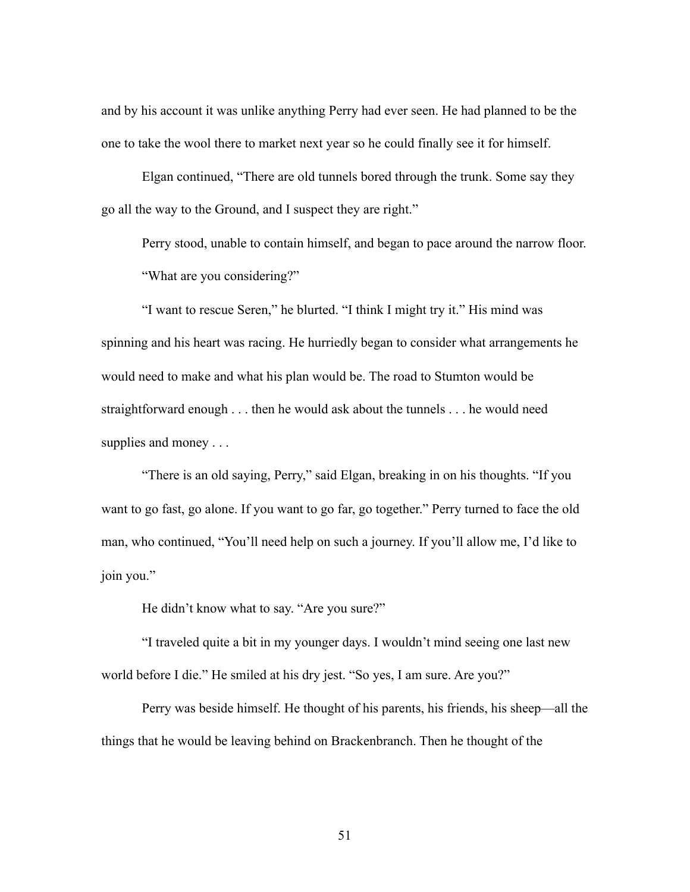and by his account it was unlike anything Perry had ever seen. He had planned to be the one to take the wool there to market next year so he could finally see it for himself.

 Elgan continued, "There are old tunnels bored through the trunk. Some say they go all the way to the Ground, and I suspect they are right."

 Perry stood, unable to contain himself, and began to pace around the narrow floor. "What are you considering?"

 "I want to rescue Seren," he blurted. "I think I might try it." His mind was spinning and his heart was racing. He hurriedly began to consider what arrangements he would need to make and what his plan would be. The road to Stumton would be straightforward enough . . . then he would ask about the tunnels . . . he would need supplies and money . . .

 "There is an old saying, Perry," said Elgan, breaking in on his thoughts. "If you want to go fast, go alone. If you want to go far, go together." Perry turned to face the old man, who continued, "You'll need help on such a journey. If you'll allow me, I'd like to join you."

He didn't know what to say. "Are you sure?"

 "I traveled quite a bit in my younger days. I wouldn't mind seeing one last new world before I die." He smiled at his dry jest. "So yes, I am sure. Are you?"

 Perry was beside himself. He thought of his parents, his friends, his sheep—all the things that he would be leaving behind on Brackenbranch. Then he thought of the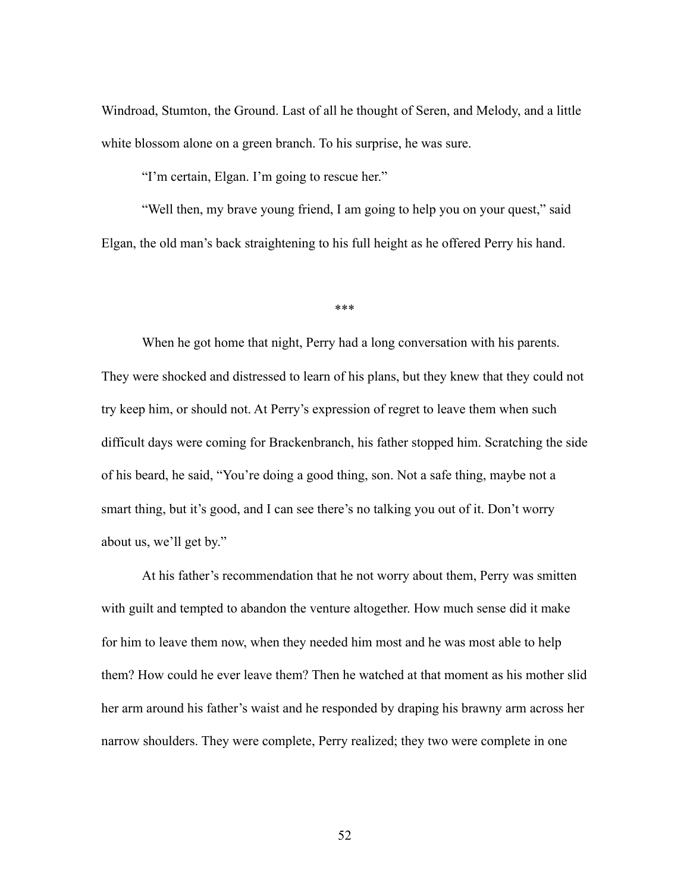Windroad, Stumton, the Ground. Last of all he thought of Seren, and Melody, and a little white blossom alone on a green branch. To his surprise, he was sure.

"I'm certain, Elgan. I'm going to rescue her."

 "Well then, my brave young friend, I am going to help you on your quest," said Elgan, the old man's back straightening to his full height as he offered Perry his hand.

\*\*\*

 When he got home that night, Perry had a long conversation with his parents. They were shocked and distressed to learn of his plans, but they knew that they could not try keep him, or should not. At Perry's expression of regret to leave them when such difficult days were coming for Brackenbranch, his father stopped him. Scratching the side of his beard, he said, "You're doing a good thing, son. Not a safe thing, maybe not a smart thing, but it's good, and I can see there's no talking you out of it. Don't worry about us, we'll get by."

 At his father's recommendation that he not worry about them, Perry was smitten with guilt and tempted to abandon the venture altogether. How much sense did it make for him to leave them now, when they needed him most and he was most able to help them? How could he ever leave them? Then he watched at that moment as his mother slid her arm around his father's waist and he responded by draping his brawny arm across her narrow shoulders. They were complete, Perry realized; they two were complete in one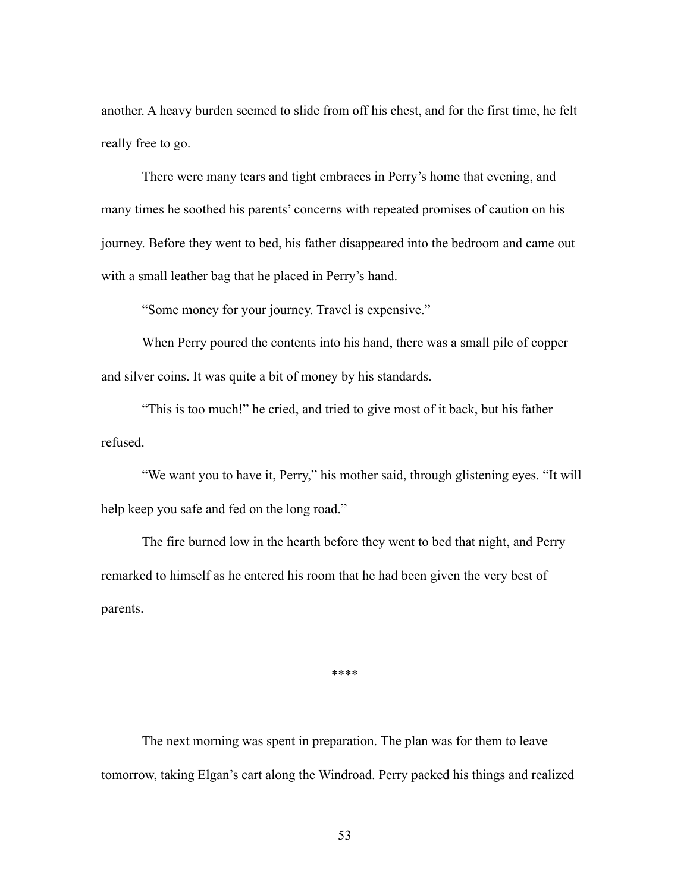another. A heavy burden seemed to slide from off his chest, and for the first time, he felt really free to go.

 There were many tears and tight embraces in Perry's home that evening, and many times he soothed his parents' concerns with repeated promises of caution on his journey. Before they went to bed, his father disappeared into the bedroom and came out with a small leather bag that he placed in Perry's hand.

"Some money for your journey. Travel is expensive."

 When Perry poured the contents into his hand, there was a small pile of copper and silver coins. It was quite a bit of money by his standards.

 "This is too much!" he cried, and tried to give most of it back, but his father refused.

 "We want you to have it, Perry," his mother said, through glistening eyes. "It will help keep you safe and fed on the long road."

 The fire burned low in the hearth before they went to bed that night, and Perry remarked to himself as he entered his room that he had been given the very best of parents.

\*\*\*\*

 The next morning was spent in preparation. The plan was for them to leave tomorrow, taking Elgan's cart along the Windroad. Perry packed his things and realized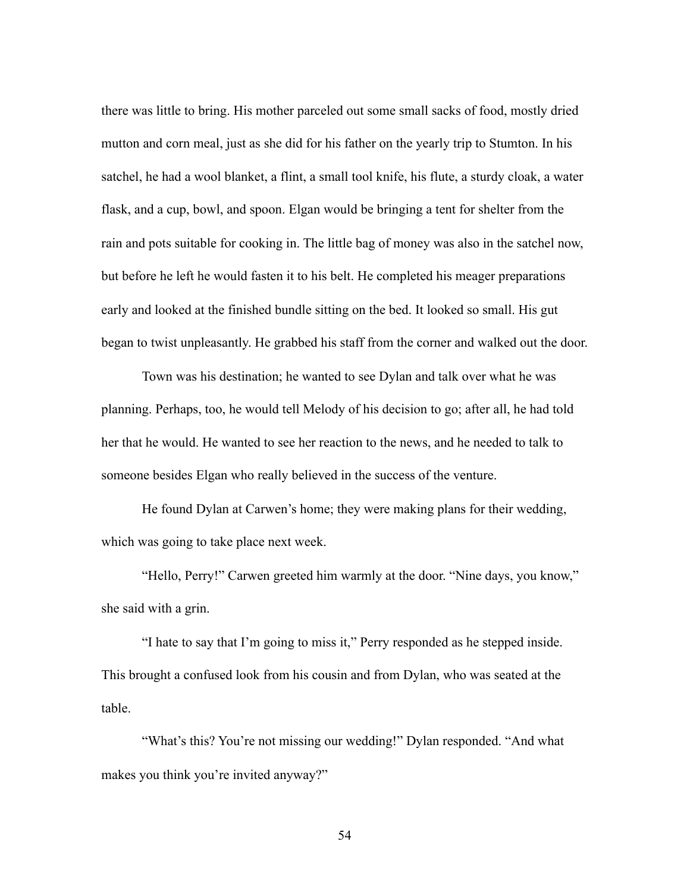there was little to bring. His mother parceled out some small sacks of food, mostly dried mutton and corn meal, just as she did for his father on the yearly trip to Stumton. In his satchel, he had a wool blanket, a flint, a small tool knife, his flute, a sturdy cloak, a water flask, and a cup, bowl, and spoon. Elgan would be bringing a tent for shelter from the rain and pots suitable for cooking in. The little bag of money was also in the satchel now, but before he left he would fasten it to his belt. He completed his meager preparations early and looked at the finished bundle sitting on the bed. It looked so small. His gut began to twist unpleasantly. He grabbed his staff from the corner and walked out the door.

 Town was his destination; he wanted to see Dylan and talk over what he was planning. Perhaps, too, he would tell Melody of his decision to go; after all, he had told her that he would. He wanted to see her reaction to the news, and he needed to talk to someone besides Elgan who really believed in the success of the venture.

 He found Dylan at Carwen's home; they were making plans for their wedding, which was going to take place next week.

 "Hello, Perry!" Carwen greeted him warmly at the door. "Nine days, you know," she said with a grin.

 "I hate to say that I'm going to miss it," Perry responded as he stepped inside. This brought a confused look from his cousin and from Dylan, who was seated at the table.

 "What's this? You're not missing our wedding!" Dylan responded. "And what makes you think you're invited anyway?"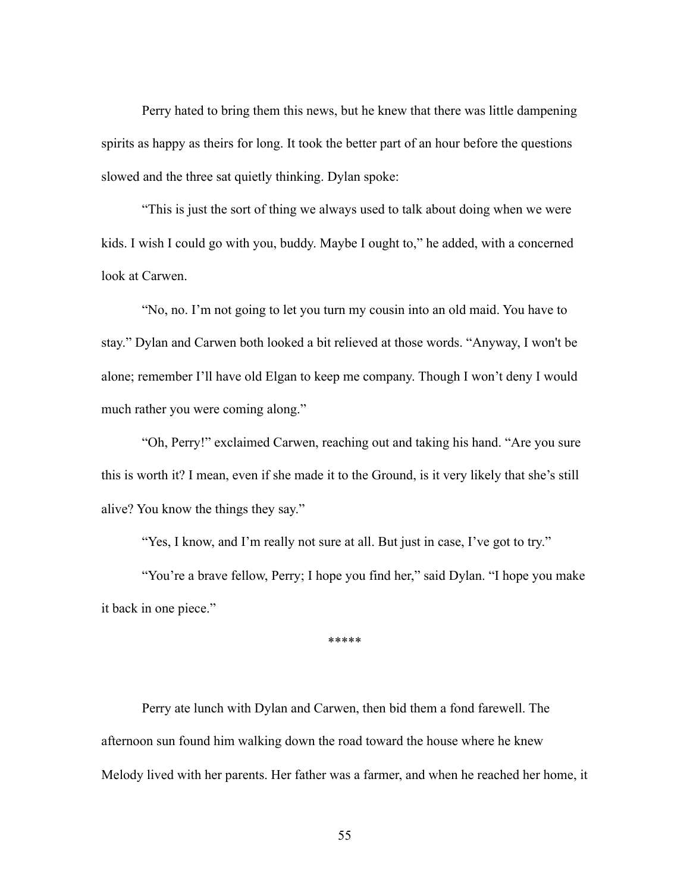Perry hated to bring them this news, but he knew that there was little dampening spirits as happy as theirs for long. It took the better part of an hour before the questions slowed and the three sat quietly thinking. Dylan spoke:

 "This is just the sort of thing we always used to talk about doing when we were kids. I wish I could go with you, buddy. Maybe I ought to," he added, with a concerned look at Carwen.

 "No, no. I'm not going to let you turn my cousin into an old maid. You have to stay." Dylan and Carwen both looked a bit relieved at those words. "Anyway, I won't be alone; remember I'll have old Elgan to keep me company. Though I won't deny I would much rather you were coming along."

 "Oh, Perry!" exclaimed Carwen, reaching out and taking his hand. "Are you sure this is worth it? I mean, even if she made it to the Ground, is it very likely that she's still alive? You know the things they say."

"Yes, I know, and I'm really not sure at all. But just in case, I've got to try."

"You're a brave fellow, Perry; I hope you find her," said Dylan. "I hope you make it back in one piece."

\*\*\*\*\*

 Perry ate lunch with Dylan and Carwen, then bid them a fond farewell. The afternoon sun found him walking down the road toward the house where he knew Melody lived with her parents. Her father was a farmer, and when he reached her home, it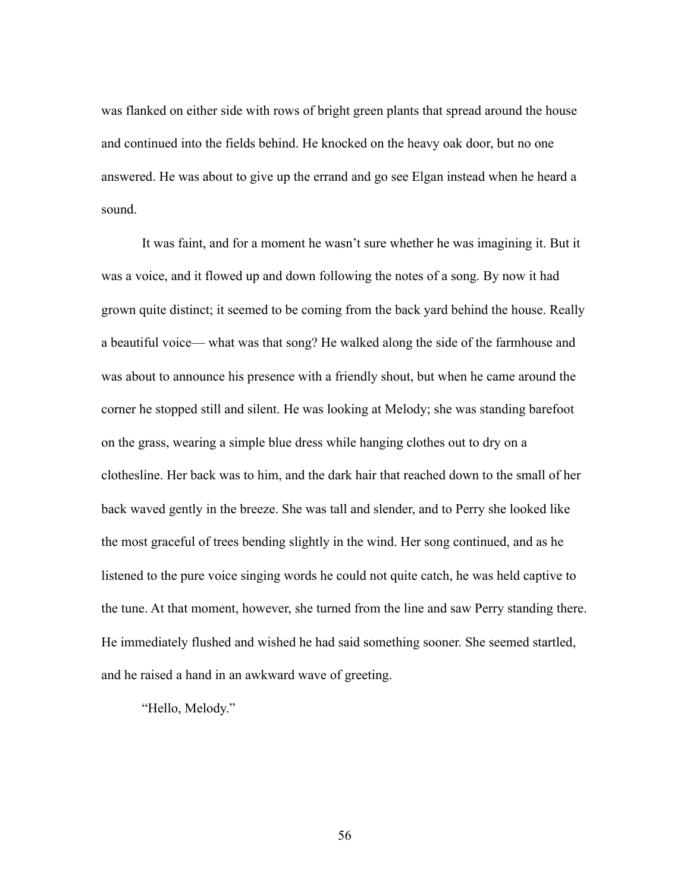was flanked on either side with rows of bright green plants that spread around the house and continued into the fields behind. He knocked on the heavy oak door, but no one answered. He was about to give up the errand and go see Elgan instead when he heard a sound.

 It was faint, and for a moment he wasn't sure whether he was imagining it. But it was a voice, and it flowed up and down following the notes of a song. By now it had grown quite distinct; it seemed to be coming from the back yard behind the house. Really a beautiful voice— what was that song? He walked along the side of the farmhouse and was about to announce his presence with a friendly shout, but when he came around the corner he stopped still and silent. He was looking at Melody; she was standing barefoot on the grass, wearing a simple blue dress while hanging clothes out to dry on a clothesline. Her back was to him, and the dark hair that reached down to the small of her back waved gently in the breeze. She was tall and slender, and to Perry she looked like the most graceful of trees bending slightly in the wind. Her song continued, and as he listened to the pure voice singing words he could not quite catch, he was held captive to the tune. At that moment, however, she turned from the line and saw Perry standing there. He immediately flushed and wished he had said something sooner. She seemed startled, and he raised a hand in an awkward wave of greeting.

"Hello, Melody."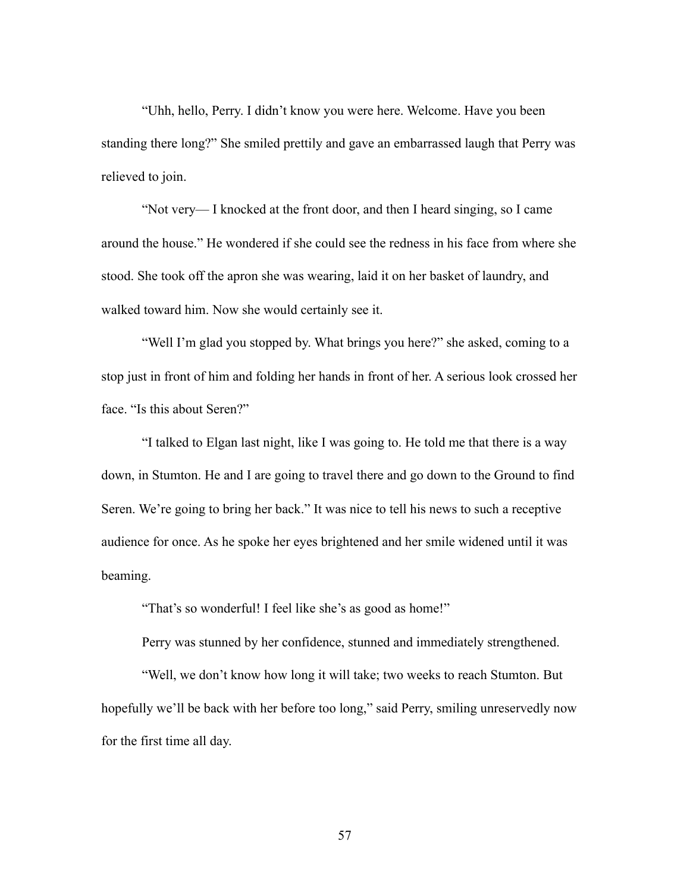"Uhh, hello, Perry. I didn't know you were here. Welcome. Have you been standing there long?" She smiled prettily and gave an embarrassed laugh that Perry was relieved to join.

 "Not very— I knocked at the front door, and then I heard singing, so I came around the house." He wondered if she could see the redness in his face from where she stood. She took off the apron she was wearing, laid it on her basket of laundry, and walked toward him. Now she would certainly see it.

 "Well I'm glad you stopped by. What brings you here?" she asked, coming to a stop just in front of him and folding her hands in front of her. A serious look crossed her face. "Is this about Seren?"

 "I talked to Elgan last night, like I was going to. He told me that there is a way down, in Stumton. He and I are going to travel there and go down to the Ground to find Seren. We're going to bring her back." It was nice to tell his news to such a receptive audience for once. As he spoke her eyes brightened and her smile widened until it was beaming.

"That's so wonderful! I feel like she's as good as home!"

Perry was stunned by her confidence, stunned and immediately strengthened.

 "Well, we don't know how long it will take; two weeks to reach Stumton. But hopefully we'll be back with her before too long," said Perry, smiling unreservedly now for the first time all day.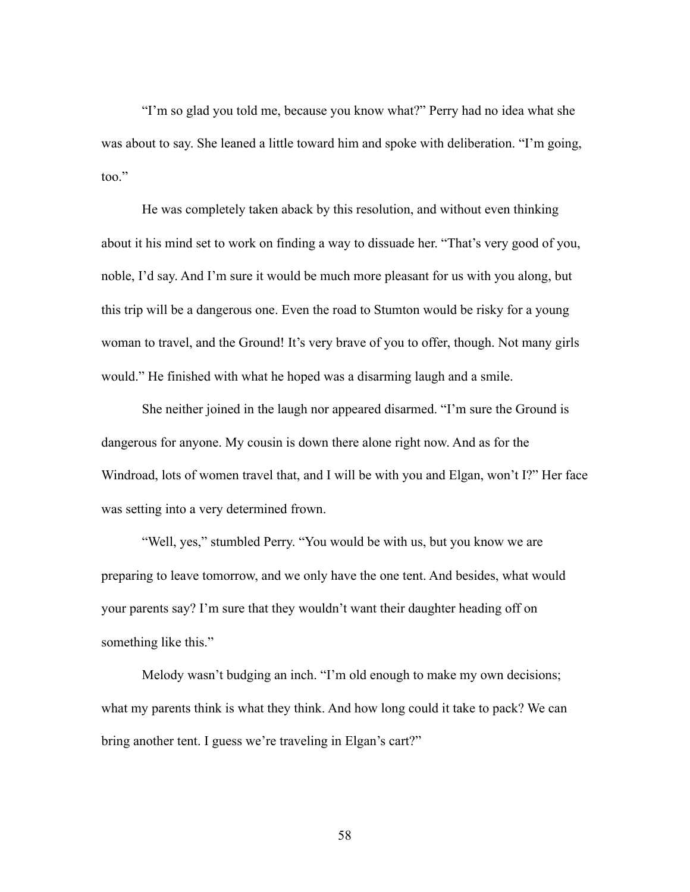"I'm so glad you told me, because you know what?" Perry had no idea what she was about to say. She leaned a little toward him and spoke with deliberation. "I'm going, too."

 He was completely taken aback by this resolution, and without even thinking about it his mind set to work on finding a way to dissuade her. "That's very good of you, noble, I'd say. And I'm sure it would be much more pleasant for us with you along, but this trip will be a dangerous one. Even the road to Stumton would be risky for a young woman to travel, and the Ground! It's very brave of you to offer, though. Not many girls would." He finished with what he hoped was a disarming laugh and a smile.

 She neither joined in the laugh nor appeared disarmed. "I'm sure the Ground is dangerous for anyone. My cousin is down there alone right now. And as for the Windroad, lots of women travel that, and I will be with you and Elgan, won't I?" Her face was setting into a very determined frown.

 "Well, yes," stumbled Perry. "You would be with us, but you know we are preparing to leave tomorrow, and we only have the one tent. And besides, what would your parents say? I'm sure that they wouldn't want their daughter heading off on something like this."

 Melody wasn't budging an inch. "I'm old enough to make my own decisions; what my parents think is what they think. And how long could it take to pack? We can bring another tent. I guess we're traveling in Elgan's cart?"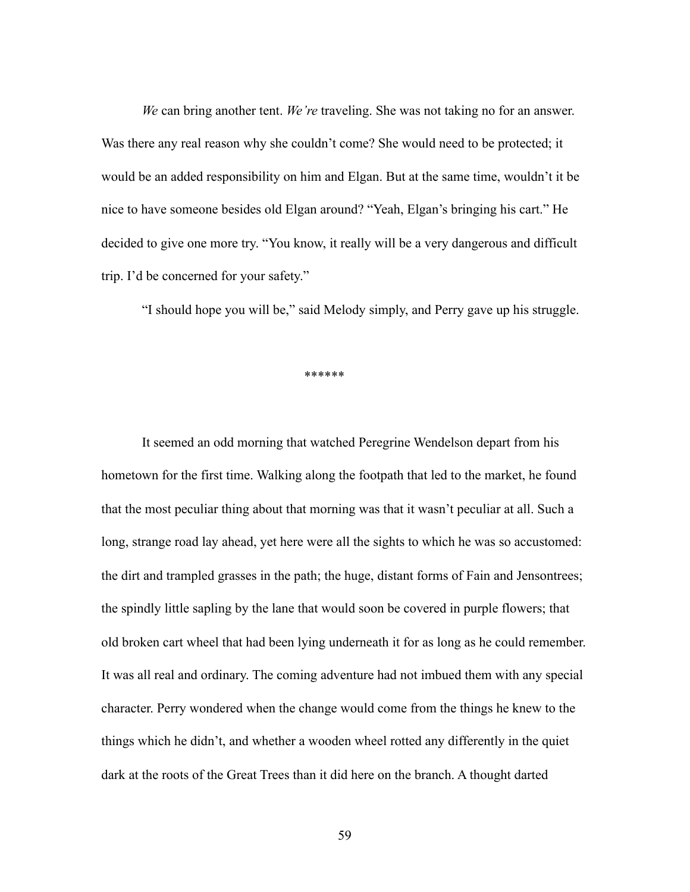*We* can bring another tent. *We're* traveling. She was not taking no for an answer. Was there any real reason why she couldn't come? She would need to be protected; it would be an added responsibility on him and Elgan. But at the same time, wouldn't it be nice to have someone besides old Elgan around? "Yeah, Elgan's bringing his cart." He decided to give one more try. "You know, it really will be a very dangerous and difficult trip. I'd be concerned for your safety."

"I should hope you will be," said Melody simply, and Perry gave up his struggle.

\*\*\*\*\*\*

 It seemed an odd morning that watched Peregrine Wendelson depart from his hometown for the first time. Walking along the footpath that led to the market, he found that the most peculiar thing about that morning was that it wasn't peculiar at all. Such a long, strange road lay ahead, yet here were all the sights to which he was so accustomed: the dirt and trampled grasses in the path; the huge, distant forms of Fain and Jensontrees; the spindly little sapling by the lane that would soon be covered in purple flowers; that old broken cart wheel that had been lying underneath it for as long as he could remember. It was all real and ordinary. The coming adventure had not imbued them with any special character. Perry wondered when the change would come from the things he knew to the things which he didn't, and whether a wooden wheel rotted any differently in the quiet dark at the roots of the Great Trees than it did here on the branch. A thought darted